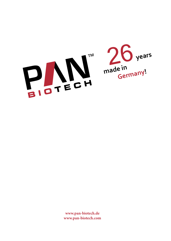



**www.pan-biotech.de www.pan-biotech.com**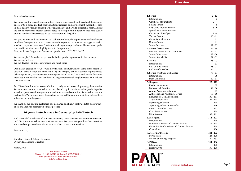

| 1. Serum<br>Introduction                   | $2 - 13$<br>3 |
|--------------------------------------------|---------------|
| Certificate of Suitability                 | $3 - 4$       |
| <b>Bovine Serum</b>                        |               |
|                                            |               |
| FBS Good Product Family                    | $5 - 6$       |
| Special Fetal Bovine Serum                 |               |
| Certificate of Analysis                    | $8 - 9$       |
| <b>Treated Serum</b>                       | $10 - 11$     |
| Other Animal Serum                         | 11            |
| Human Serum                                | 12            |
| <b>Serum Services</b>                      | $12 - 13$     |
| 2. Serum-free Systems                      | $14 - 35$     |
| <b>Introduction &amp; Product Numbers</b>  | $15 - 17$     |
| Serum Substitutes                          | $18 - 20$     |
| Serum-free Media                           | $21 - 35$     |
| 3. Media                                   | $36 - 77$     |
| Introduction                               | 37            |
| Cell Culture Media                         | $38 - 71$     |
| Cell Specific Media                        | $72 - 77$     |
| 4. Serum-free Stem Cell Media              | 78 - 91       |
| Introduction                               | 79            |
| Stem Cell Media                            | $80 - 91$     |
|                                            |               |
| 5. Reagents                                | $92 - 113$    |
| Media Supplements                          | 93            |
| <b>Buffered Salt Solution</b>              | $94 - 96$     |
| Amino Acids and Vitamins                   | 97            |
| <b>Antibiotics and Antifungal Drugs</b>    | $98 - 99$     |
| <b>Enzymes for Cell Dissociation</b>       | $100 - 101$   |
| <b>Attachment Factors</b>                  | $102 - 104$   |
| <b>Seperating Solutions</b>                | 105           |
| Separating Solutions Pre-Filled            | 106           |
| PAN SL-S Product Line                      | 107           |
| Cryo Preservation                          | 108           |
| Disinfectants                              | $109 - 113$   |
| 6. Biologicals                             | $114 - 121$   |
| Introduction                               | 115           |
| Human Cytokines and Growth Factors         | $116 - 118$   |
| Other Species Cytokines and Growth Factors | 119           |
| Chemokines                                 | 120           |
| 7. Molecular Biology                       | $122 - 133$   |
| Polymerases                                | $123 - 128$   |
| Molecular Biology Reagents                 | $129 - 133$   |
|                                            | $134 - 136$   |
| 8. PANsys<br>Introduction                  | 135           |
|                                            |               |
| PANsys 3000                                | 135 - 136     |

## Dear valued customer

We think that the current biotech industry favors experienced, mid-sized and flexible pro ducers with a broad product portfolio, strong research and development capabilities, bestin-class quality, strong business partner relationships and a wide geographic reach. During the last 26 years PAN-Biotech demonstrated its strength with innovative, first-class quality products and excellent services for cell culture around the globe.

For you, as users and customers of cell culture products, the supply situation has changed rapidly in first quarter of 2013. Due to several mergers and acquisitions of bigger as well as smaller companies there were frictions and changes in supply chains. The customer prob lems and frustrations were highlighted with the question(s): Can you deliver / support us / rescue our production...? YES, WE CAN !

We can supply FBS, media, reagents and all other products presented in this catalogue We can support you We can develop / optimise your media and much more

Our market prediction for 2013 was more frictions and turbulences. Some of the recent ac quisitions went through the same route: logistic changes, lack of customer responsiveness, delivery problems, price increases, intransparency and so on. The overall results for custo mers was a limited choice of vendors and huge international conglomerates with reduced customer service.

PAN-Biotech still remains as one of a few privately owned, ownership managed companies. We value our customers, we value their needs and requirements, we value product quality, we value openness and transparency, we value service and commitments, we value trust and partnership. We followed along these values for the last 26 years and we intend to keep these values for the next 26 years.

We thank all our existing customers, our dedicated and highly motivated staff and our sup pliers and industry partners who made possible

## **26 years biotech made in Germany by PAN-Biotech**

And we cordially welcome all our new customers, OEM partners and interested internati onal distributors as well as new business partners. We guarantee you the values described above and our personal commitment for excellent products and services.

Yours sincerely

Christian Niewolik & Jens Hartmann Owners & Managing Directors

March, 2014

**PAN-Biotech GmbH Phone: +49 (0)8543/6016-30 Fax: +49 (0)8543/6016-49 www.pan-biotech.de www.pan-biotech.com info@pan-biotech.de**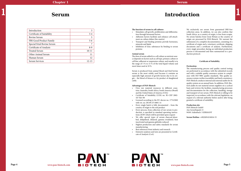# **Introduction** 1 Serum Introduction 1

## **The function of serum in cell cultures**

- Stimulates cell growth, proliferation and differentiation through hormonal factors
- Adhesion factors facilitate and enhance cell attachment on culture dishes (bio-matrix)
- Transport and binding proteins provide hormones, minerals and lipids
- Inhibition of toxic substances by binding to serum proteins

## **Animal serum**

The dose of serum added to a cell culture as nutrient source depends on factors such as cell type, primary culture or cell line, adherent or suspension culture, and usually is in the range of 5 % to 15 % of the total liquid volume and most times used at 10 %.

Serum is produced from animal blood and fetal bovine serum is the most widely used because it contains an especially high amount of growth factors due to its origin – the blood of fetuses is a by-product of slaughtered cattle.

## **Advantages of PAN-Biotech**

- Own raw material resources in different countries: Australia, South Africa, South America (Brazil) and the United States of America (USA)
- Certificate of Suitability (COS) no. R1-CEP 2002- 167-Rev 00
- Licensed according to the EU-decree no. 1774/2002 with vet. no. DE 09 275 0001 14
- Every single batch is fully documented from the country of origin to the end product
- Every process, from collection of raw serum to production, is specified in standard operating instructions (SOP) which will be provided upon request
- We offer special types of serum: charcoal absorbed, delipidized, dialyzed, gamma irradiated, heat inactivated and gamma globulin reduced
- Highest production and safety standards for serum manufacturing
- Best references from industry and research
- Extensive analyses and tests are presented in Certificate of Analysis (CoA)



We exclusively use serum from guaranteed BSE-free collection areas. In addition, we can also confirm that South Africa, as a country of origin, is free from scrapie. No serum batches from Great Britain as the country of origin are processed by PAN-Biotech. We warrant the submission of a complete documentation, consisting of a certificate of origin and a veterinary certificate, shipping documents and a certificate of analysis. Furthermore, every single procedure during an individual production process is documented and then summarized in a production protocol.

#### **Certificate of Suitability**

#### **Declaration**

The manufacturing process and quality control testing are performed in accordance with the submitted records and with a suitable quality assurance system in compliance with ISO 9001 quality standards. This quality assurance system verifies traceability and batch consistency. PAN-Biotech conducts internal and external audits for its quality system on an annual basis. In addition, PAN-Biotech audits its raw material serum suppliers on a cyclical basis and reviews the facilities, manufacturing processes and documentation for the collection, handling, storage and transport of raw serum. PAN-Biotech is willing to be inspected, in accordance with the relevant legislation, on request of a relevant authority before and/or after being granted a certificate of suitability.

#### **Production site:**

PAN-Biotech GmbH Am Gewerbepark 13 94501 Aidenbach / GERMANY

**Serum Hotline:** +49(0)8543/6016-55



PAN

**BIOTECH** 

# **Serum**

| Introduction               | 3         |
|----------------------------|-----------|
| Certificate of Suitability | $3 - 4$   |
| <b>Bovine Serum</b>        | 5         |
| FBS Good Product Family    | $5-6$     |
| Special Fetal Bovine Serum |           |
| Certificate of Analysis    | $8-9$     |
| <b>Treated Serum</b>       | $10 - 11$ |
| Other Animal Serum         | 11        |
| Human Serum                | 12        |
| <b>Serum Services</b>      | $12 - 13$ |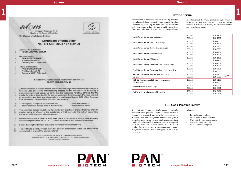**Page 6 www.pan-biotech.com**





Bovine serum is the blood fraction remaining after the natural coagulation of blood, followed by centrifugation to remove any remaining red blood cells. The production of bovine serum at PAN-Biotech is tightly controlled, from the collection of serum at the slaughterhouse and throughout the whole production cycle which is performed without exception in our own production facilities in Aidenbach, Germany. All serum lots are virus and mycoplasma tested.

- Innovative new products
- Minor batch to batch variation
- Once tested always same quality
- No batch testing required
- No lot reservation required

| Fetal Bovine Serum, Australia origin                        | $100 \text{ ml}$<br>500 ml | P30-1301<br>P30-1302              |
|-------------------------------------------------------------|----------------------------|-----------------------------------|
| Fetal Bovine Serum, South Africa origin                     | $100 \text{ ml}$<br>500 ml | P30-1505<br>P30-1506              |
| Fetal Bovine Serum, South America origin                    | $100 \text{ ml}$<br>500 ml | P30-3305<br>P30-3306              |
| Fetal Bovine Serum, US admissible                           | $100 \text{ ml}$<br>500 ml | P30-1701<br>P30-1702              |
| Fetal Bovine Serum, US origin                               | $100$ ml<br>500 ml         | P30-1401<br>P30-1402              |
| Fetal Bovine Serum Premium, South Africa origin             | $100 \text{ ml}$<br>500 ml | P <sub>30</sub> -1501<br>P30-1502 |
| Fetal Bovine Serum Premium, South America origin            | $100 \text{ ml}$<br>500 ml | P30-3301<br>P30-3302              |
| Sera Pro, Fetal bovine serum, low Endotoxin,<br>EU approved | $100$ ml<br>500 ml         | P30-5100<br>NEW<br>P30-5500       |
| FBS EU Professional, Filtrated bovine serum,<br>EU approved | $100 \text{ ml}$<br>500 ml | P30-8100<br>P30-8500              |
| Bovine Serum, variable origins                              | $100 \text{ ml}$<br>500 ml | P30-0601<br>P30-0602              |
| Calf serum - newborn, variable origins                      | $100$ ml<br>500 ml         | P30-0401<br>P30-0402              |

## **FBS Good Product Family**

The FBS Good product family contains specially processed serum products. Serum of selected batches is filtrated and separated into individual components by a sophisticated chromatographic method. The growth promoting components contained in the serum are then combined and restored in a defined process. Compared to conventional fetal bovine serum the FBS Good product family has been shown to support and promote cell growth of many different cell types equally well or even better.



## **Advantages**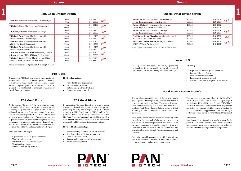## 1 **FBS Good Product Family**

By developing FBS Good Biotech we wanted to create a naturally defined serum with a sustained growth promoting property and a higher safety. It is tested according to EMA (also known as EMEA) and Ph. Eur. guidelines for use in the bio-pharmaceutical industry. FBS Good Biotech only contains serum of highest quality from defined countries as specified. It is not blended or enhanced by addition of growth factors or proteins.

## **FBS Good Biotech advantages**

- Tested according to EMEA CPMP/BWP/1793/02
- Tested according to Ph. Eur. 01/2008:2262
- Very low endotoxin level
- Suitable for bio-pharmaceutical processing
- Expanded quality control



By developing FBS Good Forte we wanted to create a naturally defined serum with an increased growth promoting property and a higher safety. Therefore, additional growth fortifying compounds have been added to increase cell proliferation. FBS Good Forte only contains serum of highest quality from defined countries as specified. In addition, growth promoting and stabilizing compounds (e.g. proteins, salts, sugars, vitamins) have been added to further enhance the stability of the serum as well as the proliferation of many different cell types.

## **FBS Good Forte advantages**

- Reproducible enhanced growth properties
- Very low endotoxin level
- Suitable for many different cell types
- Continued high quality
- No more batch testing required
- Reproducible growth properties
- Very low endotoxin level
- Suitable for a great variety of cells
- Continuous quality control

## **Fetal Bovine Serum Biotech**

\*tested upon request and produced after receipt of order

## **FBS Good**

By developing FBS Good we wanted to create a naturally defined serum with a sustained growth promoting property and a higher safety. FBS Good only contains serum of highest quality from defined countries as specified. It is not blended or enhanced by addition of

growth factors or proteins.

## **FBS Good advantages**

## **FBS Good Forte FBS Good Biotech**

## **Special Fetal Bovine Serum**

| FBS Good, Filtrated bovine serum, Australia origin   | $100 \text{ ml}$<br>500 ml | P <sub>40</sub> -39100<br>P <sub>40</sub> -39500 | NEW |
|------------------------------------------------------|----------------------------|--------------------------------------------------|-----|
| FBS Good, Filtrated bovine serum, EU approved        | $100 \text{ ml}$<br>500 ml | P <sub>40</sub> -37100<br>P <sub>40</sub> -37500 | NEW |
| FBS Good, Filtrated bovine serum, US origin          | $100 \text{ ml}$<br>500 ml | P <sub>40</sub> -38100<br>P <sub>40</sub> -38500 | NEW |
| FBS Good Forte, Filtrated bovine serum with          | $100 \text{ ml}$           | P <sub>40</sub> -49100                           | NEW |
| Additive Fortifier, Australia origin                 | 500 ml                     | P <sub>40</sub> -49500                           |     |
| FBS Good Forte, Filtrated bovine serum with          | $100 \text{ ml}$           | P <sub>40</sub> -47100                           | NEW |
| Additive Fortifier, EU approved                      | 500 ml                     | P <sub>40</sub> -47500                           |     |
| FBS Good Forte, Filtrated bovine serum with          | $100 \text{ ml}$           | P <sub>40</sub> -48100                           | NEW |
| Additive Fortifier, US origin                        | 500 ml                     | P <sub>40</sub> -48500                           |     |
| FBS Good Biotech, Filtrated bovine serum, Australia  | $100 \text{ ml}$           | P <sub>40</sub> -59100                           | NEW |
| origin, tested acc. EMEA 1793 and Ph. Eur. 2262*     | 500 ml                     | P <sub>40</sub> -59500                           |     |
| FBS Good Biotech, Filtrated bovine serum, US origin, | $100 \text{ ml}$           | P <sub>40</sub> -58100                           | NEW |
| tested acc. EMEA 1793 and Ph. Eur. 2262*             | 500 ml                     | P <sub>40</sub> -58500                           |     |

\*tested upon request and produced after receipt of order

## **Pansera ES**

Our specially developed, proprietary processing methodology for serum enables us to offer a special fetal bovine serum for embryonic stem cells (ES).

## **Advantages**

- Reproducible constant growth properties
- Improved cloning efficiency
- More undifferentiated clones
- Permanent strict quality control
- No need for further testing of different batches

The bio-pharmaceutical industry is facing a constantly growing demand for high quality, extensively tested fetal bovine serum originating from FDA-approved regions. PAN-Biotech is meeting this demand and offers a new product, Fetal Bovine Serum Biotech, which is tested according to EMA (also known as EMEA) and Ph. Eur. guidelines.

| Pansera ES, Fetal bovine serum, Australia origin,    | $100 \text{ ml}$ | P30-2605              | NEW |
|------------------------------------------------------|------------------|-----------------------|-----|
| special designed for embryonic stem cells            | 500 ml           | P30-2606              |     |
| Pansera ES, Fetal bovine serum, EU approved,         | $100 \text{ ml}$ | P30-2601              |     |
| special desgined for embryonic stem cells            | 500 ml           | P30-2602              |     |
| Pansera ES, Fetal bovine serum, US origin,           | $100 \text{ ml}$ | P30-2608              | NEW |
| special designed for embryonic stem cells            | 500 ml           | P30-2609              |     |
| Fetal Bovine Serum Biotech, Australia origin, tested | $100 \text{ ml}$ | P <sub>40</sub> -1301 | NEW |
| acc. EMEA 1793 and Ph. Eur. 2262*                    | 500 ml           | P <sub>40</sub> -1302 |     |
| Fetal Bovine Serum Biotech, US origin, tested acc.   | $100 \text{ ml}$ | P <sub>40</sub> -1401 | NEW |
| EMEA 1793 and Ph. Euro. 2262*                        | 500 ml           | P <sub>40</sub> -1402 |     |

Fetal Bovine Serum Biotech originates exclusively from Australia or the USA, both of which are approved regions by FDA´s CFR. The entire production process is followed by close inspections and quality controls – from the collection of raw material to the final production and sterile filtration procedure, all steps are documented and traceable.

Especially a possible contamination with bovine viruses has to be excluded. Therefore, a multitude of tests is performed to meet highest safety requirements.



This product is tested according to EMEA CPMP/ BWP/1793/02 and Ph. Eur. 01/2008:2262 upon request. In addition, EMA/410/01 rev. 3 and EMA/CHMP/ BWP/457920/2012 rev. 1 are also included as guidelines for testing procedures. Besides extensive testing for viral contamination, supplementary sterility testing is performed before, during and after filling of the product.

## **Application**

Fetal Bovine Serum Biotech is particularly suited for the production of virus, vaccine, monoclonal antibodies, recombinant protein and growth factors, as well as the manufacture of other bio-pharmaceutical products.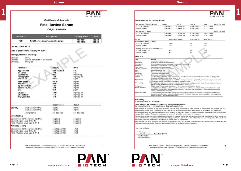|                                                                                                                                   |                                                                                                         | <b>Certificate of Analysis</b><br><b>Fetal Bovine Serum</b><br>Origin: Australia |                                               |                  |
|-----------------------------------------------------------------------------------------------------------------------------------|---------------------------------------------------------------------------------------------------------|----------------------------------------------------------------------------------|-----------------------------------------------|------------------|
| <b>Product</b>                                                                                                                    |                                                                                                         | <b>Description</b>                                                               | Catalogue-No.                                 | <b>Size</b>      |
| <b>FBS</b>                                                                                                                        |                                                                                                         | Fetal bovine serum, Australia origin                                             | P30-1301<br>P30-1302                          | 100 ml<br>500 ml |
| Lot No.: P140118<br>Storage, stability, shipping:<br>Storage:<br>Stability:<br>Shipping:                                          | Date of production: January 09, 2014<br>$-20\degree C$<br>6 years from date of production<br>on dry ice |                                                                                  |                                               |                  |
| Parameter                                                                                                                         |                                                                                                         | Result                                                                           | Units                                         |                  |
| Appearance<br>pH value<br>Osmolality<br>Hemoglobin<br>Endotoxin                                                                   |                                                                                                         | amber liquid<br>7.46<br>296<br>13.0<br>0.113                                     | n.a.<br>n.a.<br>mOsm/kg<br>mg/100 ml<br>ng/ml |                  |
|                                                                                                                                   |                                                                                                         |                                                                                  |                                               |                  |
| <b>Total protein</b><br>Albumin<br>alpha-Globulin<br>beta-Globulin<br>lgG                                                         |                                                                                                         | 38.79<br>29.57<br>5.03<br>4.19<br>254                                            | mg/ml<br>mg/ml<br>mg/ml<br>mg/ml<br>µg/ml     |                  |
| Glucose<br>Cholesterol<br><b>Triglycerides</b>                                                                                    |                                                                                                         | 109.1<br>51.3<br>45.0                                                            | mg/100 ml<br>mg/100 ml<br>mg/100 ml           |                  |
|                                                                                                                                   |                                                                                                         | Specification                                                                    | Result                                        |                  |
|                                                                                                                                   | Incubation at 32°C<br>Incubation at 20°C                                                                | sterile<br>sterile                                                               | sterile<br>sterile                            |                  |
|                                                                                                                                   | Mycoplasma                                                                                              | not detected                                                                     | not detected                                  |                  |
|                                                                                                                                   | Bovine viral diarrhoea virus (BVDV)                                                                     | negative<br>negative<br>negative                                                 | negative<br>negative<br>negative              |                  |
| <b>Sterility</b><br><b>Virus testing</b><br>Bovine herpes virus (BHV-1)<br>Para-influenza virus type 3 (PI-3)<br>Antibody testing |                                                                                                         |                                                                                  |                                               |                  |

PAN Biotech GmbH - Am Gewerbepark 13 - 94501 Aidenbach - GERMANY<br>www.pan-biotech.com - phone +49-8543-601630 - fax +49-8543-601649

 $\mathbf{1}$ 



### Performance (cell culture tested)

1

| Cell growth (SP2/0-Ag14)              |                         | Seed                                                                                                                                                                                                                                                                                                                                                         | day 2           | day <sub>5</sub> | day 7      | [cells per mi]  |
|---------------------------------------|-------------------------|--------------------------------------------------------------------------------------------------------------------------------------------------------------------------------------------------------------------------------------------------------------------------------------------------------------------------------------------------------------|-----------------|------------------|------------|-----------------|
| Lot no. P140118                       |                         | 1.00x10e3                                                                                                                                                                                                                                                                                                                                                    | 6.28x10e3       | 8.90x10e5        | 1.13x10e6  |                 |
| Control serum                         |                         | 1.00x10e3                                                                                                                                                                                                                                                                                                                                                    | 5.34x10e3       | 8.40x10e5        | 1.11x10e6  |                 |
| Cell growth (L929)                    |                         |                                                                                                                                                                                                                                                                                                                                                              |                 |                  |            | [cells per mil] |
| Lot no. P140118                       |                         | 1.00x10e4                                                                                                                                                                                                                                                                                                                                                    | 1.50x10e4       | 8.25x10e5        | 1.09x10e6  |                 |
| Control serum                         |                         | 1.00x10e4                                                                                                                                                                                                                                                                                                                                                    | 1.75x10e4       | 8.35x10e5        | 1.10x10e6  |                 |
| No. of                                |                         |                                                                                                                                                                                                                                                                                                                                                              | colonies/clones | absolute %       | relative % |                 |
| Plating efficiency (L929)             |                         |                                                                                                                                                                                                                                                                                                                                                              |                 |                  |            |                 |
| Lot no. P140118                       |                         | 286                                                                                                                                                                                                                                                                                                                                                          |                 | 58               | 105        |                 |
| Control serum                         |                         | 257                                                                                                                                                                                                                                                                                                                                                          |                 | 55.              | 100        |                 |
| Cloning efficiency (SP2/0-Ag14)       |                         |                                                                                                                                                                                                                                                                                                                                                              |                 |                  |            |                 |
| Lot. no. P140118                      |                         |                                                                                                                                                                                                                                                                                                                                                              |                 | 66               |            |                 |
| Control serum                         |                         | 63<br>62                                                                                                                                                                                                                                                                                                                                                     |                 | 65               | 102<br>100 |                 |
|                                       |                         |                                                                                                                                                                                                                                                                                                                                                              |                 |                  |            |                 |
| TABLE 1:                              |                         |                                                                                                                                                                                                                                                                                                                                                              |                 |                  |            |                 |
| Test                                  | Method                  |                                                                                                                                                                                                                                                                                                                                                              |                 |                  |            |                 |
| pH value                              |                         | Measured with pH electrode                                                                                                                                                                                                                                                                                                                                   |                 |                  |            |                 |
| <b>Osmolelity</b>                     |                         | Analyzed by freezing point depression                                                                                                                                                                                                                                                                                                                        |                 |                  |            |                 |
| Hemoglobin                            |                         | Determined spectrophotometrically at three different wave lengths                                                                                                                                                                                                                                                                                            |                 |                  |            |                 |
| Endotoxin                             |                         | Kinetic limulus amoebocyte lysate test (LAL)                                                                                                                                                                                                                                                                                                                 |                 |                  |            |                 |
| Total protein                         |                         | Colorimetric test (Biuret reaction)                                                                                                                                                                                                                                                                                                                          |                 |                  |            |                 |
| Albumin, Globulins                    |                         | Serum protein electrophoresis (SPEP)                                                                                                                                                                                                                                                                                                                         |                 |                  |            |                 |
| igG.                                  | Radial immune diffusion |                                                                                                                                                                                                                                                                                                                                                              |                 |                  |            |                 |
| Glucose                               |                         | Colorimetric test (Trinder reaction).                                                                                                                                                                                                                                                                                                                        |                 |                  |            |                 |
| Cholesterol                           |                         | Colorimetric test (CHOD-PAP):                                                                                                                                                                                                                                                                                                                                |                 |                  |            |                 |
| Triglycerides                         |                         | Colonmetric test (Trinder reaction)                                                                                                                                                                                                                                                                                                                          |                 |                  |            |                 |
| Sterility                             |                         | The absence of bacterial or fungal contamination is verified by dual incubation with Caso-Bouillon or Thioglycolat-<br>Boullon according to Ph. Eur. at 32 °C and 20 °C                                                                                                                                                                                      |                 |                  |            |                 |
| Mycoplasma                            |                         | Three different detection systems are used: DNA-binding fluorescence dye (DAPI), microscopic analysis of microbial                                                                                                                                                                                                                                           |                 |                  |            |                 |
| Virus testing                         |                         | cultures and test kits which detect mycoplasma specific enzymes<br>The following viruses and the presence of their antibodies are tested by cytopathic effect: Bovine viral diamhoea virus                                                                                                                                                                   |                 |                  |            |                 |
|                                       |                         | (BVDV), bovine herpes virus (BHV 1) and parainfluenza virus (PI-3)                                                                                                                                                                                                                                                                                           |                 |                  |            |                 |
| Cell growth                           |                         | Growth test of murine myeloma cells (SP2/0-Ag14) and murine fibroblasts (L929)                                                                                                                                                                                                                                                                               |                 |                  |            |                 |
| Plating efficiency                    |                         | Murine fibrobiasts (L929) are plated into a Petri dish, stained with Giernsa and after 14 days of incubation the fixed                                                                                                                                                                                                                                       |                 |                  |            |                 |
|                                       |                         | cell colonies are counted (= absolute plating efficiency). The results are normalized to a previously tested reference<br>serum (= relative plating efficiency).                                                                                                                                                                                             |                 |                  |            |                 |
| Cloning efficiency                    |                         | Murine myeloma cells (SP2/0-Ag14) are plated on microtiter plates (one cell per well). After 7 days of incubation the                                                                                                                                                                                                                                        |                 |                  |            |                 |
|                                       |                         | doveloped coli colonies are counted (= absolute cloning efficiency). The results are normalized to a previously tested<br>reference serum (- relative cloning efficiency).                                                                                                                                                                                   |                 |                  |            |                 |
|                                       |                         |                                                                                                                                                                                                                                                                                                                                                              |                 |                  |            |                 |
| Suitability<br>FOR RESEARCH USE ONLY! |                         |                                                                                                                                                                                                                                                                                                                                                              |                 |                  |            |                 |
|                                       |                         | These products are intended for research or manufacturing use only.                                                                                                                                                                                                                                                                                          |                 |                  |            |                 |
|                                       |                         | Not for use in animal or human clinical or diagnostic application.                                                                                                                                                                                                                                                                                           |                 |                  |            |                 |
|                                       |                         | Raw material is collected in regularly inspected facilities and processed by PAN Biotech in compliance with current Ph. Eur.<br>guidelines for Bovine Sera. Processing of raw material into finished serum product is performed by employees of PAN Biotech.                                                                                                 |                 |                  |            |                 |
|                                       |                         | Since raw serum is not pre-aged before filtration, turbidity or flocculent debris in form of precipitate may develop upon thawing or<br>storage of the product. This occurrence does not adversely affect the performance of the serum.                                                                                                                      |                 |                  |            |                 |
|                                       |                         | Results shown in this compilation have been obtained by carefully performing standard test methods (see table 1). Since results for<br>any specific test may vary depending on methodology, technical equipment, or test substances used, it is suggested that results for<br>particularly important parameters be repeated by the end user of this product. |                 |                  |            |                 |
|                                       |                         | PAN Biotech has been assigned a Certificate of Suitability (Ref. No. R1-CEP 2002-167-Rev 00; renewed Nov/11/2008) by the<br>European Directorate for the Quality of Medicines (EDQM) for production of bovine serum.                                                                                                                                         |                 |                  |            |                 |
|                                       |                         |                                                                                                                                                                                                                                                                                                                                                              |                 |                  |            |                 |
| " n.a. = not available                |                         |                                                                                                                                                                                                                                                                                                                                                              |                 |                  |            |                 |
| 1. Pololsh                            |                         | Date: Feb/12/2014                                                                                                                                                                                                                                                                                                                                            |                 |                  |            |                 |
| Iris Podolski<br>Quality Assurance    |                         |                                                                                                                                                                                                                                                                                                                                                              |                 |                  |            |                 |
|                                       |                         |                                                                                                                                                                                                                                                                                                                                                              |                 |                  |            |                 |
|                                       |                         |                                                                                                                                                                                                                                                                                                                                                              |                 |                  |            |                 |
|                                       |                         |                                                                                                                                                                                                                                                                                                                                                              |                 |                  |            |                 |
|                                       |                         | PAN Biotech GmbH -- Am Gewerbepark 13 -- 94501 Aidenbach -- GERMANY                                                                                                                                                                                                                                                                                          |                 |                  |            | 2.              |

| il growth (SP2/0-Ag14)        |                                      | Seed                                                                                                                                                                                                                              | day <sub>2</sub> | day <sub>5</sub> | $day$ $7$  | cells per mil   |
|-------------------------------|--------------------------------------|-----------------------------------------------------------------------------------------------------------------------------------------------------------------------------------------------------------------------------------|------------------|------------------|------------|-----------------|
| t no. P140118                 |                                      | 1.00x10e3                                                                                                                                                                                                                         | 6.28x10e3        | 8.90x10e5        | 1.13x10e6  |                 |
| ntrol serum                   |                                      | 1.00x10e3                                                                                                                                                                                                                         | 5.34x10e3        | 8.40x10e5        | 1.11x10e6  |                 |
|                               |                                      |                                                                                                                                                                                                                                   |                  |                  |            |                 |
| Il growth (L929)              |                                      |                                                                                                                                                                                                                                   |                  |                  |            | [cells per mil] |
| t no. P140118                 |                                      | 1.00x10e4                                                                                                                                                                                                                         | 1.50x10e4        | 8.25x10e5        | 1.09x10e6  |                 |
| entrol serum                  |                                      | 1.00x10e4                                                                                                                                                                                                                         | 1.75x10e4        | 8.35x10e5        | 1.10x10e6  |                 |
| ). Of                         |                                      |                                                                                                                                                                                                                                   | colonies/clones  | absolute %       | relative % |                 |
| ating efficiency (L929)       |                                      |                                                                                                                                                                                                                                   |                  |                  |            |                 |
| t no. P140118                 |                                      | 286                                                                                                                                                                                                                               |                  | 58               | 105        |                 |
| entrol serum                  |                                      | 257                                                                                                                                                                                                                               |                  | 55               | 100        |                 |
|                               |                                      |                                                                                                                                                                                                                                   |                  |                  |            |                 |
| oning efficiency (SP2/0-Ag14) |                                      |                                                                                                                                                                                                                                   |                  |                  |            |                 |
| t. no. P140118                |                                      | 63                                                                                                                                                                                                                                |                  | 66               | 102        |                 |
| entrol serum                  |                                      | 62                                                                                                                                                                                                                                |                  | 65               | 100        |                 |
| <b>\BLE 1:</b>                |                                      |                                                                                                                                                                                                                                   |                  |                  |            |                 |
|                               |                                      |                                                                                                                                                                                                                                   |                  |                  |            |                 |
| mt.<br>i value                | Method<br>Measured with pH electrode |                                                                                                                                                                                                                                   |                  |                  |            |                 |
|                               |                                      |                                                                                                                                                                                                                                   |                  |                  |            |                 |
| imolality<br>moglobin         |                                      | Analyzed by freezing point depression<br>Determined spectrophotometrically at three different wave lengths                                                                                                                        |                  |                  |            |                 |
| dotaxin                       |                                      | Kinetic limulus amoebocyte lysate test (LAL)                                                                                                                                                                                      |                  |                  |            |                 |
| tal protein                   |                                      | Colorimetric test (Biuret reaction)                                                                                                                                                                                               |                  |                  |            |                 |
| bumin, Globulins              |                                      | Serum protein electrophoresis (SPEP)                                                                                                                                                                                              |                  |                  |            |                 |
| з                             | Radial immune diffusion              |                                                                                                                                                                                                                                   |                  |                  |            |                 |
| <b>JICOSIB</b>                |                                      | Colorimetric test (Trinder reaction)                                                                                                                                                                                              |                  |                  |            |                 |
| lotesterol                    |                                      | Colorimetric test (CHOD-PAP)                                                                                                                                                                                                      |                  |                  |            |                 |
| glycerides                    |                                      | Colonmetric test (Trinder reaction)                                                                                                                                                                                               |                  |                  |            |                 |
| erility                       |                                      | The absence of bederial or fungal contamination is verified by dual incubation with Caso-Bouillon or Thioglycolat-<br>Boullon according to Ph. Eur. at 32 °C and 20 °C                                                            |                  |                  |            |                 |
| rcoplasma                     |                                      | Three different detection systems are used: DNA-binding fluorescence dye (DAPI), microscopic analysis of microbial                                                                                                                |                  |                  |            |                 |
| rus testing                   |                                      | cultures and test kits which detect mycoplasma specific enzymes<br>The following viruses and the presence of their antibodies are tested by cytopathic effect: Bovine viral diamhoea virus.                                       |                  |                  |            |                 |
|                               |                                      | (BVDV), bovine herpes virus (BHV 1) and parainfluenza virus (PI-3)                                                                                                                                                                |                  |                  |            |                 |
| di growth                     |                                      | Growth test of murine myeloma cells (SP2/0-Ag14) and murine fibroblasts (L929)                                                                                                                                                    |                  |                  |            |                 |
| sting efficiency              |                                      | Murine fibrobiasts (L929) are plated into a Petri dish, stained with Giernsa and after 14 days of incubation the fixed                                                                                                            |                  |                  |            |                 |
|                               |                                      | cell colonies are counted (= absolute plating efficiency). The results are normalized to a previously tested reference<br>serum (= relative plating efficiency).                                                                  |                  |                  |            |                 |
| oning efficiency              |                                      | Murine myeloma cells (SP2/0-Ag14) are plated on microtiter plates (one cell per well). After 7 days of incubation the                                                                                                             |                  |                  |            |                 |
|                               |                                      | developed cell colonies are counted (= absolute cloning efficiency). The results are normalized to a previously tested<br>reference serum (- relative cloning efficiency).                                                        |                  |                  |            |                 |
| <b>iitability</b>             |                                      |                                                                                                                                                                                                                                   |                  |                  |            |                 |
| )R RESEARCH USE ONLY!         |                                      |                                                                                                                                                                                                                                   |                  |                  |            |                 |
|                               |                                      | ese products are intended for research or manufacturing use only.                                                                                                                                                                 |                  |                  |            |                 |
|                               |                                      | t for use in animal or human clinical or diagnostic application.                                                                                                                                                                  |                  |                  |            |                 |
|                               |                                      | w material is collected in regularly inspected facilities and processed by PAN Biotech in compliance with current Ph. Eur.                                                                                                        |                  |                  |            |                 |
|                               |                                      | delines for Bovine Sera. Processing of raw material into finished serum product is performed by employees of PAN Blotech.                                                                                                         |                  |                  |            |                 |
|                               |                                      | ce raw serum is not pre-aged before filtration, turbidity or flocculent debris in form of precipitate may develop upon thawing or<br>rage of the product. This occurrence does not adversely affect the performance of the serum. |                  |                  |            |                 |
|                               |                                      | sults shown in this compilation have been obtained by carefully performing standard test methods (see table 1). Since results for                                                                                                 |                  |                  |            |                 |
|                               |                                      | y specific test may vary depending on methodology, technical equipment, or test substances used, it is suggested that results for<br>ticularly important parameters be repeated by the end user of this product.                  |                  |                  |            |                 |
|                               |                                      | N Biotech has been assigned a Certificate of Suitability (Ref. No. R1-CEP 2002-167-Rev 00; renewed Nov/11/2008) by the                                                                                                            |                  |                  |            |                 |
|                               |                                      | ropean Directorate for the Quality of Medicines (EDQM) for production of bovine serum.                                                                                                                                            |                  |                  |            |                 |
| $a = not available$           |                                      |                                                                                                                                                                                                                                   |                  |                  |            |                 |
|                               |                                      |                                                                                                                                                                                                                                   |                  |                  |            |                 |
| 1. Podolsh                    |                                      | Date: Feb/12/2014                                                                                                                                                                                                                 |                  |                  |            |                 |
| Iris Podolski                 |                                      |                                                                                                                                                                                                                                   |                  |                  |            |                 |
|                               |                                      |                                                                                                                                                                                                                                   |                  |                  |            |                 |
| Quality Assurance             |                                      |                                                                                                                                                                                                                                   |                  |                  |            |                 |
|                               |                                      |                                                                                                                                                                                                                                   |                  |                  |            |                 |
|                               |                                      |                                                                                                                                                                                                                                   |                  |                  |            |                 |
|                               |                                      | PAN Rintsch Cmbil - Am Cauachanach 19 - 94501 Aidenbach - CERMANY                                                                                                                                                                 |                  |                  |            |                 |

1



PAN Biotech GmbH -- Am Gewerbepark 13 -- 94501 Aidenbach -- GERMANY<br>www.pan-biotech.com -- phone +49-8543-601630 -- fax +49-8543-601649

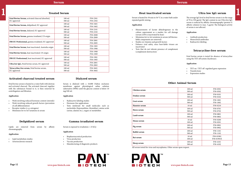|                                                                 | <b>Treated Serum</b>       |                                   | <b>Heat inactivated serum</b>                                                                                                   | Ultra low IgG serum                                                                                                                              |
|-----------------------------------------------------------------|----------------------------|-----------------------------------|---------------------------------------------------------------------------------------------------------------------------------|--------------------------------------------------------------------------------------------------------------------------------------------------|
| Fetal Bovine Serum, activated charcoal absorbed,<br>EU approved | $100 \text{ ml}$<br>500 ml | P30-2301<br>P30-2302              | Serum is heated for 30 min to 56 °C in a water bath under<br>repeated gentle mixing.                                            | The average IgG level in fetal bovine serum is in the range<br>of 70 to 330 µg/ml. The IgG content in our Ultra low IgG                          |
| Fetal Bovine Serum, delipidized, EU approved                    | $100 \text{ ml}$<br>500 ml | P30-3401<br>P30-3402              | Application                                                                                                                     | serum is reduced by affinity chromatography (protein-G<br>affinity column) to max. 5 µg/ml. The biological activity<br>of serum is not affected. |
| Fetal Bovine Serum, dialyzed, EU approved                       | $100 \text{ ml}$<br>500 ml | P30-2101<br>P30-2102              | Measurements of lactate dehydrogenase in the<br>culture supernatant as a marker for cell damage                                 | Application                                                                                                                                      |
| Fetal Bovine Serum, gamma irradiated, US origin                 | $100 \text{ ml}$<br>500 ml | P30-2008<br>P30-2009              | (serum LDH is inactivated by heat)<br>Minimizes lot-to-lot variations in serum (all thermo-                                     | • Antibody production                                                                                                                            |
| FBS EU Professional, gamma irradiated, EU approved              | $100 \text{ ml}$<br>500 ml | P30-2081<br>P30-2085              | labile components are removed)<br>Studies on vitamins and growth factors<br>Enhance viral safety, since heat-labile viruses are | • Monoclonal antibodies<br>• Radioactive labeling                                                                                                |
| Fetal Bovine Serum, heat inactivated, Australia origin          | $100 \text{ ml}$<br>500 ml | P30-1905<br>P30-1906              | inactivated<br>Tests that do not tolerate presence of complement                                                                |                                                                                                                                                  |
| Fetal Bovine Serum, heat inactivated, US origin                 | $100 \text{ ml}$<br>500 ml | P <sub>30</sub> -1908<br>P30-1909 | (complement destruction)                                                                                                        | Tetracycline-free serum                                                                                                                          |
| FBS EU Professional, heat inactivated, EU approved              | $100$ ml<br>500 ml         | P30-1981<br>P30-1985              |                                                                                                                                 | Fetal bovine serum is tested for absence of tetracycline<br>using the TET-off system (luciferase).                                               |
| Ultra low IgG, Fetal bovine serum, EU approved                  | $100 \text{ ml}$<br>500 ml | P30-2801<br>P30-2802              |                                                                                                                                 | Application                                                                                                                                      |
| Tetracycline-free serum, Fetal bovine serum,<br>EU approved     | $100 \text{ ml}$<br>500 ml | P30-3601<br>P30-3602              |                                                                                                                                 | TET-on / TET-off regulated gene expression<br>• Transfections                                                                                    |

## **Activated charcoal treated serum Dialyzed serum**

Fetal bovine serum is heated in a water bath with dextran and activated charcoal. The activated charcoal, together with the substances bound to it, is then removed by centrifugation and filtration.

## **Application**

- Work involving reduced hormone content (steroids)
- Work involving reduced growth factors (prevention of cell differentiation)
- Receptor studies (e. g. estrogens)
- Minimizes lot-to-lot variations in serum

Serum is dialyzed with a 10,000 Dalton exclusion membrane against physiological saline solution (alternative DPBS) until the glucose content is below 10 mg/100 ml.

## **Application**

- Radioactive labeling studies
- Hormone-free applications
- Tests intolerant for small molecules such as nucleotides (hypoxanthine, thymidine), amino acids (serine, alanine etc.), sugars or metabolites

## **Delipidized serum**

Lipids are removed from serum by affinity chromatography.

## **Application**

- Lipid metabolism studies
- Arteriosclerosis research

## **Gamma irradiated serum**

Serum is exposed to irradiation > 25 kGy

## **Application**

- Biopharmaceutical production
- Virus production
- Vaccine production
- Manufacturing of diagnostic products



## **Heat inactivated serum Ultra low IgG serum**

## **Application**

- Antibody production
- Monoclonal antibodies
- Radioactive labeling

## **Application**

- Measurements of lactate dehydrogenase in the culture supernatant as a marker for cell damage (serum LDH is inactivated by heat)
- Minimizes lot-to-lot variations in serum (all thermolabile components are removed)
- Studies on vitamins and growth factors
- Enhance viral safety, since heat-labile viruses are inactivated
- Tests that do not tolerate presence of complement (complement destruction) **Tetracycline-free serum**

## **Application**

- TET-on / TET-off regulated gene expression
- **Transfections**
- Expression studies

| Chicken serum | $100$ ml<br>500 ml          | P30-0301<br>P30-0302    |
|---------------|-----------------------------|-------------------------|
| Donkey serum  | $100$ ml<br>500 ml          | P30-0101<br>P30-0102    |
| Goat serum    | $100$ ml<br>500 ml          | P30-1001<br>P30-1002    |
| Hamster serum | $10 \text{ ml}$             | P30-0210                |
| Horse serum   | $100$ ml<br>500 ml          | P30-0701<br>P30-0702    |
| Lamb serum    | $100$ ml<br>500 ml          | P30-0801<br>P30-0802    |
| Mouse serum   | $10 \text{ ml}$<br>$100$ ml | P30-0200<br>P30-0201    |
| Pig serum     | $100$ ml<br>500 ml          | P30-0901<br>P30-0902    |
| Rabbit serum  | $100$ ml<br>500 ml          | P30-1101<br>P30-1102    |
| Rat serum     | $10 \text{ ml}$<br>$100$ ml | P30-01901<br>P30-01901E |
| Sheep serum   | $100$ ml<br>500 ml          | P30-4101<br>P30-4102    |

## **Other Animal Serum**

All serum tested for virus and mycoplasma. Other serum upon request.

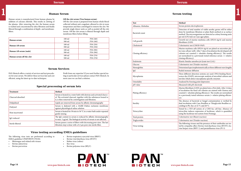## **Serum testing**

rum protein electrophoresis

tection of total number of viable aerobic germs will be either ne by membrane filtration or plate-flush-method or as surface ethod. The microorganisms are detected as colony forming units ml (CFU/ml) on Caso agar plates.

owth test of murine myeloma cells (SP2/0-Ag14) and murine roblasts (L929)

lorimetric test (CHOD-PAP)

arine myeloma cells (SP2/0-Ag14) are plated on microtiter pla-(one cell per well). After 7 days of incubation the developed cell onies are counted  $(= absolute \; cloning \; efficiency)$ . The results normalized to a previously tested reference serum (= relative ning efficiency).

netic limulus amoebocyte lysate test (LAL)

lorimetric test (Trinder reaction)

termined spectrophotometrically at three different wave lengths dial immune diffusion

ree different detection systems are used: DNA-binding fluoreence dye (DAPI), microscopic analysis of microbial cultures and t kits which detect mycoplasma specific enzymes

alyzed by freezing point depression

asured with pH-electrode

arine fibroblasts (L929) are plated into a Petri dish. After 14 days incubation the fixed cell colonies are stained with Giemsa and unted  $(= absolute$  plating efficiency). The results are normalized a previously tested reference serum (= relative plating efficien-

e absence of bacterial or fungal contamination is verified by al incubation with Caso-Bouillon or Thioglycolat-Bouillon acrding to Ph. Eur. at 32 °C and 20 °C

sted by a TET-off system of a CHO-luc cell line. Absence of racyline induces expression of luciferase, which is quantified ng the luciferase test system from Promega.

lorimetric test (Biuret reaction)

lorimetric test (Trinder reaction)

# **1 Human Serum** 1 **Human Serum** 1 **Human** Serum testing

Human serum is manufactured from human plasma by addition of calcium chloride. This results in clotting of the plasma. After removing the clot, the human serum is washed and concentrated by ultra-filtration and finally filtered through a combination of depth- and membranefilters.

## **Off-the-clot serum (True human serum)**

Off-the-clot serum is prepared from human whole blood collected without anti-coagulant, allowed to clot at room temperature and then centrifuged to remove the clot. We provide single donor units as well as pooled off-the-clot serum. Off-the-clot serum is filtered through depth and membrane filters before filling.

| Human serum              | $100$ ml<br>500 ml         | P30-2401<br>P30-2402              |
|--------------------------|----------------------------|-----------------------------------|
| Human AB serum           | $100 \text{ ml}$<br>500 ml | P30-2501<br>P30-2502              |
| Human AB serum (male)    | $100 \text{ ml}$<br>500 ml | P <sub>30</sub> -2901<br>P30-2902 |
| Human serum off-the-clot | $100$ ml<br>500 ml         | P30-2701<br>P30-2702              |

## **Serum Services**

PAN-Biotech offers a variety of services and test procedures for your serum. We deliver these services fast and cost efficient, using the latest up-to-date techniques.

Profit from our expertise! If you need further special testing or particular services please contact PAN-Biotech. In most cases we can find a solution.

## **Special processing of serum lots**

| <b>Treatment</b>  | Method                                                                                                                                                                                           |
|-------------------|--------------------------------------------------------------------------------------------------------------------------------------------------------------------------------------------------|
| Charcoal absorbed | Serum is heated in a water bath with dextran and activated charco-<br>al. The activated charcoal, together with the substances bound to<br>it, is then removed by centrifugation and filtration. |
| Delipidized       | Lipids are removed from serum by affinity chromatography                                                                                                                                         |
| Dialyzed          | Serum is dialyzed with a 10,000 Dalton exclusion membrane<br>against physiological saline solution                                                                                               |
| Heat inactivated  | Serum is heated for 30 min to 56 °C in a water bath under repeated<br>gentle mixing                                                                                                              |
| IgG reduced       | The IgG content in serum is reduced by affinity chromatography<br>to max. 5 µg/ml. The biological activity of serum is not affected.                                                             |
| Sterile filtered  | Serum passes a series of filters with decreasing pore sizes. The last<br>filtration step is done with a 0.2 µm pore size sterile filter.                                                         |

e following viruses and the presence of their antibodies are tesby cytopathic effect: Bovine viral diarrhoea virus (BVDV), bovine herpes virus (BHV 1) and parainfluenza virus (PI-3)

| <b>Test</b>        | Method                                                |
|--------------------|-------------------------------------------------------|
| Albumin, Globulins | Serum p                                               |
| Bacterial count    | Detectic<br>done by<br>method.<br>per ml (            |
| Cell growth        | Growth<br>fibroblas                                   |
| Cholesterol        | Colorim                                               |
| Cloning efficiency | Murine<br>tes (one<br>colonies<br>are norr<br>cloning |
| Endotoxin          | Kinetic <sup>1</sup>                                  |
| Glucose            | Colorim                                               |
| Hemoglobin         | Determi                                               |
| IgG                | Radial is                                             |
| Mycoplasma         | Three di<br>scence d<br>test kits                     |
| Osmolality         | Analyze                                               |
| pH value           | Measure                                               |
| Plating efficiency | Murine<br>of incub<br>counted<br>to a prev<br>cy).    |
| Sterility          | The abs<br>dual inc<br>cording                        |
| Tetracycline       | Tested b<br>tetracyli<br>using th                     |
| Total protein      | Colorim                                               |
| Triglycerides      | Colorim                                               |
| Virus testing      | The follo<br>ted by cy<br>vine her                    |



## **Virus testing according EMEA guidelines**

The following virus tests are performed according to EMEA guideline CPMP/BWP/1793/02:

- Bluetongue and related orbi viruses
- Bovine adenovirus
- Bovine parvovirus
- Bovine respiratory syncytial virus (BRSV)
- Bovine viral diarrhoea virus (BVDV)
- Rabies virus (rabies)
- Reo virus
- Bovine polyoma virus (BPyV)

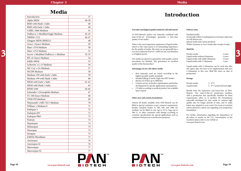

PAN

# **Introduction**

## **You only want highest quality media for cell cultivation?**

At PAN-Biotech, perfect raw materials combined with state-of-the-art technologies guarantee a first-class quality of our media.

Water is the most important component of liquid media, which is why water purity is of outstanding importance for the quality of media. The water we use generally has a very low endotoxin level of < 0.005 EU/ml, and therefore is of highest purity.

Our media are placed in quarantine until quality control procedures are finished. This guarantees an excellent quality of the final product.

## **Advantages of our cell culture media**

- Raw materials used are tested according to the highest possible quality standards
- Standard filling in sterile, high-class PET bottles
- Batches of 10 litre up to 4000 litre
- Custom service of product optimisation and further development for specific applications and purposes
- CE-label according to medical product law available upon request

## **Other sizes and custom formulation**

Almost all media available from PAN-Biotech can be filled in special containers as per customer requirement. Besides standard bottles in 100, 500, and 1000 ml, medium can be filled in cans (up to 10 L), bags (up to 500 L), or other containers with fittings according to customer specifications for special applications such as continous feed process or production purposes.

## **Delivery time**

Standard media: In principle within 3 working days in Germany; otherwise we will inform you. Special media and custom products: Within Germany in 4 to 6 weeks after receipt of order.

## **Shelf life**

| Powder media                       | 2 years |
|------------------------------------|---------|
| Liquid media without Glutamine     | 2 years |
| Liquid media with stable Glutamine | 2 years |
| Liquid media with L-Glutamine      | 1 year  |

Liquid media with L-Glutamine can be used also after the expiry date, but have to be supplemented with new L-Glutamine in this case. Shelf life starts on date of production!

## **Storage**

| Powder media | $2 - 8^{\circ}$ C.                     |
|--------------|----------------------------------------|
| Liquid media | $2 - 8^{\circ}$ C protected from light |

Benefit from the experience and know-how of PAN-Biotech. Our state-of-the-art production facilities, with a production line specifically installed for these requirements, allow us to produce the formulations especially developed for your needs in constant high quality also for longer periods of time, and to make batch sizes adapted to your need. Our team of scientists will be pleased to advise you regarding your proprietary formulation.

For further information regarding the dependency of ph-values in media on the CO 2 concentration in the incubator please refer to our website at www.pan-biotech.com.

3

# **Media**

| Introduction                        | 37        |
|-------------------------------------|-----------|
| Alpha MEM                           | 38-39     |
| <b>BME</b> with Hank's Salts        | 40        |
| <b>BME</b> with Earle's Salts       | 40        |
| CMRL-1066 Medium                    | 41        |
| Dulbecco's Modified Eagle Medium    | $42 - 45$ |
| DMEM / F12                          | 46-47     |
| Glasgow MEM (BHK21)                 | 48        |
| Grace's Insect Medium               | 49        |
| Ham's F10 Medium                    | 50        |
| Ham's F12 Medium                    | 51        |
| Iscove's Modified Dulbecco's Medium | $52 - 53$ |
| IPL-41 Insect Medium                | 54        |
| Joklik-MEM                          | 55        |
| Leibovitz's L-15 Medium             | 56        |
| MC Coy's 5A Medium                  | 57        |
| <b>MCDB</b> Medium                  | 58        |
| Medium 199 with Earle's Salts       | 59        |
| Medium 199 with Hank's Salts        | 60        |
| MEM with Earle's Salts              | $61 - 62$ |
|                                     |           |
| MEM with Hank's Salts               | 63        |
| <b>RPMI 1640</b>                    | 64-66     |
| Schneider's Drosophila Medium       | 67        |
| TC 100 Insect Medium                | 68        |
| TNM-FH Medium                       | 69        |
| Waymouth's MB 752/1 Medium          | 70        |
| William's Medium E                  | 71        |
| Endopan 3                           | 72        |
| Endopan MV                          | 72        |
| Endopan PRO                         | 73        |
| Pantum                              | 74        |
| Hepatopan                           | 74        |
| Melanopan                           | 74        |
| Neuropan                            | 75        |
| Stempan                             | 75        |
| <b>EMEM Fibroblasts</b>             | 75        |
| Amniopan                            | 76        |
| Amniopan S2                         | 76        |
| Marrowpan                           | 77        |

3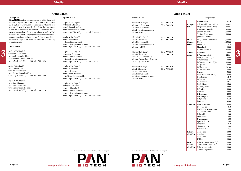## **Alpha MEM**

## **Composition**

|                 | Components                           | mg/L     |
|-----------------|--------------------------------------|----------|
|                 |                                      |          |
| Inorganic       | Calcium chloride x 2H <sub>2</sub> O | 264.92   |
| <b>Salts</b>    | Magnesium sulfate dried              | 139.52   |
|                 | Potassium chloride                   | 400.00   |
|                 | Sodium chloride                      | 6,800.00 |
|                 | Sodium dihydrogen                    | 140.00   |
|                 | phosphate x H <sub>2</sub> O         |          |
| Other           | $D(+)$ -Glucose anhydrous            | 1,000.00 |
| Compo-          | Hepes                                | 5,958.00 |
| nents           | Lipoic acid                          | 0.20     |
|                 | Phenol red                           | 10.00    |
|                 | Sodium pyruvate                      | 110.00   |
| Amino           | L-Alanine                            | 25.00    |
| <b>Acids</b>    | L-Arginine x HCl                     | 126.64   |
|                 | L-Asparagine x H <sub>2</sub> O      | 50.00    |
|                 | L-Aspartic acid                      | 30.00    |
|                 | L-Cysteine x HCl x H <sub>2</sub> O  | 100.00   |
|                 | L-Cystine                            | 24.00    |
|                 | L-Glutamine                          | 292.00   |
|                 | L-Glutamic acid                      | 75.00    |
|                 | Glycine                              | 50.00    |
|                 | L-Histidine x HCl x H <sub>2</sub> O | 42.00    |
|                 | L-Isoleucine                         | 52.40    |
|                 | L-Leucine                            | 52.40    |
|                 | L-Lysine x HCl                       | 72.47    |
|                 | L-Methionine                         | 15.00    |
|                 | L-Phenylalanine                      | 32.00    |
|                 | L-Proline                            | 40.00    |
|                 | L-Serine                             | 25.00    |
|                 | L-Threonine                          | 48.00    |
|                 | L-Tryptophan                         | 10.00    |
|                 | L-Tyrosine                           | 36.20    |
|                 | L-Valine                             | 46.00    |
| <b>Vitamins</b> | L-Ascorbic acid                      | 50.00    |
|                 | $D(+)$ -Biotin                       | 0.10     |
|                 | D-Calcium pantothenate               | 1.00     |
|                 | Choline chloride                     | 1.00     |
|                 | Folic acid                           | 1.00     |
|                 | myo-Inositol                         | 2.00     |
|                 | Nicotinamide                         | 1.00     |
|                 | Pyridoxal x HCl                      | 1.00     |
|                 | Riboflavin                           | 0.10     |
|                 | Thiamine x HCl                       | 1.00     |
|                 | Vitamine B12                         | 1.33     |
| Ribonu-         | Adenosine                            | 10.00    |
| cleosides       | Cytidine                             | 10.00    |
|                 | Guanosine                            | 10.00    |
|                 | Uridine                              | 10.00    |
| Deoxy-          | 2'-Deoxyadenosine x H <sub>2</sub> O | 10.00    |
| ribonu-         | 2'-Deoxycytidine x HCl               | 11.00    |
| cleosides       | 2'-Deoxyguanosine                    | 10.00    |
|                 | 2'-Deoxythymidine                    | 10.00    |

Alpha MEM Eagle (2) without Glutamine without Phenol red without Ribonucleosides without Deoxyribonucleosides with 2.2 g/L NaHCO<sub>3</sub> 500 ml P04-21051

| Description |
|-------------|
|-------------|

## **Alpha MEM Special Media**

| Description                                                                                                      | Special Media                                         | <b>Powder Media</b>                                                            |        | Composition                                |          |  |
|------------------------------------------------------------------------------------------------------------------|-------------------------------------------------------|--------------------------------------------------------------------------------|--------|--------------------------------------------|----------|--|
| Alpha MEM is a different formulation of MEM Eagle and<br>contains a higher concentration of amino acids. It also | Alpha MEM Eagle $(2)$                                 |                                                                                |        | Components                                 | mg/L     |  |
| has a higher concentration of lipoic acid, vitamins and                                                          | without L-Glutamine                                   | Alpha MEM Eagle $(1)$<br>10 L P03-2410<br>without L-Glutamine<br>50 L P03-2450 |        | <b>Inorganic</b> Calcium chloride x $2H2O$ | 264.92   |  |
| pyruvate. Primarily it was developed for the cultivation                                                         | with Ribonucleosides                                  | with Ribonucleosides                                                           | Salts  | Magnesium sulfate dried                    | 139.52   |  |
| of hamster kidney cells, but today it is used for a broad                                                        | with Deoxyribonucleosides                             | with Deoxyribonucleosides                                                      |        | Potassium chloride                         | 400.00   |  |
| range of mammalian cells. Among others the alpha MEM                                                             | 500 ml P04-21150<br>with 2.2 $g/L$ NaHCO <sub>3</sub> | without NaHCO <sub>3</sub>                                                     |        | Sodium chloride                            | 6,800.00 |  |
| promotes the growth and progeny of bone marrow cells in                                                          |                                                       |                                                                                |        | Sodium dihydrogen                          | 140.00   |  |
| suspension culture and monolayer. A further possibility                                                          | Alpha MEM Eagle <sup>(2)</sup>                        | Alpha MEM Eagle <sup>(1)</sup><br>10 L P03-2510                                |        | phosphate $x H2O$                          |          |  |
| is the use as a separation medium or for the out-breeding                                                        | with L-Glutamine                                      | with L-Glutamine<br>50 L P03-2550                                              | Other  | $D(+)$ -Glucose anhydrous                  | 1,000.00 |  |
| of amniotic cells.                                                                                               | without Ribonucleosides                               | with Ribonucleosides                                                           | Compo- | Hepes                                      | 5,958.00 |  |
|                                                                                                                  | without Deoxyribonucleosides                          | with Deoxyribonucleosides                                                      | nents  | Lipoic acid                                | 0.20     |  |
| Liquid Media                                                                                                     | 500 ml P04-21060<br>with 2.2 g/L NaHCO <sub>3</sub>   | without NaHCO <sub>3</sub>                                                     |        | Phenol red                                 | 10.00    |  |
|                                                                                                                  |                                                       |                                                                                |        | Sodium pyruvate                            | 110.00   |  |
| Alpha MEM Eagle <sup>(1)</sup>                                                                                   | Alpha MEM Eagle <sup>(2)</sup>                        | Alpha MEM Eagle <sup>(1)</sup><br>10 L P03-2310                                | Amino  | L-Alanine                                  | 25.00    |  |
| without L-Glutamine                                                                                              | with stab. Glutamine                                  | with L-Glutamine<br>50 L P03-2350                                              | Acids  | L-Arginine x HCl                           | 126.64   |  |
| without Ribonucleosides                                                                                          | without Ribonucleosids                                | without Ribonucleosides                                                        |        | L-Asparagine $x H2O$                       | 50.00    |  |
| without Deoxyribonucleosides                                                                                     | without Deoxyribonucleosids                           | without Deoxyribonucleosides                                                   |        | L-Aspartic acid                            | 30.00    |  |
| with 2.2 g/L NaHCO <sub>3</sub><br>500 ml P04-21050                                                              | 500 ml P04-21350<br>with 2.2 g/L NaHCO <sub>3</sub>   | with 2.2 $g/L$ NaHCO <sub>3</sub>                                              |        | L-Cysteine x HCl x $H2O$                   | 100.00   |  |
|                                                                                                                  |                                                       |                                                                                |        | L-Cystine                                  | 24.00    |  |
| Alpha MEM Eagle <sup>(1)</sup>                                                                                   | Alpha MEM Eagle <sup>(2)</sup>                        | Alpha MEM Eagle <sup>(1)</sup><br>10 L P03-2610                                |        | L-Glutamine                                | 292.00   |  |
| with L-Glutamine                                                                                                 | with L-Glutamine                                      | with L-Glutamine<br>50 L P03-2650                                              |        | L-Glutamic acid                            | 75.00    |  |
| with Ribonucleosides                                                                                             | without Glucose                                       | with 25 mM Hepes                                                               |        | Glycine                                    | 50.00    |  |
| with Deoxyribonucleosides                                                                                        | with Ribonucleosides                                  | with Ribonucleosides                                                           |        | L-Histidine x HCl x H <sub>2</sub> O       | 42.00    |  |
| with 2.2 $g/L$ NaHCO <sub>3</sub><br>500 ml P04-21500                                                            | with Deoxyribonucleosides                             | with Deoxyribonucleosides                                                      |        | L-Isoleucine                               | 52.40    |  |
|                                                                                                                  | with 2.2 $g/L$ NaHCO <sub>3</sub><br>500 ml P04-21502 | without NaHCO <sub>3</sub>                                                     |        | L-Leucine                                  | 52.40    |  |



## **Liquid Media**

Alpha MEM Eagle<sup>(1)</sup> with stab. Glutamin with Ribonucleosides with Deoxyribonucleosides with 2.2 g/L NaHCO<sub>3</sub> 500 ml P04-21250

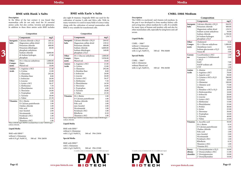$\text{BME}$  with  $\text{EBSS}^{(2)}$ with L-Glutamine with 2.2 g/L NaHCO<sub>3</sub> 500 ml P04-25500<br>(1) usually on stock, (2) minimum order 101, (3) available upon request

## **CMRL-1066 Medium**

**Description Composition**

The CMRL is a nucleosid- and vitamin-rich medium. In the past it was developed to clone monkey-kidney cells and as long time culture medium for L-cells. It is suitable for many types of human and monkey cells and also for other mammalian cells, especially by using horse and calf serum.

### **Liquid Media**

#### **Special Media**

 $(1)$  usually on stock,  $(2)$  minimum order 10 l,  $(3)$  available upon request





|                   | Components                               | mg/L           |
|-------------------|------------------------------------------|----------------|
| Inorganic         | Calcium chloride x 2H <sub>2</sub> O     | 264.92         |
| Salts             | Potassium chloride                       | 400.00         |
|                   | Magnesium sulfate dried                  | 139.55         |
|                   | Sodium acetate anhydrous                 | 50.00          |
|                   | Sodium chloride                          | 6,799.00       |
|                   | di-Sodium hydrogen                       | 139.75         |
|                   | phosphate x H <sub>2</sub> O             |                |
| Other             | Cholesterol                              | 0.20           |
| Compo-            | $D(+)$ -Glucose anhydrous                | 1,000.00       |
| nents             | Glutathione (red.)                       | 10.00          |
|                   | Sodium glucuronate x H <sub>2</sub> O    | 4.00           |
|                   | Tween 80                                 | 5.00           |
| Coenzy-           | Cocarboxylase x HCl                      | 1.00           |
| me                | Coenzyme A Trilithiumsalt                | 2.60           |
|                   | x 2H, O                                  |                |
|                   | <b>NAD</b>                               | 7.00           |
|                   | NADP sodium salt                         | 1.00           |
|                   | <b>UTP</b>                               | 1.00           |
| Amino             | L-Alanine                                | 25.00          |
| Acids             | L-Arginine x HCl                         | 70.00          |
|                   | L-Aspartic acid                          | 30.00          |
|                   | L-Cysteine x HCl x H <sub>2</sub> O      | 260.00         |
|                   | L-Cystine                                | 20.00          |
|                   | L-Glutamine                              | 100.00         |
|                   | L-Glutamic acid                          | 75.00          |
|                   | Glycine                                  | 50.00          |
|                   | L-Histidine x HCl x H <sub>2</sub> O     | 20.00          |
|                   | L-Hydroxyproline                         | 10.00          |
|                   | L-Isoleucine                             | 20.00          |
|                   | L-Leucine                                | 60.00          |
|                   | L-Lysine x HCl                           | 70.00          |
|                   | L-Methionine                             | 15.00          |
|                   | L-Phenylalanine                          | 25.00          |
|                   | L-Proline                                | 40.00          |
|                   | L-Serine                                 | 25.00          |
|                   | L-Threonine                              | 30.00          |
|                   | L-Tryptophan                             | 10.00          |
|                   | L-Tyrosine                               | 40.00          |
|                   | L-Valine                                 | 25.00          |
| <b>Vitamins</b>   | L-Ascorbic acid                          | 50.00          |
|                   |                                          | 0.10           |
|                   | $D(+)$ -Biotin<br>D-Calcium pantothenate | 1.00           |
|                   | Choline chloride                         | 1.00           |
|                   | Folic acid                               | 1.00           |
|                   | myo-Inositol                             | 2.00           |
|                   | Nicotinamide                             | 1.00           |
|                   | Pyridoxal x HCl                          | 1.00           |
|                   | Riboflavin                               | 0.10           |
|                   | Thiamine x HCl                           | 1.00           |
|                   | Vitamine B12                             | 1.33           |
|                   |                                          |                |
| Deoxy-<br>ribonu- | 2'-Deoxyadenosine x H <sub>2</sub> O     | 10.00          |
| cleosides         | 2'-Deoxycytidine x HCl                   | 11.00<br>10.00 |
|                   | 2'-Deoxyguanosine<br>2'-Deoxythymidine   | 10.00          |
|                   |                                          |                |

## **BME with Earle´s Salts**

## **Description**

In the fifties of the last century it was found that mammalian cells do not only need the 10 essential amino acids, but also cystine, tyrosine and glutamine. In addition to these three amino acids BME includes

**Composition**

### **Liquid Media**

 $BME$  with  $HBSS^{(1)}$ without L-Glutamine with 0.35 g/L NaHCO<sub>3</sub> 500 ml P04-26050

When 5,958.00 mg/L HEPES is included there is only 7,500.00 mg/L sodium chloride. **Liquid Media**

#### **Special Media**

## **BME with Hank´s Salts**

|                  | Components                                                       | mg/L     |
|------------------|------------------------------------------------------------------|----------|
| Inorganic        | Calcium chloride x 2H <sub>2</sub> O                             | 264.92   |
| <b>Salts</b>     | Magnesium sulfate dried                                          | 139.52   |
|                  | Potassium chloride                                               | 400.00   |
|                  | Sodium chloride                                                  | 6,800.00 |
|                  | Sodium dihydrogen                                                | 140.00   |
|                  | phosphate x H <sub>2</sub> O                                     |          |
| Other            | $D(+)$ -Glucose anhydrous                                        | 1,000.00 |
| Compo-           | Hepes                                                            | 5,958.00 |
| nents            | Phenol red                                                       | 10.00    |
| Amino            | L-Arginine x HCl                                                 | 21.00    |
| <b>Acids</b>     | L-Cystine                                                        | 12.00    |
|                  | L-Glutamine                                                      | 292.00   |
|                  | L-Histidine Base                                                 | 8.00     |
|                  | L-Isoleucine                                                     | 26.00    |
|                  | L-Leucine                                                        | 26.00    |
|                  | L-Lysine x HCl                                                   | 36.47    |
|                  | L-Methionine                                                     | 7.50     |
|                  | L-Phenylalanine                                                  | 16.50    |
|                  | L-Threonine                                                      | 24.00    |
|                  | L-Tryptophan                                                     | 4.00     |
|                  | L-Tyrosine                                                       | 18.00    |
|                  | L-Valine                                                         | 23.50    |
| <b>Vitamins</b>  | $D(+)$ -Biotin                                                   | 1.00     |
|                  | D-Calcium pantothenate                                           | 1.00     |
|                  | Choline chloride                                                 | 1.00     |
|                  | Folic acid                                                       | 1.00     |
|                  | myo-Inositol                                                     | 2.00     |
|                  | Nicotinamide                                                     | 1.00     |
|                  | Pyridoxal x HCl                                                  | 1.00     |
|                  | Riboflavin                                                       | 0.10     |
|                  | Thiamine x HCl                                                   | 1.00     |
| sodium chloride. | When 5,958.00 mg/L HEPES is included there is only 6,300.00 mg/L |          |

 $BME$  with  $E BSS<sup>(1)</sup>$ without L-Glutamine with 2.2 g/L NaHCO<sub>3</sub> 500 ml P04-25050

| Components<br><b>Inorganic</b> Calcium chloride x $2H$ , O<br><b>Salts</b><br>Potassium chloride<br>Potassium dihydrogen<br>phosphate anhydrous<br>Sodium chloride |                                                                                                                                                                                                                                                                                                                                | mg/L                                                             |                                                                                                                                                                                                                                                                                                                                                             | Components                                                                                                                                                                            | mg/L                                                                                                                | Liquid Media                                                  |                                                                                                                                                                                                                                 | ai-soaium nyarogen<br>phosphate $x H2O$                                                                                             | 139.75                                                                        |  |
|--------------------------------------------------------------------------------------------------------------------------------------------------------------------|--------------------------------------------------------------------------------------------------------------------------------------------------------------------------------------------------------------------------------------------------------------------------------------------------------------------------------|------------------------------------------------------------------|-------------------------------------------------------------------------------------------------------------------------------------------------------------------------------------------------------------------------------------------------------------------------------------------------------------------------------------------------------------|---------------------------------------------------------------------------------------------------------------------------------------------------------------------------------------|---------------------------------------------------------------------------------------------------------------------|---------------------------------------------------------------|---------------------------------------------------------------------------------------------------------------------------------------------------------------------------------------------------------------------------------|-------------------------------------------------------------------------------------------------------------------------------------|-------------------------------------------------------------------------------|--|
|                                                                                                                                                                    | Magnesium sulfate dried                                                                                                                                                                                                                                                                                                        | 185.44<br>139.52<br>400.00<br>60.00<br>8,000.00                  | <b>Inorganic</b> Calcium chloride x $2H2O$<br>264.92<br>Magnesium sulfate dried<br>139.52<br>Salts<br>$CMRL - 1066^{(1)}$<br>Potassium chloride<br>400.00<br>without L-Glutamine<br>Sodium chloride<br>6,800.00<br>without Phenol red<br>Sodium dihydrogen<br>140.00<br>with 2.2 g/L NaHCO <sub>3</sub><br>500 ml P04-84600<br>phosphate x H <sub>2</sub> O | Other<br>Compo-<br>nents                                                                                                                                                              | Cholesterol<br>$D(+)$ -Glucose anhydrous<br>Glutathione (red.)<br>Sodium glucuronate x H <sub>2</sub> O<br>Tween 80 | 0.20<br>1,000.00<br>10.00<br>4.00<br>5.00                     |                                                                                                                                                                                                                                 |                                                                                                                                     |                                                                               |  |
|                                                                                                                                                                    | di-Sodium hydrogen<br>phosphate                                                                                                                                                                                                                                                                                                | 47.88                                                            | Other<br>Compo-                                                                                                                                                                                                                                                                                                                                             | $D(+)$ -Glucose anhydrous<br>Hepes                                                                                                                                                    | 1,000.00<br>5,958.00                                                                                                | <b>Special Media</b>                                          | Coenzy-<br>me                                                                                                                                                                                                                   | Cocarboxylase x HCl<br>Coenzyme A Trilithiumsalt<br>x 2H <sub>2</sub> O                                                             | $1.00\,$<br>2.60                                                              |  |
| Other<br>Compo-<br>nents                                                                                                                                           | $D(+)$ -Glucose anhydrous<br>Hepes<br>Phenol red                                                                                                                                                                                                                                                                               | 1,000.00<br>5,958.00<br>10.00                                    | nents<br>Amino<br>Acids                                                                                                                                                                                                                                                                                                                                     | Phenol red<br>L-Arginine x HCl<br>L-Cystine                                                                                                                                           | 10.00<br>21.00<br>12.00                                                                                             | $CMRL - 1066^{(2)}$<br>with L-Glutamine<br>without Phenol red |                                                                                                                                                                                                                                 | <b>NAD</b><br>NADP sodium salt<br><b>UTP</b>                                                                                        | 7.00<br>1.00<br>1.00                                                          |  |
| Amino<br>Acids                                                                                                                                                     | L-Arginine x HCl<br>21.00<br>12.00<br>L-Cystine<br>L-Glutamine<br>292.00<br>L-Histidine Base<br>8.00<br>L-Isoleucine<br>26.00<br>26.00<br>L-Leucine<br>36.47<br>L-Lysine x HCl<br>L-Methionine<br>7.50<br>L-Phenylalanine<br>16.50<br>L-Threonine<br>24.00<br>4.00<br>L-Tryptophan<br>18.00<br>L-Tyrosine<br>L-Valine<br>23.50 | <b>Vitamins</b>                                                  | L-Glutamine<br>L-Histidine Base<br>L-Isoleucine<br>L-Leucine<br>L-Lysine x HCl<br>L-Methionine<br>L-Phenylalanine<br>L-Threonine<br>L-Tryptophan<br>L-Tyrosine<br>L-Valine<br>$D(+)$ -Biotin<br>D-Calcium pantothenate                                                                                                                                      | 292.00<br>8.00<br>26.00<br>26.00<br>36.47<br>7.50<br>16.50<br>24.00<br>4.00<br>18.00<br>23.50<br>1.00                                                                                 | with 2.2 g/L NaHCO <sub>3</sub><br>500 ml P04-84500                                                                 | Amino<br>Acids                                                | L-Alanine<br>L-Arginine x HCl<br>L-Aspartic acid<br>L-Cysteine x HCl x $H2O$<br>L-Cystine<br>L-Glutamine<br>L-Glutamic acid<br>Glycine<br>L-Histidine x HCl x H <sub>2</sub> O<br>L-Hydroxyproline<br>L-Isoleucine<br>L-Leucine | 25.00<br>70.00<br>30.00<br>260.00<br>20.00<br>100.00<br>75.00<br>50.00<br>20.00<br>10.00<br>20.00<br>60.00                          |                                                                               |  |
| <b>Vitamins</b><br>Folic acid                                                                                                                                      | $D(+)$ -Biotin<br>D-Calcium pantothenate<br>Choline chloride<br>myo-Inositol<br>Nicotinamide<br>Pyridoxal x HCl<br>Riboflavin                                                                                                                                                                                                  | 1.00<br>$1.00\,$<br>1.00<br>1.00<br>2.00<br>1.00<br>1.00<br>0.10 | sodium chloride.                                                                                                                                                                                                                                                                                                                                            | Choline chloride<br>Folic acid<br>myo-Inositol<br>Nicotinamide<br>Pyridoxal x HCl<br>Riboflavin<br>Thiamine x HCl<br>When 5,958.00 mg/L HEPES is included there is only 6,300.00 mg/L | 1.00<br>1.00<br>1.00<br>2.00<br>1.00<br>1.00<br>0.10<br>1.00                                                        |                                                               |                                                                                                                                                                                                                                 | L-Lysine x HCl<br>L-Methionine<br>L-Phenylalanine<br>L-Proline<br>L-Serine<br>L-Threonine<br>L-Tryptophan<br>L-Tyrosine<br>L-Valine | 70.00<br>15.00<br>25.00<br>40.00<br>25.00<br>30.00<br>10.00<br>40.00<br>25.00 |  |
|                                                                                                                                                                    | Thiamine x HCl                                                                                                                                                                                                                                                                                                                 | 1.00                                                             |                                                                                                                                                                                                                                                                                                                                                             |                                                                                                                                                                                       |                                                                                                                     |                                                               | $\mathbf{X}$ and $\mathbf{X}$ and $\mathbf{X}$ and $\mathbf{X}$                                                                                                                                                                 | $\mathbf{r}$ $\mathbf{A}$ $\mathbf{1}$ $\mathbf{A}$ $\mathbf{1}$                                                                    | $F \cap \cap \cap$                                                            |  |

#### **Composition**

also eight B-vitamins. Originally BME was used for the cultivation of murine L-cells and HeLa cells. With its many variations it is used in many fields of science today. Along with the cultivation of normal mammalian cells BME is very suitable for transformed cells.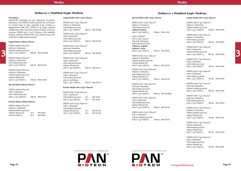

## **Special Media with 1.0 g/L Glucose**

| Description                                              | Liquid Media with 1.0 g/L Glucose                            | Special Media with 1.0 g/L Glucose                      | Liquid Media with 4.5 g/L Glucose                     |
|----------------------------------------------------------|--------------------------------------------------------------|---------------------------------------------------------|-------------------------------------------------------|
| Intrinsically developed for the cultivation of murine    |                                                              |                                                         |                                                       |
| embryonic cells, DMEM is tailor-made for the cultivation | DMEM with 1.0 g/L Glucose <sup>(1)</sup>                     | DMEM with 1.0 $g/L$ Glucose <sup>(2)</sup>              | DMEM with 4.5 $g/L$ Glucose <sup>(1)</sup>            |
| of a broad range of cells, especially if the medium is   | without L-Glutamine                                          | without L-Glutamine                                     | without L-Glutamine                                   |
| supplemented with FBS. DMEM is an Eagle medium           | with Sodium pyruvate                                         | with Sodium pyruvate                                    | without Sodium pyruvate                               |
| modification with a four-fold content of amino acids and | 500 ml P04-01500<br>with 3.7 $g/L$ NaHCO <sub>3</sub>        | without Calcium                                         | 500 ml P04-03500<br>with 3.7 g/L NaHCO <sub>3</sub>   |
| vitamins. DMEM with 1.0 g/L Glucose is the standard      |                                                              | 500 ml P04-01501<br>with 3.7 $g/L$ NaHCO <sub>3</sub>   |                                                       |
| medium, whereas DMEM with 4.5 g/L Glucose is for cells   | DMEM with 1.0 g/L Glucose <sup>(1)</sup><br>with L-Glutamine | SILAC-DMEM <sup>(2)</sup>                               | DMEM with 4.5 $g/L$ Glucose <sup>(1)</sup>            |
| which have a high energy demand.                         |                                                              |                                                         | without L-Glutamine                                   |
|                                                          | with Sodium pyruvate                                         | with 1.0 g/L Glucose<br>with stab. Glutamine            | with Sodium pyruvate                                  |
| Liquid Media without Glucose                             | 500 ml P04-01550<br>with 3.7 g/L NaHCO <sub>3</sub>          |                                                         | 500 ml P04-03600<br>with $3.7$ g/L NaHCO <sub>3</sub> |
| DMEM without Glucose <sup>(1)</sup>                      |                                                              | with Sodium pyruvate                                    |                                                       |
| without L-Glutamine                                      | DMEM with 1.0 g/L Glucose <sup>(1)</sup>                     | without L-Arginin                                       | DMEM with 4.5 $g/L$ Glucose <sup>(1)</sup>            |
| without Sodium pyruvate                                  | with stab. Glutamine                                         | without L-Lysin                                         | with L-Glutamine                                      |
| with 3.7 $g/L$ NaHCO <sub>3</sub><br>500 ml P04-01548S1  | with Sodium pyruvate                                         | with $3.7$ g/L NaHCO <sub>3</sub><br>500 ml P04-02501   | without Sodium pyruvate                               |
|                                                          | 500 ml P04-02500<br>with 3.7 $g/L$ NaHCO <sub>3</sub>        |                                                         | 500 ml P04-03550<br>with $3.7$ g/L NaHCO <sub>3</sub> |
| DMEM without Glucose <sup>(1)</sup>                      |                                                              | DMEM with 1.0 g/L Glucose <sup>(2)</sup>                |                                                       |
| without L-Glutamine                                      | DMEM with 1.0 g/L Glucose <sup>(1)</sup>                     | without L-Glutamine                                     | DMEM with 4.5 $g/L$ Glucose <sup>(1)</sup>            |
| with Sodium pyruvate                                     | with L-Glutamine                                             | without Sodium pyruvate                                 | with L-Glutamine                                      |
| with 3.7 $g/L$ NaHCO <sub>3</sub><br>500 ml P04-01549    | with Sodium pyruvate                                         | without Phenol red                                      | with Sodium pyruvate                                  |
|                                                          | without Phenol red                                           | with $3.7$ g/L NaHCO <sub>3</sub><br>500 ml P04-03556   | 500 ml P04-03590<br>with $3.7$ g/L NaHCO <sub>3</sub> |
| DMEM without Glucose <sup>(1)</sup>                      | with 3.7 $g/L$ NaHCO <sub>3</sub><br>500 ml P04-01515        | DMEM with 1.0 g/L Glucose <sup>(2)</sup>                |                                                       |
| without L-Glutamine                                      |                                                              | without L-Glutamine                                     | DMEM with 4.5 $g/L$ Glucose <sup>(1)</sup>            |
| without Sodium pyruvate                                  | DMEM with 1.0 g/L Glucose <sup>(1)</sup><br>with L-Glutamine | with Sodium pyruvate                                    | with L-Glutamine                                      |
| without Phenol red                                       | with Sodium pyruvate                                         | without Phenol red                                      | with Sodium pyruvate                                  |
| with 3.7 $g/L$ NaHCO <sub>3</sub><br>500 ml P04-01548    | with 25 mM Hepes                                             | 500 ml P04-01159<br>with 3.7 $g/L$ NaHCO <sub>3</sub>   | 500 ml P04-03596<br>with $1.5$ g/L NaHCO <sub>3</sub> |
|                                                          | with 3.7 $g/L$ NaHCO <sub>3</sub><br>500 ml P04-05551        |                                                         |                                                       |
| Special Media without Glucose                            |                                                              | DMEM with 1.0 $g/L$ Glucose <sup>(2)</sup>              | DMEM with 4.5 $g/L$ Glucose <sup>(1)</sup>            |
|                                                          | Powder Media with 1.0 g/L Glucose                            | with stab. Glutamine                                    | with stab. Glutamine                                  |
| DMEM without Glucose <sup>(2)</sup>                      |                                                              | with Sodium pyruvate                                    | without Sodium pyruvate                               |
| with L-Glutamine                                         | DMEM with 1.0 g/L Glucose <sup>(1)</sup>                     | without Phenol red                                      | with $3.7$ g/L NaHCO <sub>3</sub><br>500 ml P04-04500 |
| with Sodium pyruvate                                     | with L-Glutamine                                             | with 3.7 $g/L$ NaHCO <sub>3</sub><br>500 ml P04-02500S1 |                                                       |
| with 3.7 $g/L$ NaHCO <sub>3</sub><br>500 ml P04-01551    | P03-0510<br>with Sodium pyruvate<br>$10\ \mathrm{L}$         |                                                         | DMEM with 4.5 $g/L$ Glucose <sup>(1)</sup>            |
|                                                          | 50 L<br>with 3.7 $g/L$ NaHCO <sub>3</sub><br>P03-0550        | DMEM with 1.0 $g/L$ Glucose <sup>(2)</sup>              | with stab. Glutamine                                  |
| <b>Powder Media without Glucose</b>                      |                                                              | with L-Glutamine                                        | with Sodium pyruvate                                  |
|                                                          | DMEM with 1.0 g/L Glucose <sup>(1)</sup>                     | with Sodium pyruvate                                    | with $3.7$ g/L NaHCO <sub>3</sub><br>500 ml P04-04510 |
| DMEM without Glucose <sup>(1)</sup>                      | with L-Glutamine                                             | without Phenol red                                      |                                                       |
| without L-Glutamine                                      | with Sodium pyruvate                                         | with 3.7 $g/L$ NaHCO <sub>3</sub><br>500 ml P04-01516   | DMEM with 4.5 g/L Glucose <sup>(1)</sup>              |
| without Sodium pyruvate                                  | without Phenol red<br>10L<br>P03-01510                       |                                                         | without L-Glutamine                                   |
| without Phenol red<br>P03-0010<br>10L                    | P03-01550<br>with 3.7 g/L NaHCO <sub>3</sub><br>50 L         | DMEM with 1.0 $g/L$ Glucose <sup>(2)</sup>              | without Sodium pyruvate                               |
| without NaHCO <sub>3</sub><br>50 L<br>P03-0050           |                                                              | with L-Glutamine                                        | without Phenol red                                    |
|                                                          |                                                              | without Sodium pyruvate                                 | with 3.7 g/L NaHCO <sub>3</sub><br>500 ml P04-01161   |
|                                                          |                                                              | with 3.7 g/L NaHCO <sub>3</sub><br>500 ml P04-01555     |                                                       |
|                                                          |                                                              |                                                         | DMEM with 4.5 g/L Glucose <sup>(1)</sup>              |
|                                                          |                                                              |                                                         | without Glutamine                                     |
|                                                          |                                                              |                                                         | with Sodium pyruvate                                  |
|                                                          |                                                              |                                                         | without Phenol red                                    |
|                                                          |                                                              |                                                         | with $3.7$ g/L NaHCO <sub>3</sub><br>500 ml P04-01158 |
|                                                          |                                                              |                                                         | DMEM with 4.5 g/L Glucose <sup>(1)</sup>              |
|                                                          |                                                              |                                                         | with L-Glutamine                                      |
|                                                          |                                                              |                                                         | with Sodium pyruvate                                  |
|                                                          |                                                              |                                                         | without Phenol red                                    |
|                                                          |                                                              |                                                         | with 3.7 g/L NaHCO <sub>3</sub><br>500 ml P04-03591   |
|                                                          |                                                              |                                                         |                                                       |

## **Dulbecco´s Modified Eagle Medium Dulbecco´s Modified Eagle Medium**

### **Description**

## **Liquid Media without Glucose**

#### **Special Media without Glucose**

### **Powder Media without Glucose**

#### **Liquid Media with 1.0 g/L Glucose**

### **Powder Media with 1.0 g/L Glucose**

## **Media**

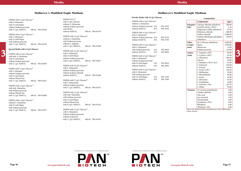## **Dulbecco's Modified Eagle Medium**

When 5,957.50 mg/L HEPES is included there is only 5,400.00 mg/L sodium chloride.

**Page 46**

DMEM with 4.5  $g/L$  Glucose<sup>(2)</sup> with L-Glutamine without Sodium pyruvate without Isoleucine with 3.7 g/L NaHCO<sub>3</sub> 500 ml P04-03503

## **Powder Media with 4.5 g/L Glucose Composition** DMEM with 4.5  $g/L$  Glucose<sup>(1)</sup> without L-Glutamine without Sodium pyruvate 10 L P03-6510 without NaHCO<sub>3</sub>  $50 L$  P03-6550 DMEM with 4.5  $g/L$  Glucose<sup>(1)</sup> with L-Glutamine without Sodium pyruvate 10 L P03-0710 without NaHCO<sub>3</sub> 50 L P03-0750 DMEM with 4.5  $g/L$  Glucose<sup>(1)</sup> with L-Glutamine with Sodium pyruvate 10 L P03-0810 without NaHCO<sub>3</sub> 50 L P03-0850 DMEM with 4.5  $g/L$  Glucose<sup>(1)</sup> with L-Glutamine without Sodium pyruvate with 25 mM Hepes 10 L P03-0910 without NaHCO<sub>3</sub> 50 L P03-0950 DMEM with 4.5  $g/L$  Glucose<sup>(1)</sup> with L-Glutamine with Sodium pyruvate with 25 mM Hepes 10 L P03-1010 without NaHCO<sub>3</sub>  $50 L$  P03-1050



## **Dulbecco´s Modified Eagle Medium**

## **Special Media with 4.5 g/L Glucose**

DMEM with 4.5  $g/L$  Glucose<sup>(2)</sup> without L-Glutamine with 25 mM Hepes with Sodium pyruvate with 3.7 g/L NaHCO<sub>3</sub> 500 ml P04-01597

|                                                                                  | DMEM $(10 x)^{(3)}$                                              |                                                                                            |              | Composition                                                 |                 |  |
|----------------------------------------------------------------------------------|------------------------------------------------------------------|--------------------------------------------------------------------------------------------|--------------|-------------------------------------------------------------|-----------------|--|
| DMEM with 4.5 g/L Glucose <sup>(1)</sup><br>with L-Glutamine<br>with 25 mM Hepes | with 4.5 g/L Glucose<br>without L-Glutamine                      | DMEM with 4.5 $g/L$ Glucose <sup>(1)</sup><br>without L-Glutamine                          |              | Components<br><b>Inorganic</b>   Calcium chloride anhydrous | mg/L<br>200.00  |  |
| without Sodium pyruvate                                                          | without Sodium pyruvate                                          | without Sodium pyruvate 10 L<br>P03-6510<br>50 L<br>P03-6550<br>without NaHCO <sub>3</sub> | <b>Salts</b> | Iron(III) nitrate x 9H <sub>2</sub> O                       | 0.10            |  |
| with 3.7 g/L NaHCO <sub>3</sub><br>500 ml P04-05540                              | with NEAA<br>without NaHCO <sub>3</sub><br>500 ml P04-03510      | DMEM with 4.5 $g/L$ Glucose <sup>(1)</sup>                                                 |              | Magnesium sulfate anhydrous<br>Potassium chloride           | 97.66<br>400.00 |  |
| DMEM with 4.5 g/L Glucose $^{(1)}$                                               |                                                                  | with L-Glutamine                                                                           |              | Sodium chloride                                             | 6,400.00        |  |
| with L-Glutamine                                                                 | DMEM with 4.5 g/L Glucose <sup>(2)</sup>                         | P03-0710<br>without Sodium pyruvate 10 L                                                   |              | Sodium dihydrogen phosphate                                 | 108.69          |  |
| with 25 mM Hepes                                                                 | without L-Glutamine                                              | P03-0750<br>50 L<br>without NaHCO <sub>3</sub>                                             |              | anhydrous                                                   |                 |  |
| with Sodium pyruvate                                                             | with Sodium pyruvate                                             |                                                                                            | Other        | $D(+)$ -Glucose anhydrous                                   | 4,500.00        |  |
| 500 ml P04-05550<br>with 3.7 $g/L$ NaHCO <sub>3</sub>                            | without L-Arginine                                               | DMEM with 4.5 g/L Glucose <sup>(1)</sup>                                                   | Compo-       | Hepes                                                       | 5,958.00        |  |
|                                                                                  | with 3.7 g/L NaHCO <sub>3</sub><br>500 ml P04-03598              | with L-Glutamine                                                                           | nents        | Phenol red                                                  | 15.00           |  |
| Special Media with 4.5 g/L Glucose                                               | DMEM with 4.5 g/L Glucose <sup>(2)</sup>                         | with Sodium pyruvate<br>10L<br>P03-0810                                                    |              | Sodium pyruvate                                             | 110.00          |  |
|                                                                                  | with L-Glutamine                                                 | 50 L<br>P03-0850<br>without NaHCO <sub>2</sub>                                             | Amino        | L-Arginine x HCl                                            | 84.00           |  |
| DMEM with 4.5 $g/L$ Glucose <sup>(2)</sup>                                       | with 25 mM Hepes                                                 | DMEM with 4.5 g/L Glucose <sup>(1)</sup>                                                   | Acids        | L-Cystine x 2HCl                                            | 62.58           |  |
| with stab. L-Glutamine                                                           | without Sodium pyruvate                                          | with L-Glutamine                                                                           |              | L-Glutamine                                                 | 584.00          |  |
| with 25 mM Hepes<br>without Sodium pyruvate                                      | with 2.2 g/L NaHCO <sub>3</sub><br>500 ml P04-04057              | without Sodium pyruvate                                                                    |              | Glycine                                                     | 30.00           |  |
| with 3.7 g/L NaHCO <sub>3</sub><br>500 ml P04-04550                              |                                                                  | P03-0910<br>with 25 mM Hepes<br>10L                                                        |              | L-Histidine x HCl x $H2O$                                   | 42.00           |  |
|                                                                                  | DMEM with 4.5 g/L Glucose <sup>(2)</sup>                         | 50 L<br>without NaHCO <sub>3</sub><br>P03-0950                                             |              | L-Isoleucine                                                | 104.80          |  |
| DMEM with 4.5 g/L Glucose <sup>(2)</sup>                                         | with L-Glutamine                                                 |                                                                                            |              | L-Leucine                                                   | 104.80          |  |
| with L-Glutamin                                                                  | without Sodium pyruvate                                          | DMEM with 4.5 $g/L$ Glucose <sup>(1)</sup>                                                 |              | L-Lysine x HCl                                              | 146.20          |  |
| without Sodium pyruvate                                                          | without Sodium chloride                                          | with L-Glutamine                                                                           |              | L-Methionine                                                | 30.00           |  |
| with 25 mM Hepes                                                                 | without NaHCO <sub>3</sub><br>500 ml P04-03560                   | with Sodium pyruvate                                                                       |              | L-Phenylalanine                                             | 66.00           |  |
| without Phenol red                                                               |                                                                  | P03-1010<br>$10\ {\rm L}$<br>with 25 mM Hepes<br>50 L                                      |              | L-Serine                                                    | 42.00           |  |
| with 3.7 g/L NaHCO <sub>3</sub><br>500 ml P04-05545                              | DMEM with 5.5 g/L Glucose <sup>(2)</sup>                         | without NaHCO <sub>3</sub><br>P03-1050                                                     |              | L-Threonine                                                 | 95.20           |  |
|                                                                                  | with L-Glutmamin                                                 |                                                                                            |              | L-Tryptophan                                                | 16.00<br>103.79 |  |
| DMEM with 4.5 $g/L$ Glucose <sup>(2)</sup>                                       | without Sodium pyruvate                                          |                                                                                            |              | L-Tyrosine x 2Na<br>L-Valine                                | 93.60           |  |
| with stab. Glutamine                                                             | 500 ml P04-03551<br>with $3.7$ g/L NaHCO <sub>3</sub>            |                                                                                            |              |                                                             |                 |  |
| with Sodium pyruvate                                                             |                                                                  |                                                                                            |              | Vitamins   D-Calcium pantothenate                           | 4.00            |  |
| without Phenol red                                                               | DMEM with 4.5 g/L Glucose <sup>(2)</sup><br>with stab. Glutamine |                                                                                            |              | Choline chloride                                            | 4.00            |  |
| with 3.7 g/L NaHCO <sub>3</sub><br>500 ml P04-03588                              | with Sodium pyruvate                                             |                                                                                            |              | Folic acid<br>myo-Inositol                                  | 4.00<br>7.00    |  |
|                                                                                  | with 25 mM Hepes                                                 |                                                                                            |              | Nicotinamide                                                | 4.00            |  |
| DMEM with 4.5 $g/L$ Glucose <sup>(2)</sup>                                       | without Phenol red                                               |                                                                                            |              | Pyridoxine x HCl                                            | 4.00            |  |
| without L-Glutamine<br>with 25 mM Hepes                                          | 500 ml P04-01163<br>with 0.5 g/L NaHCO <sub>3</sub>              |                                                                                            |              | Riboflavin                                                  | 0.40            |  |
| with Sodium pyruvate                                                             |                                                                  |                                                                                            |              | Thiamine x HCl                                              | 4.00            |  |
|                                                                                  |                                                                  |                                                                                            |              |                                                             |                 |  |

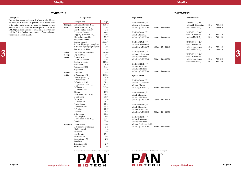## **DMEM/F12**

## **Powder Media**

| DMEM/F12 $(1:1)^{(1)}$     |      |                       |
|----------------------------|------|-----------------------|
| without L-Glutamine        | 10L  | P03-6010              |
| without NaHCO <sub>3</sub> | 50 L | P03-6050              |
| DMEM/F12 $(1:1)^{(1)}$     |      |                       |
| with L-Glutamine           | 10L  | P <sub>0</sub> 3-1110 |
| without NaHCO <sub>3</sub> | 50 L | P03-1150              |
| DMEM/F12 $(1:1)^{(1)}$     |      |                       |
| with L-Glutamine           |      |                       |
| with 15 mM Hepes           | 10L  | P03-6110              |
| without NaHCO <sub>3</sub> | 50 L | P <sub>0</sub> 3-6150 |
| DMEM/F12 $(1:1)^{(1)}$     |      |                       |
| with L-Glutamine           |      |                       |
| with 25 mM Hepes           | 10L  | P <sub>0</sub> 3-1210 |
| without NaHCO <sub>3</sub> | 50 L | P03-1250              |

| <b>Liquid Media</b> |  |  |  |
|---------------------|--|--|--|
|---------------------|--|--|--|

| DMEM/F12 (1:1) <sup>(1)</sup><br>without L-Glutamine<br>with 1.2 g/L NaHCO <sub>3</sub>                     | 500 ml | P04-41450 |
|-------------------------------------------------------------------------------------------------------------|--------|-----------|
| DMEM/F12 (1:1) <sup>(1)</sup><br>with L-Glutamine<br>with 1.2 g/L NaHCO <sub>3</sub>                        | 500 ml | P04-41500 |
| DMEM/F12 (1:1) <sup>(1)</sup><br>with stab. Glutamine<br>with 1.2 g/L NaHCO <sub>3</sub>                    | 500 ml | P04-41150 |
| DMEM/F12 (1:1) <sup>(1)</sup><br>without L-Glutamine<br>with 15 mM Hepes<br>with 1.2 g/L NaHCO <sub>3</sub> | 500 ml | P04-41550 |
| DMEM/F12 (1:1) <sup>(1)</sup><br>with L-Glutamine<br>with 15 mM Hepes                                       |        |           |
| with 1.2 g/L NaHCO <sub>3</sub><br><b>Special Media</b>                                                     | 500 ml | P04-41250 |
| DMEM/F12 (1:1) <sup>(2)</sup><br>without L-Glutamine<br>without Glucose<br>with 1.2 g/L NaHCO <sub>3</sub>  | 500 ml | P04-41151 |
| DMEM/F12 (1:1) <sup>(2)</sup><br>with L-Glutamine<br>with 25 mM Hepes<br>with 1.2 g/L NaHCO <sub>3</sub>    | 500 ml | P04-41252 |
| DMEM/F12 (1:1) <sup>(2)</sup><br>with L-Glutamine<br>without Phenol red                                     |        |           |
| with 1.2 g/L NaHCO <sub>3</sub><br>DMEM/F12 (1:1) <sup>(2)</sup><br>with stab. Glutamine                    | 500 ml | P04-41650 |
| with 15 mM Hepes<br>without Calcium chloride                                                                |        |           |

**DMEM/F12**

**Description** This medium supports the growth of almost all cell lines. For example, it is used for pancreas cells, Sertoli cells or to culture cells, which are used for human protein production. It combines the advantages of both media DMEM (high concentration of amino acids and vitamins) and Ham's F12 (higher concentration of zinc sulphate, putrescine and linoleic acid).

**Composition**



| For example, it is used for pancreas cells, Sertoli cells |                | Components                             | mg/L     | DMEM/F12 $(1:1)^{(1)}$                     |                  | DMEM/F12 $(1:1)^{(1)}$        |               |          |   |
|-----------------------------------------------------------|----------------|----------------------------------------|----------|--------------------------------------------|------------------|-------------------------------|---------------|----------|---|
| or to culture cells, which are used for human protein     | Inorganic      | Calcium chloride x 2H <sub>2</sub> O   | 154.45   | without L-Glutamine                        |                  | without L-Glutamine           | 10L           | P03-6010 |   |
| production. It combines the advantages of both media      | Salts          | Iron(III)-nitrate x 9H,O               | 0.05     | with 1.2 g/L NaHCO <sub>3</sub>            | 500 ml P04-41450 | without NaHCO <sub>2</sub>    | 50 L          | P03-6050 |   |
| DMEM (high concentration of amino acids and vitamins)     |                | Iron(II)-sulfate x 7H <sub>2</sub> O   | 0.42     |                                            |                  |                               |               |          |   |
| and Ham's F12 (higher concentration of zinc sulphate,     |                | Potassium chloride                     | 311.83   | DMEM/F12 $(1:1)^{(1)}$                     |                  | DMEM/F12 $(1:1)^{(1)}$        |               |          |   |
| putrescine and linoleic acid).                            |                | Copper(II)-sulfate x 5H <sub>2</sub> O | 0.001    | with L-Glutamine                           |                  | with L-Glutamine              | 10L           | P03-1110 |   |
|                                                           |                | Magnesium chloride                     | 28.57    | with 1.2 g/L NaHCO <sub>3</sub>            | 500 ml P04-41500 | without NaHCO <sub>2</sub>    | 50 L          | P03-1150 |   |
|                                                           |                | Magnesium sulfate                      | 48.85    |                                            |                  |                               |               |          |   |
|                                                           |                | Sodium chloride                        | 6,999.50 | DMEM/F12 $(1:1)^{(1)}$                     |                  | DMEM/F12 (1:1) <sup>(1)</sup> |               |          |   |
|                                                           |                | Sodium dihydrogen phosphate            | 54.35    | with stab. Glutamine                       |                  | with L-Glutamine              |               |          |   |
|                                                           |                | di-Sodium hydrogen phosphate           | 70.98    | with 1.2 g/L NaHCO <sub>3</sub>            | 500 ml P04-41150 | with 15 mM Hepes              | 10L           | P03-6110 |   |
|                                                           |                | Zinc sulfate x 7H <sub>2</sub> O       | 0.43     |                                            |                  | without NaHCO <sub>2</sub>    | 50 L          | P03-6150 |   |
|                                                           | Other          | $D(+)$ -Glucose anhydrous              | 3,151.0  | DMEM/F12 $(1:1)^{(1)}$                     |                  |                               |               |          | 3 |
|                                                           | Compo-         | Hypoxanthine                           | 2.04     | without L-Glutamine                        |                  | DMEM/F12 $(1:1)^{(1)}$        |               |          |   |
|                                                           | nents          | Linoleic acid                          | 0.04     | with 15 mM Hepes                           |                  | with L-Glutamine              |               |          |   |
|                                                           |                | DL-68-Lipoic acid                      | 0.103    | with 1.2 g/L NaHCO <sub>3</sub>            | 500 ml P04-41550 | with 25 mM Hepes              | 10L           | P03-1210 |   |
|                                                           |                | Sodium pyruvate                        | 110.00   |                                            |                  | without NaHCO <sub>3</sub>    | $50\ {\rm L}$ | P03-1250 |   |
|                                                           |                | Phenol red                             | 8.10     | DMEM/F12 (1:1) <sup>(1)</sup>              |                  |                               |               |          |   |
|                                                           |                | Putrescin x 2HCl                       | 0.081    | with L-Glutamine                           |                  |                               |               |          |   |
|                                                           |                | Thymidine                              | 0.36     | with 15 mM Hepes                           |                  |                               |               |          |   |
|                                                           |                | L-Alanine                              | 4.45     | with 1.2 g/L NaHCO <sub>3</sub>            | 500 ml P04-41250 |                               |               |          |   |
|                                                           | Amino<br>Acids | L-Arginine x HCl                       | 147.35   |                                            |                  |                               |               |          |   |
|                                                           |                | L-Asparagine $x H2O$                   | 7.50     | <b>Special Media</b>                       |                  |                               |               |          |   |
|                                                           |                | L-Aspartic acid                        | 6.65     |                                            |                  |                               |               |          |   |
|                                                           |                | L-Cystine x 2HCl                       | 31.29    | DMEM/F12 $(1:1)^{(2)}$                     |                  |                               |               |          |   |
|                                                           |                | L-Cysteine x HCl x H <sub>2</sub> O    | 17.56    | without L-Glutamine                        |                  |                               |               |          |   |
|                                                           |                | L-Glutamine                            | 365.00   | without Glucose                            |                  |                               |               |          |   |
|                                                           |                | L-Glutamic acid                        | 7.35     | with 1.2 g/L NaHCO <sub>3</sub>            | 500 ml P04-41151 |                               |               |          |   |
|                                                           |                | Glycine                                | 18.75    |                                            |                  |                               |               |          |   |
|                                                           |                | L-Histidine x HCl x H <sub>2</sub> O   | 31.48    | DMEM/F12 $(1:1)^{(2)}$<br>with L-Glutamine |                  |                               |               |          |   |
|                                                           |                | L-Isoleucine                           | 54.37    |                                            |                  |                               |               |          |   |
|                                                           |                | L-Leucine                              | 58.96    | with 25 mM Hepes                           | 500 ml P04-41252 |                               |               |          |   |
|                                                           |                | L-Lysine x HCl                         | 91.37    | with $1.2$ g/L NaHCO <sub>3</sub>          |                  |                               |               |          |   |
|                                                           |                | L-Methionine                           | 17.24    | DMEM/F12 $(1:1)^{(2)}$                     |                  |                               |               |          |   |
|                                                           |                | L-Phenylalanine                        | 35.48    | with L-Glutamine                           |                  |                               |               |          |   |
|                                                           |                | L-Proline                              | 17.27    | without Phenol red                         |                  |                               |               |          |   |
|                                                           |                | L-Serine                               | 26.25    | with 1.2 $g/L$ NaHCO <sub>3</sub>          | 500 ml P04-41650 |                               |               |          |   |
|                                                           |                | L-Threonine                            | 53.55    |                                            |                  |                               |               |          |   |
|                                                           |                | L-Tryptophan                           | 9.02     | DMEM/F12 (1:1) <sup>(2)</sup>              |                  |                               |               |          |   |
|                                                           |                | L-Tyrosine x 2Na x 2H <sub>2</sub> O   | 55.81    | with stab. Glutamine                       |                  |                               |               |          |   |
|                                                           |                | L-Valine                               | 53.00    | with 15 mM Hepes                           |                  |                               |               |          |   |
|                                                           |                | Vitamins $D-(+)$ -Biotine              | 0.004    | without Calcium chloride                   |                  |                               |               |          |   |
|                                                           |                | D-Calcium pantothenate                 | 2.12     | with 1.2 g/L NaHCO <sub>3</sub>            | 500 ml P04-41251 |                               |               |          |   |
|                                                           |                | Cholin chloride                        | 8.98     |                                            |                  |                               |               |          |   |
|                                                           |                | Folic acid                             | 2.66     |                                            |                  |                               |               |          |   |
|                                                           |                | myo-Inositol                           | 12.51    |                                            |                  |                               |               |          |   |
|                                                           |                | Nicotinamide                           | 2.02     |                                            |                  |                               |               |          |   |
|                                                           |                | Pyridoxine x HCl                       | 2.03     |                                            |                  |                               |               |          |   |
|                                                           |                | Riboflavin                             | 0.22     |                                            |                  |                               |               |          |   |
|                                                           |                | Thiamine x HCl                         | 2.17     |                                            |                  |                               |               |          |   |
|                                                           |                | Vitamine B12                           | 0.68     |                                            |                  |                               |               |          |   |
|                                                           |                |                                        |          |                                            |                  |                               |               |          |   |

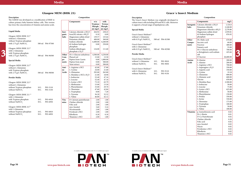**www.pan-biotech.com**

## **Grace´s Insect Medium**

## **Description**

The Grace's Insect Medium was originally developed to culture insect cells including SF9 and SF21 cells. Moreover it supports a broad range of lepidopteran cells.

## **Composition**

## **Special Media**

| Grace's Insect Medium <sup>(2)</sup><br>without L-Glutamine<br>with 0.35 g/L NaHCO $_{3}$ | 500 ml P04-81500 |  |
|-------------------------------------------------------------------------------------------|------------------|--|
| Grace's Insect Medium <sup>(2)</sup><br>with L-Glutamine<br>with 0.35 g/L NaHCO,          | 500 ml P04-82500 |  |
| Powder Media                                                                              |                  |  |

| Grace's Insect Medium <sup>(1)</sup><br>without L-Glutamine<br>without NaHCO <sub>3</sub> | 10 L<br>50 L            | P03-9010<br>P03-9050 |
|-------------------------------------------------------------------------------------------|-------------------------|----------------------|
| Grace's Insect Medium <sup>(1)</sup><br>with L-Glutamine<br>without NaHCO <sub>3</sub>    | 10 <sub>L</sub><br>50 L | P03-9110<br>P03-9150 |



|                 | Components                             | mg/L      |
|-----------------|----------------------------------------|-----------|
| Inorganic       | Calcium chloride x 2H <sub>2</sub> O   | 1,324.6   |
| Salts           | Potassium chloride                     | 2,240.00  |
|                 | Magnesium chloride x 6H <sub>2</sub> O | 2,278.86  |
|                 | Magnesium sulfate dried                | 1,939.81  |
|                 | di-Sodium hydrogen                     | 876.92    |
|                 | phosphate                              |           |
| Other           | DL-Malic acid                          | 670.00    |
| Compo-          | Succinic acid                          | 60.00     |
| nents           | Fructose                               | 400.00    |
|                 | Fumaric acid                           | 55.00     |
|                 | $D(+)$ -Glucose anhydrous              | 700.00    |
|                 | a-Ketoglutaric acid sodium             | 425.66    |
|                 | salt                                   |           |
|                 | D-Sucrose                              | 26,680.00 |
| Amino           | ß-Alanine                              | 200.00    |
| <b>Acids</b>    | L-Alanine                              | 200.00    |
|                 | L-Arginine x HCl                       | 700.00    |
|                 | L-Asparagine x H <sub>2</sub> O        | 350.00    |
|                 | L-Aspartic acid                        | 350.00    |
|                 | L-Cystine                              | 19.18     |
|                 | L-Glutamine                            | 600.00    |
|                 | L-Glutamic acid                        | 600.00    |
|                 | Glycine                                | 650.00    |
|                 | L-Histidine Base                       | 2,500.00  |
|                 | L-Isoleucine                           | 50.00     |
|                 | L-Leucine                              | 75.00     |
|                 | L-Lysine x HCl                         | 625.00    |
|                 | L-Methionine                           | 50.00     |
|                 | L-Phenylalanine                        | 150.00    |
|                 | L-Proline                              | 350.00    |
|                 | L-Serine                               | 550.00    |
|                 | L-Threonine                            | 175.00    |
|                 | L-Tryptophan                           | 100.00    |
|                 | L-Tyrosine                             | 50.00     |
|                 | L-Valine                               | 100.00    |
| <b>Vitamins</b> | p-Aminobenzoic acid                    | 0.02      |
|                 | $D(+)$ -Biotin                         | 0.01      |
|                 | D-Ca-Pantothenate                      | 0.02      |
|                 | Choline chloride                       | 0.20      |
|                 | Folic acid                             | 0.02      |
|                 | myo-Inositol                           | 0.02      |
|                 | Niacin                                 | 0.02      |
|                 | Pyridoxine x HCl                       | 0.02      |
|                 | Riboflavin                             | 0.02      |
|                 | Thiamine x HCl                         | 0.02      |

## **Glasgow MEM (BHK 21)**

## **Description**

The GMEM was developed as a modification of BME to culture primary baby hamster kidney cells. This version has twice the concentration of vitamins and amino acids.

## **Composition**

## **Liquid Media**

|                                     |      |                  |              | $m_{\rm H}$ , $m_{\rm H}$ and $\alpha$ $\rightarrow$ $m_{\rm A}$ | $v \cdot r$ |          |                                                        |          | ur bourant nyurogen             | 0.0001    |  |
|-------------------------------------|------|------------------|--------------|------------------------------------------------------------------|-------------|----------|--------------------------------------------------------|----------|---------------------------------|-----------|--|
| Glasgow-MEM (BHK 21) <sup>(1)</sup> |      |                  | <b>Salts</b> | Magnesium sulfate dried                                          | 139.57      | 125.64   | without L-Glutamine                                    |          | phosphate                       |           |  |
| without L-Glutamine                 |      |                  |              | Potassium chloride                                               | 400.00      | 360.00   | with $0.35$ g/L NaHCO <sub>2</sub><br>500 ml P04-81500 | Other    | DL-Malic acid                   | 670.00    |  |
| without Tryptose phosphate          |      |                  |              | Sodium chloride                                                  | 6,400.00    | 5,260.00 |                                                        | Compo-   | Succinic acid                   | 60.00     |  |
| with 2.75 $g/L$ NaHCO <sub>3</sub>  |      | 500 ml P04-97500 |              | di-Sodium hydrogen                                               | 0.00        | 250.00   | Grace's Insect Medium <sup>(2)</sup>                   | nents    | Fructose                        | 400.00    |  |
|                                     |      |                  |              | phosphate                                                        |             |          | with L-Glutamine                                       |          | Fumaric acid                    | 55.00     |  |
| Glasgow-MEM (BHK 21) <sup>(1)</sup> |      |                  |              | Sodium dihydrogen                                                | 124.00      | 111.60   | with $0.35$ g/L NaHCO <sub>2</sub><br>500 ml P04-82500 |          | $D(+)$ -Glucose anhydrous       | 700.00    |  |
| with L-Glutamine                    |      |                  |              | phosphate x H <sub>2</sub> O                                     |             |          |                                                        |          | α-Ketoglutaric acid sodium      | 425.66    |  |
| with Tryptose phosphate             |      |                  | Other        | $D(+)$ -Glucose anhydrous                                        | 4,500.00    | 4,250.00 | <b>Powder Media</b>                                    |          | salt                            |           |  |
| with 2.75 $g/L$ NaHCO <sub>3</sub>  |      | 500 ml P04-96500 | Com-         | Phenol red                                                       | 15.00       | 13.50    |                                                        |          | D-Sucrose                       | 26,680.00 |  |
|                                     |      |                  | po-          | Pepton from Casein                                               | 0.00        | ,000.00  | Grace's Insect Medium <sup>(1)</sup>                   |          |                                 |           |  |
| <b>Special Media</b>                |      |                  | nents        | Pepton from meat                                                 | 0.00        | 500.00   | without L-Glutamine<br>P03-9010<br>10L                 | Amino    | ß-Alanine                       | 200.00    |  |
|                                     |      |                  |              | Yeast extract                                                    | 0.00        | 500.00   | 50 L<br>without NaHCO <sub>2</sub><br>P03-9050         | Acids    | L-Alanine                       | 200.00    |  |
| Glasgow-MEM (BHK 21) <sup>(2)</sup> |      |                  |              |                                                                  |             |          |                                                        |          | L-Arginine x HCl                | 700.00    |  |
| without L-Glutamine                 |      |                  | Ami-         | L-Arginine x HCl                                                 | 42.00       | 37.80    | Grace's Insect Medium <sup>(1)</sup>                   |          | L-Asparagine x H <sub>2</sub> O | 350.00    |  |
| with Tryptose phosphate             |      |                  | no           | L-Cystine                                                        | 24.00       | 21.60    | with L-Glutamine<br>P03-9110<br>10 <sub>L</sub>        |          | L-Aspartic acid                 | 350.00    |  |
| with 2.75 $g/L$ NaHCO <sub>3</sub>  |      | 500 ml P04-98500 | Acids        | L-Glutamine                                                      | 292.00      | 262.80   | 50 L<br>without NaHCO <sub>2</sub><br>P03-9150         |          | L-Cystine                       | 19.18     |  |
|                                     |      |                  |              | L-Histidine x HCl x H <sub>2</sub> O                             | 21.00       | 18.90    |                                                        |          | L-Glutamine                     | 600.00    |  |
| Powder Media                        |      |                  |              | L-Isoleucine                                                     | 52.40       | 47.16    |                                                        |          | L-Glutamic acid                 | 600.00    |  |
|                                     |      |                  |              | L-Leucine                                                        | 52.40       | 47.16    |                                                        |          | Glycine                         | 650.00    |  |
| Glasgow-MEM (BHK 21) <sup>(1)</sup> |      |                  |              | L-Lysine x HCl                                                   | 73.10       | 65.79    |                                                        |          | L-Histidine Base                | 2,500.00  |  |
| without L-Glutamine                 |      |                  |              | L-Methionine                                                     | 15.00       | 13.50    |                                                        |          | L-Isoleucine                    | 50.00     |  |
| without Tryptose phosphate          | 10L  | P03-3110         |              | L-Phenylalanine                                                  | 33.00       | 29.70    |                                                        |          | L-Leucine                       | 75.00     |  |
| without NaHCO <sub>2</sub>          | 50 L | P03-3150         |              | L-Threonine                                                      | 47.60       | 42.84    |                                                        |          | L-Lysine x HCl                  | 625.00    |  |
|                                     |      |                  |              | L-Tryptophan                                                     | 8.00        | 7.20     |                                                        |          | L-Methionine                    | 50.00     |  |
| Glasgow-MEM (BHK 21) $(1)$          |      |                  |              | L-Tyrosine                                                       | 36.20       | 32.52    |                                                        |          | L-Phenylalanine                 | 150.00    |  |
| with L-Glutamine                    |      |                  |              | L-Valine                                                         | 46.80       | 42.12    |                                                        |          | L-Proline                       | 350.00    |  |
| with Tryptose phosphate             | 10L  | P03-6910         | Vita-        | D-Calcium pantothenate                                           | 2.00        | 1.80     |                                                        |          | L-Serine                        | 550.00    |  |
| without NaHCO <sub>3</sub>          | 50 L | P03-6950         | mins         | Choline chloride                                                 | 2.00        | 1.80     |                                                        |          | L-Threonine                     | 175.00    |  |
|                                     |      |                  |              | Folic acid                                                       | 2.00        | 1.80     |                                                        |          | L-Tryptophan                    | 100.00    |  |
| Glasgow-MEM (BHK 21) <sup>(1)</sup> |      |                  |              | myo-Inositol                                                     | 3.60        | 3.24     |                                                        |          | L-Tyrosine                      | 50.00     |  |
| with L-Glutamine                    |      |                  |              | Nicotinamide                                                     | 2.00        | 1.80     |                                                        |          | L-Valine                        | 100.00    |  |
| without Tryptose phosphate          | 10L  | P03-6810         |              | Pyridoxal x HCl                                                  | 2.00        | 1.80     |                                                        | Vitamins | p-Aminobenzoic acid             | 0.02      |  |
| without NaHCO                       | 50 L | P03-6850         |              | Riboflavin                                                       | 0.20        | 0.18     |                                                        |          | $D(+)$ -Biotin                  | 0.01      |  |
|                                     |      |                  |              | —<br>$T = 0$                                                     | $\sim$ 0.0  |          |                                                        |          | $P_1 \cap P_2 \cup P_3$         | 0.05      |  |

|              | Components                            | w/o<br><b>Tryptose</b> | with<br><b>Trytose</b> |
|--------------|---------------------------------------|------------------------|------------------------|
|              |                                       | Phosph-                | Phosph-                |
|              |                                       | ate mg/L               | ate mg/L               |
| Inor-        | Calcium chloride x 2H <sub>2</sub> O  | 264.92                 | 238.43                 |
| ganic        | Iron(III) nitrate x 9H <sub>2</sub> O | 0.10                   | 0.09                   |
| <b>Salts</b> | Magnesium sulfate dried               | 139.57                 | 125.64                 |
|              | Potassium chloride                    | 400.00                 | 360.00                 |
|              | Sodium chloride                       | 6,400.00               | 6,260.00               |
|              | di-Sodium hydrogen                    | 0.00                   | 250.00                 |
|              | phosphate                             |                        |                        |
|              | Sodium dihydrogen                     | 124.00                 | 111.60                 |
|              | phosphate x H <sub>2</sub> O          |                        |                        |
| Other        | $D(+)$ -Glucose anhydrous             | 4,500.00               | 4,250.00               |
| Com-         | Phenol red                            | 15.00                  | 13.50                  |
| po-          | Pepton from Casein                    | 0.00                   | 1,000.00               |
| nents        | Pepton from meat                      | 0.00                   | 500.00                 |
|              | Yeast extract                         | 0.00                   | 500.00                 |
| Ami-         | L-Arginine x HCl                      | 42.00                  | 37.80                  |
| no           | L-Cystine                             | 24.00                  | 21.60                  |
| Acids        | L-Glutamine                           | 292.00                 | 262.80                 |
|              | L-Histidine x HCl x H <sub>2</sub> O  | 21.00                  | 18.90                  |
|              | L-Isoleucine                          | 52.40                  | 47.16                  |
|              | L-Leucine                             | 52.40                  | 47.16                  |
|              | L-Lysine x HCl                        | 73.10                  | 65.79                  |
|              | L-Methionine                          | 15.00                  | 13.50                  |
|              | L-Phenylalanine                       | 33.00                  | 29.70                  |
|              | L-Threonine                           | 47.60                  | 42.84                  |
|              | L-Tryptophan                          | 8.00                   | 7.20                   |
|              | L-Tyrosine                            | 36.20                  | 32.52                  |
|              | L-Valine                              | 46.80                  | 42.12                  |
| Vita-        | D-Calcium pantothenate                | 2.00                   | 1.80                   |
| mins         | Choline chloride                      | 2.00                   | 1.80                   |
|              | Folic acid                            | 2.00                   | 1.80                   |
|              | myo-Inositol                          | 3.60                   | 3.24                   |
|              | Nicotinamide                          | 2.00                   | 1.80                   |
|              | Pyridoxal x HCl                       | 2.00                   | 1.80                   |
|              | Riboflavin                            | 0.20                   | 0.18                   |
|              | Thiamine x HCl                        | 2.00                   | 1.80                   |

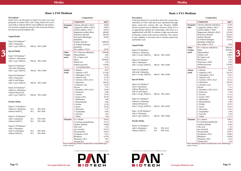## **Description**

## **Ham´s F12 Medium**

### **Composition**

## **Liquid Media**

When 5,958.00 sodium chloride.

| Ham's F12 Medium <sup>(1)</sup><br>without L-Glutamine<br>with $1.176$ g/L NaHCO <sub>3</sub> |                 | 500 ml P04-14550 |
|-----------------------------------------------------------------------------------------------|-----------------|------------------|
| Ham's F12 Medium <sup>(1)</sup><br>with L-Glutamine                                           |                 |                  |
| with 1.176 g/L NaHCO <sub>3</sub>                                                             |                 | 500 ml P04-14500 |
| Ham's $F12$ Medium $(1)$                                                                      |                 |                  |
| with stab. Glutamine                                                                          |                 |                  |
| with 1.176 g/L NaHCO <sub>3</sub>                                                             |                 | 500 ml P04-15500 |
| <b>Special Media</b>                                                                          |                 |                  |
| Ham's F12 Medium <sup>(2)</sup>                                                               |                 |                  |
| with L-Glutamine                                                                              |                 |                  |
| without Phenol red                                                                            |                 |                  |
| with 25 mM Hepes                                                                              |                 |                  |
| with $1.176$ g/L NaHCO <sub>3</sub>                                                           |                 | 500 ml P04-14501 |
| Ham's F12 Medium <sup>(2)</sup>                                                               |                 |                  |
| without L-Glutamine                                                                           |                 |                  |
| without Phenol red                                                                            |                 |                  |
| with $1.176$ g/L NaHCO <sub>3</sub>                                                           |                 | 500 ml P04-14559 |
| Ham's F12K Medium <sup>(2)</sup>                                                              |                 |                  |
| with L-Glutamine                                                                              |                 |                  |
| with $2.5$ g/L NaHCO <sub>3</sub>                                                             |                 | 500 ml P04-15600 |
| <b>Powder Media</b>                                                                           |                 |                  |
| Ham's F12 Medium $(1)$                                                                        |                 |                  |
| with L-Glutamine                                                                              | 10 <sub>L</sub> | P03-4110         |
| without NaHCO <sub>3</sub>                                                                    | 50 L            | P03-4150         |





|                 | Components                                                                                  | mg/L    |
|-----------------|---------------------------------------------------------------------------------------------|---------|
| Inorganic       | Calcium chloride anhydrous                                                                  | 33.30   |
| Salts           | Copper(II) sulfate x 5H <sub>2</sub> O                                                      | 0.003   |
|                 | Iron(II) sulfate x 7H2O                                                                     | 0.834   |
|                 | Magnesium chloride x 6H <sub>2</sub> O                                                      | 122.00  |
|                 | Potassium chloride                                                                          | 223.65  |
|                 | Sodium chloride                                                                             | 7599.9  |
|                 | di-Sodium hydrogen                                                                          | 142.04  |
|                 | phosphate anhydrous                                                                         |         |
|                 | Zinc sulfate $x \, 7H, O$                                                                   | 0.86    |
| Other           | $D(+)$ -Glucose anhydrous                                                                   | 1801.60 |
| Compo-          | Hepes                                                                                       | 5958.00 |
| nents           | Hypoxanthine                                                                                | 4.08    |
|                 | Linoleic acid                                                                               | 0.084   |
|                 | DL-Lipoic acid                                                                              | 0.21    |
|                 | Phenol red                                                                                  | 1.20    |
|                 | Putrescine x 2HCl                                                                           | 0.16    |
|                 | Sodium pyruvate                                                                             | 110.00  |
|                 | Thymidine                                                                                   | 0.73    |
| Amino           | L-Alanine                                                                                   | 8.91    |
| <b>Acids</b>    | L-Arginine x HCl                                                                            | 210.70  |
|                 | L-Asparagine x H <sub>2</sub> O                                                             | 15.01   |
|                 | L-Aspartic acid                                                                             | 13.31   |
|                 | L-Cysteine x HCl x H <sub>2</sub> O                                                         | 35.12   |
|                 | L-Glutamine                                                                                 | 146.20  |
|                 | L-Glutamic acid                                                                             | 14.71   |
|                 | Glycine                                                                                     | 7.51    |
|                 | L-Histidine x HCl x H <sub>2</sub> O                                                        | 20.96   |
|                 | L-Isoleucine                                                                                | 3.94    |
|                 | L-Leucine                                                                                   | 13.12   |
|                 | L-Lysine x HCl                                                                              | 36.54   |
|                 | L-Methionine                                                                                | 4.48    |
|                 | L-Phenylalanine                                                                             | 4.96    |
|                 | L-Proline                                                                                   | 34.53   |
|                 | L-Serine                                                                                    | 10.51   |
|                 | L-Threonine                                                                                 | 11.91   |
|                 | L-Tryptophan                                                                                | 2.04    |
|                 | L-Tyrosine                                                                                  | 5.44    |
|                 | L-Valine                                                                                    | 11.71   |
| <b>Vitamins</b> | $D(+)$ -Biotin                                                                              | 0.007   |
|                 | D-Calcium pantothenate                                                                      | 0.24    |
|                 | Choline chloride                                                                            | 13.96   |
|                 | Folic acid                                                                                  | 1.32    |
|                 | myo-Inositol                                                                                | 18.00   |
|                 | Nicotinamide                                                                                | 0.037   |
|                 | Pyridoxine x HCl                                                                            | 0.062   |
|                 | Riboflavin                                                                                  | 0.038   |
|                 | Thiamine x HCl                                                                              | 0.34    |
|                 | Vitamin B12<br>When 5.958.00 $mg/I$ HEPES is included there is only $7.099.00 \text{ m}g/I$ | 1.36    |
|                 |                                                                                             |         |

## **Ham´s F10 Medium**

## **Description**

### **Liquid Media**

| Ham's F10 Medium <sup>(1)</sup><br>with L-Glutamine<br>with 1.2 g/L NaHCO <sub>3</sub>                       | 500 ml       | P04-12500                                     |
|--------------------------------------------------------------------------------------------------------------|--------------|-----------------------------------------------|
| <b>Special Media</b>                                                                                         |              |                                               |
| Ham's F10 Medium <sup>(2)</sup><br>without L-Glutamine<br>with 1.2 g/L NaHCO <sub>3</sub>                    | 500 ml       | P04-12050                                     |
| Ham's F10 Medium <sup>(2)</sup><br>with stab. Glutamine<br>with 1.2 g/L NaHCO <sub>3</sub>                   |              | 500 ml P04-13500                              |
| Ham's $F10$ Medium <sup>(2)</sup><br>with L-Glutamine<br>with 25 mM Hepes<br>with 1.2 g/L NaHCO <sub>3</sub> |              | 500 ml P04-13050                              |
| Ham's $F10$ Medium $^{(2)}$<br>without L-Glutamine<br>without Phenol red<br>with 1.2 g/L NaHCO <sub>3</sub>  |              | 500 ml P04-12049                              |
| Powder Media                                                                                                 |              |                                               |
| Ham's F-10 Medium <sup>(1)</sup><br>without L-Glutamine<br>without NaHCO <sub>3</sub>                        | 10 L<br>50 L | P03-5010<br>P03-5050                          |
| Ham's $F-10$ Medium $(1)$<br>with L-Glutamine<br>without NaHCO <sub>3</sub>                                  | 10 L<br>50 L | P <sub>0</sub> 3-39 <sub>10</sub><br>P03-3950 |
| Ham's F-10 Medium <sup>(1)</sup><br>with L-Glutamine<br>with 25 mM Hepes<br>without NaHCO <sub>3</sub>       | 10 L<br>50 L | P03-4010<br>P03-4050                          |

| Ham's F10 is an alternative to Ham's F12 and it was used<br>Components<br>mg/L<br>Components<br>primarily to culture CHO-cells. Today, Ham's F10 can be<br>cultivation of CHO-cells and is now substituted through<br>used with or without FBS for many different cell cultures.<br><b>Inorganic</b> Calcium chloride x $2H2O$<br>44.09<br>Inorganic   Calcium chloride anhydrous<br>better serum-free systems like our Panserin C6000,<br>It is used for example for primary cells of rat and chicken,<br><b>Salts</b><br>Copper(II) sulfate $x$ 5H <sub>2</sub> O<br>0.003<br>which is protein-free in addition. However, Ham's F12 is<br>Copper(II) sulfate $x$ 5H <sub>2</sub> O<br>0.003<br>Salts<br>but also for human diploid cells.<br>Iron(II) sulfate x 7H2O<br>Iron(II) sulfate $x$ 7H <sub>2</sub> O<br>0.834<br>an appropriate medium for mammalian cells when it is<br>0.834<br>Magnesium sulfate dried<br>106.06<br>supplemented with FBS. It contains a high concentration<br>Magnesium chloride x 6H <sub>2</sub> O<br>122.00<br>Potassium chloride<br>285.00<br>Potassium chloride<br>of vitamins, amino acids and trace elements. The content<br>223.65<br>Liquid Media<br>Sodium chloride<br>7599.9<br>Potassium dihydrogen<br>83.00<br>of zinc sulphate is increased and it contains putrescine<br>and linoleic acid.<br>di-Sodium hydrogen<br>phosphate<br>142.04<br>Ham's F10 Medium <sup>(1)</sup><br>Sodium chloride<br>7400.00<br>phosphate anhydrous<br>with L-Glutamine<br>di-Sodium hydrogen<br>153.70<br>Zinc sulfate x 7H <sub>2</sub> O<br>0.86<br>Liquid Media<br>500 ml P04-12500<br>with 1.2 $g/L$ NaHCO <sub>3</sub><br>phosphate<br>$D(+)$ -Glucose anhydrous<br>Other<br>Zinc sulfate x 7H <sub>2</sub> O<br>0.029<br>Hepes<br>Compo-<br>Ham's F12 Medium <sup>(1)</sup><br><b>Special Media</b><br>$D(+)$ -Glucose anhydrous<br>Hypoxanthine<br>Other<br>1100.00<br>without L-Glutamine<br>nents<br>Linoleic acid<br>Hypoxanthine<br>4.08<br>Compo-<br>with $1.176$ g/L NaHCO <sub>3</sub><br>500 ml P04-14550<br>Ham's F10 Medium <sup>(2)</sup><br>DL-Lipoic acid<br>DL-a-Lipoic acid<br>0.21<br>nents<br>without L-Glutamine<br>Phenol red<br>5958.00<br>Hepes<br>Ham's F12 Medium <sup>(1)</sup><br>with 1.2 g/L NaHCO <sub>3</sub><br>500 ml P04-12050<br>Putrescine x 2HCl<br>Phenol red<br>1.20<br>with L-Glutamine<br>Sodium pyruvate<br>Sodium pyruvate<br>110.00<br>with 1.176 g/L NaHCO <sub>3</sub><br>500 ml P04-14500<br>Ham's F10 Medium <sup>(2)</sup><br>Thymidine<br>2'- Deoxythymidine<br>0.73<br>with stab. Glutamine<br>Ham's F12 Medium <sup>(1)</sup><br>L-Alanine<br>L-Alanine<br>8.91<br>8.91<br>Amino<br>Amino<br>500 ml P04-13500<br>with 1.2 g/L NaHCO <sub>3</sub><br>with stab. Glutamine<br>210.70<br>L-Arginine x HCl<br>211.00<br>Acids<br>L-Arginine x HCl<br>Acids<br>500 ml P04-15500<br>with $1.176$ g/L NaHCO <sub>3</sub><br>15.01<br>15.00<br>L-Asparagine $x H2O$<br>L-Asparagine $x H2O$<br>Ham's F10 Medium <sup>(2)</sup><br>13.30<br>L-Aspartic acid<br>13.31<br>L-Aspartic acid<br>with L-Glutamine<br><b>Special Media</b><br>L-Cysteine x HCl x H <sub>2</sub> O<br>35.12<br>L-Cysteine x HCl x $H2O$<br>with 25 mM Hepes<br>L-Glutamine<br>L-Glutamine<br>146.20<br>500 ml P04-13050<br>with 1.2 $g/L$ NaHCO <sub>3</sub><br>Ham's F12 Medium <sup>(2)</sup><br>L-Glutamic acid<br>14,70<br>L-Glutamic acid<br>with L-Glutamine<br>7.51<br>Glycine<br>Glycine<br>Ham's F10 Medium <sup>(2)</sup><br>without Phenol red<br>21.00<br>L-Histidine x HCl x H <sub>2</sub> O<br>L-Histidine x HCl x H <sub>2</sub> O<br>without L-Glutamine<br>with 25 mM Hepes<br>L-Isoleucine<br>L-Isoleucine<br>2.60<br>without Phenol red<br>500 ml P04-14501<br>with $1.176$ g/L NaHCO <sub>3</sub><br>13.10<br>L-Leucine<br>L-Leucine<br>500 ml P04-12049<br>with 1.2 $g/L$ NaHCO <sub>3</sub><br>29.30<br>L-Lysine x HCl<br>L-Lysine x HCl<br>Ham's F12 Medium <sup>(2)</sup><br>L-Methionine<br>L-Methionine<br>4.48<br>without L-Glutamine<br>Powder Media<br>L-Phenylalanine<br>4.96<br>L-Phenylalanine<br>without Phenol red<br>L-Proline<br>11.50<br>L-Proline<br>with 1.176 g/L NaHCO <sub>3</sub> 500 ml P04-14559<br>Ham's F-10 Medium <sup>(1)</sup><br>10.50<br>L-Serine<br>L-Serine<br>without L-Glutamine<br>10L<br>P03-5010<br>L-Threonine<br>L-Threonine<br>3.57<br>Ham's F12K Medium <sup>(2)</sup><br>without NaHCO <sub>3</sub><br>50 L<br>P03-5050<br>0.60<br>L-Tryptophan<br>L-Tryptophan<br>with L-Glutamine<br>L-Tyrosine<br>1.81<br>L-Tyrosine<br>with 2.5 g/L NaHCO <sub>3</sub><br>500 ml P04-15600<br>Ham's F-10 Medium <sup>(1)</sup><br>L-Valine<br>L-Valine<br>3.50<br>with L-Glutamine<br>$10\ {\rm L}$<br>P03-3910<br>Vitamins $D(+)$ -Biotin<br>0.007<br>$D(+)$ -Biotin<br>0.024<br><b>Vitamins</b><br>Powder Media<br>without NaHCO <sub>3</sub><br>50 L<br>P03-3950<br>D-Calcium pantothenate<br>D-Calcium pantothenate<br>0.715<br>Choline chloride<br>Choline chloride<br>0.698<br>Ham's F12 Medium <sup>(1)</sup><br>Ham's F-10 Medium <sup>(1)</sup><br>Folic acid<br>1.32<br>Folic acid<br>with L-Glutamine<br>$10\ {\rm L}$<br>P03-4110<br>with L-Glutamine<br>myo-Inositol<br>myo-Inositol<br>0.541<br>50 L<br>without NaHCO <sub>3</sub><br>P03-4150<br>with 25 mM Hepes<br>10L<br>P03-4010<br>Nicotinamide<br>Nicotinamide<br>0.615<br>without NaHCO <sub>3</sub><br>50 L<br>P03-4050<br>Pyridoxine x HCl<br>Pyridoxine x HCl<br>0.21<br>Riboflavin<br>Riboflavin<br>0.376<br>Thiamine x HCl<br>Thiamine x HCl<br>1.01<br>Vitamin B12<br>Vitamin B12<br>1.36<br>When 5,958.00 mg/L HEPES is included there is only 6,900.00 mg/L<br>When 5,958.00 mg/L HEPES is included there is only 7,099.00 mg/L | Description |  | Composition | Description                                                 | Composition |         |
|--------------------------------------------------------------------------------------------------------------------------------------------------------------------------------------------------------------------------------------------------------------------------------------------------------------------------------------------------------------------------------------------------------------------------------------------------------------------------------------------------------------------------------------------------------------------------------------------------------------------------------------------------------------------------------------------------------------------------------------------------------------------------------------------------------------------------------------------------------------------------------------------------------------------------------------------------------------------------------------------------------------------------------------------------------------------------------------------------------------------------------------------------------------------------------------------------------------------------------------------------------------------------------------------------------------------------------------------------------------------------------------------------------------------------------------------------------------------------------------------------------------------------------------------------------------------------------------------------------------------------------------------------------------------------------------------------------------------------------------------------------------------------------------------------------------------------------------------------------------------------------------------------------------------------------------------------------------------------------------------------------------------------------------------------------------------------------------------------------------------------------------------------------------------------------------------------------------------------------------------------------------------------------------------------------------------------------------------------------------------------------------------------------------------------------------------------------------------------------------------------------------------------------------------------------------------------------------------------------------------------------------------------------------------------------------------------------------------------------------------------------------------------------------------------------------------------------------------------------------------------------------------------------------------------------------------------------------------------------------------------------------------------------------------------------------------------------------------------------------------------------------------------------------------------------------------------------------------------------------------------------------------------------------------------------------------------------------------------------------------------------------------------------------------------------------------------------------------------------------------------------------------------------------------------------------------------------------------------------------------------------------------------------------------------------------------------------------------------------------------------------------------------------------------------------------------------------------------------------------------------------------------------------------------------------------------------------------------------------------------------------------------------------------------------------------------------------------------------------------------------------------------------------------------------------------------------------------------------------------------------------------------------------------------------------------------------------------------------------------------------------------------------------------------------------------------------------------------------------------------------------------------------------------------------------------------------------------------------------------------------------------------------------------------------------------------------------------------------------------------------------------------------------------------------------------------------------------------------------------------------------------------------------------------------------------------------------------------------------------------------------------------------------------------------------------------------------------------------------------------------------------------------------------------------------------------------------------------------------------------------------------------------------------------------------------------------------------------------------------------------------------------------------------------------------------------------------------------------------------------------------------------------------------------------------------------------------------------------------------------------------------------------------------------------------------------------------------------------|-------------|--|-------------|-------------------------------------------------------------|-------------|---------|
|                                                                                                                                                                                                                                                                                                                                                                                                                                                                                                                                                                                                                                                                                                                                                                                                                                                                                                                                                                                                                                                                                                                                                                                                                                                                                                                                                                                                                                                                                                                                                                                                                                                                                                                                                                                                                                                                                                                                                                                                                                                                                                                                                                                                                                                                                                                                                                                                                                                                                                                                                                                                                                                                                                                                                                                                                                                                                                                                                                                                                                                                                                                                                                                                                                                                                                                                                                                                                                                                                                                                                                                                                                                                                                                                                                                                                                                                                                                                                                                                                                                                                                                                                                                                                                                                                                                                                                                                                                                                                                                                                                                                                                                                                                                                                                                                                                                                                                                                                                                                                                                                                                                                                                                                                                                                                                                                                                                                                                                                                                                                                                                                                                                                                                                          |             |  |             | In the past Ham's F12 was the first choice for a serum-free |             | mg/L    |
|                                                                                                                                                                                                                                                                                                                                                                                                                                                                                                                                                                                                                                                                                                                                                                                                                                                                                                                                                                                                                                                                                                                                                                                                                                                                                                                                                                                                                                                                                                                                                                                                                                                                                                                                                                                                                                                                                                                                                                                                                                                                                                                                                                                                                                                                                                                                                                                                                                                                                                                                                                                                                                                                                                                                                                                                                                                                                                                                                                                                                                                                                                                                                                                                                                                                                                                                                                                                                                                                                                                                                                                                                                                                                                                                                                                                                                                                                                                                                                                                                                                                                                                                                                                                                                                                                                                                                                                                                                                                                                                                                                                                                                                                                                                                                                                                                                                                                                                                                                                                                                                                                                                                                                                                                                                                                                                                                                                                                                                                                                                                                                                                                                                                                                                          |             |  |             |                                                             |             | 33.30   |
|                                                                                                                                                                                                                                                                                                                                                                                                                                                                                                                                                                                                                                                                                                                                                                                                                                                                                                                                                                                                                                                                                                                                                                                                                                                                                                                                                                                                                                                                                                                                                                                                                                                                                                                                                                                                                                                                                                                                                                                                                                                                                                                                                                                                                                                                                                                                                                                                                                                                                                                                                                                                                                                                                                                                                                                                                                                                                                                                                                                                                                                                                                                                                                                                                                                                                                                                                                                                                                                                                                                                                                                                                                                                                                                                                                                                                                                                                                                                                                                                                                                                                                                                                                                                                                                                                                                                                                                                                                                                                                                                                                                                                                                                                                                                                                                                                                                                                                                                                                                                                                                                                                                                                                                                                                                                                                                                                                                                                                                                                                                                                                                                                                                                                                                          |             |  |             |                                                             |             |         |
|                                                                                                                                                                                                                                                                                                                                                                                                                                                                                                                                                                                                                                                                                                                                                                                                                                                                                                                                                                                                                                                                                                                                                                                                                                                                                                                                                                                                                                                                                                                                                                                                                                                                                                                                                                                                                                                                                                                                                                                                                                                                                                                                                                                                                                                                                                                                                                                                                                                                                                                                                                                                                                                                                                                                                                                                                                                                                                                                                                                                                                                                                                                                                                                                                                                                                                                                                                                                                                                                                                                                                                                                                                                                                                                                                                                                                                                                                                                                                                                                                                                                                                                                                                                                                                                                                                                                                                                                                                                                                                                                                                                                                                                                                                                                                                                                                                                                                                                                                                                                                                                                                                                                                                                                                                                                                                                                                                                                                                                                                                                                                                                                                                                                                                                          |             |  |             |                                                             |             |         |
|                                                                                                                                                                                                                                                                                                                                                                                                                                                                                                                                                                                                                                                                                                                                                                                                                                                                                                                                                                                                                                                                                                                                                                                                                                                                                                                                                                                                                                                                                                                                                                                                                                                                                                                                                                                                                                                                                                                                                                                                                                                                                                                                                                                                                                                                                                                                                                                                                                                                                                                                                                                                                                                                                                                                                                                                                                                                                                                                                                                                                                                                                                                                                                                                                                                                                                                                                                                                                                                                                                                                                                                                                                                                                                                                                                                                                                                                                                                                                                                                                                                                                                                                                                                                                                                                                                                                                                                                                                                                                                                                                                                                                                                                                                                                                                                                                                                                                                                                                                                                                                                                                                                                                                                                                                                                                                                                                                                                                                                                                                                                                                                                                                                                                                                          |             |  |             |                                                             |             |         |
|                                                                                                                                                                                                                                                                                                                                                                                                                                                                                                                                                                                                                                                                                                                                                                                                                                                                                                                                                                                                                                                                                                                                                                                                                                                                                                                                                                                                                                                                                                                                                                                                                                                                                                                                                                                                                                                                                                                                                                                                                                                                                                                                                                                                                                                                                                                                                                                                                                                                                                                                                                                                                                                                                                                                                                                                                                                                                                                                                                                                                                                                                                                                                                                                                                                                                                                                                                                                                                                                                                                                                                                                                                                                                                                                                                                                                                                                                                                                                                                                                                                                                                                                                                                                                                                                                                                                                                                                                                                                                                                                                                                                                                                                                                                                                                                                                                                                                                                                                                                                                                                                                                                                                                                                                                                                                                                                                                                                                                                                                                                                                                                                                                                                                                                          |             |  |             |                                                             |             |         |
|                                                                                                                                                                                                                                                                                                                                                                                                                                                                                                                                                                                                                                                                                                                                                                                                                                                                                                                                                                                                                                                                                                                                                                                                                                                                                                                                                                                                                                                                                                                                                                                                                                                                                                                                                                                                                                                                                                                                                                                                                                                                                                                                                                                                                                                                                                                                                                                                                                                                                                                                                                                                                                                                                                                                                                                                                                                                                                                                                                                                                                                                                                                                                                                                                                                                                                                                                                                                                                                                                                                                                                                                                                                                                                                                                                                                                                                                                                                                                                                                                                                                                                                                                                                                                                                                                                                                                                                                                                                                                                                                                                                                                                                                                                                                                                                                                                                                                                                                                                                                                                                                                                                                                                                                                                                                                                                                                                                                                                                                                                                                                                                                                                                                                                                          |             |  |             |                                                             |             |         |
|                                                                                                                                                                                                                                                                                                                                                                                                                                                                                                                                                                                                                                                                                                                                                                                                                                                                                                                                                                                                                                                                                                                                                                                                                                                                                                                                                                                                                                                                                                                                                                                                                                                                                                                                                                                                                                                                                                                                                                                                                                                                                                                                                                                                                                                                                                                                                                                                                                                                                                                                                                                                                                                                                                                                                                                                                                                                                                                                                                                                                                                                                                                                                                                                                                                                                                                                                                                                                                                                                                                                                                                                                                                                                                                                                                                                                                                                                                                                                                                                                                                                                                                                                                                                                                                                                                                                                                                                                                                                                                                                                                                                                                                                                                                                                                                                                                                                                                                                                                                                                                                                                                                                                                                                                                                                                                                                                                                                                                                                                                                                                                                                                                                                                                                          |             |  |             |                                                             |             |         |
|                                                                                                                                                                                                                                                                                                                                                                                                                                                                                                                                                                                                                                                                                                                                                                                                                                                                                                                                                                                                                                                                                                                                                                                                                                                                                                                                                                                                                                                                                                                                                                                                                                                                                                                                                                                                                                                                                                                                                                                                                                                                                                                                                                                                                                                                                                                                                                                                                                                                                                                                                                                                                                                                                                                                                                                                                                                                                                                                                                                                                                                                                                                                                                                                                                                                                                                                                                                                                                                                                                                                                                                                                                                                                                                                                                                                                                                                                                                                                                                                                                                                                                                                                                                                                                                                                                                                                                                                                                                                                                                                                                                                                                                                                                                                                                                                                                                                                                                                                                                                                                                                                                                                                                                                                                                                                                                                                                                                                                                                                                                                                                                                                                                                                                                          |             |  |             |                                                             |             |         |
|                                                                                                                                                                                                                                                                                                                                                                                                                                                                                                                                                                                                                                                                                                                                                                                                                                                                                                                                                                                                                                                                                                                                                                                                                                                                                                                                                                                                                                                                                                                                                                                                                                                                                                                                                                                                                                                                                                                                                                                                                                                                                                                                                                                                                                                                                                                                                                                                                                                                                                                                                                                                                                                                                                                                                                                                                                                                                                                                                                                                                                                                                                                                                                                                                                                                                                                                                                                                                                                                                                                                                                                                                                                                                                                                                                                                                                                                                                                                                                                                                                                                                                                                                                                                                                                                                                                                                                                                                                                                                                                                                                                                                                                                                                                                                                                                                                                                                                                                                                                                                                                                                                                                                                                                                                                                                                                                                                                                                                                                                                                                                                                                                                                                                                                          |             |  |             |                                                             |             |         |
|                                                                                                                                                                                                                                                                                                                                                                                                                                                                                                                                                                                                                                                                                                                                                                                                                                                                                                                                                                                                                                                                                                                                                                                                                                                                                                                                                                                                                                                                                                                                                                                                                                                                                                                                                                                                                                                                                                                                                                                                                                                                                                                                                                                                                                                                                                                                                                                                                                                                                                                                                                                                                                                                                                                                                                                                                                                                                                                                                                                                                                                                                                                                                                                                                                                                                                                                                                                                                                                                                                                                                                                                                                                                                                                                                                                                                                                                                                                                                                                                                                                                                                                                                                                                                                                                                                                                                                                                                                                                                                                                                                                                                                                                                                                                                                                                                                                                                                                                                                                                                                                                                                                                                                                                                                                                                                                                                                                                                                                                                                                                                                                                                                                                                                                          |             |  |             |                                                             |             |         |
|                                                                                                                                                                                                                                                                                                                                                                                                                                                                                                                                                                                                                                                                                                                                                                                                                                                                                                                                                                                                                                                                                                                                                                                                                                                                                                                                                                                                                                                                                                                                                                                                                                                                                                                                                                                                                                                                                                                                                                                                                                                                                                                                                                                                                                                                                                                                                                                                                                                                                                                                                                                                                                                                                                                                                                                                                                                                                                                                                                                                                                                                                                                                                                                                                                                                                                                                                                                                                                                                                                                                                                                                                                                                                                                                                                                                                                                                                                                                                                                                                                                                                                                                                                                                                                                                                                                                                                                                                                                                                                                                                                                                                                                                                                                                                                                                                                                                                                                                                                                                                                                                                                                                                                                                                                                                                                                                                                                                                                                                                                                                                                                                                                                                                                                          |             |  |             |                                                             |             | 1801.60 |
|                                                                                                                                                                                                                                                                                                                                                                                                                                                                                                                                                                                                                                                                                                                                                                                                                                                                                                                                                                                                                                                                                                                                                                                                                                                                                                                                                                                                                                                                                                                                                                                                                                                                                                                                                                                                                                                                                                                                                                                                                                                                                                                                                                                                                                                                                                                                                                                                                                                                                                                                                                                                                                                                                                                                                                                                                                                                                                                                                                                                                                                                                                                                                                                                                                                                                                                                                                                                                                                                                                                                                                                                                                                                                                                                                                                                                                                                                                                                                                                                                                                                                                                                                                                                                                                                                                                                                                                                                                                                                                                                                                                                                                                                                                                                                                                                                                                                                                                                                                                                                                                                                                                                                                                                                                                                                                                                                                                                                                                                                                                                                                                                                                                                                                                          |             |  |             |                                                             |             | 5958.00 |
|                                                                                                                                                                                                                                                                                                                                                                                                                                                                                                                                                                                                                                                                                                                                                                                                                                                                                                                                                                                                                                                                                                                                                                                                                                                                                                                                                                                                                                                                                                                                                                                                                                                                                                                                                                                                                                                                                                                                                                                                                                                                                                                                                                                                                                                                                                                                                                                                                                                                                                                                                                                                                                                                                                                                                                                                                                                                                                                                                                                                                                                                                                                                                                                                                                                                                                                                                                                                                                                                                                                                                                                                                                                                                                                                                                                                                                                                                                                                                                                                                                                                                                                                                                                                                                                                                                                                                                                                                                                                                                                                                                                                                                                                                                                                                                                                                                                                                                                                                                                                                                                                                                                                                                                                                                                                                                                                                                                                                                                                                                                                                                                                                                                                                                                          |             |  |             |                                                             |             | 4.08    |
|                                                                                                                                                                                                                                                                                                                                                                                                                                                                                                                                                                                                                                                                                                                                                                                                                                                                                                                                                                                                                                                                                                                                                                                                                                                                                                                                                                                                                                                                                                                                                                                                                                                                                                                                                                                                                                                                                                                                                                                                                                                                                                                                                                                                                                                                                                                                                                                                                                                                                                                                                                                                                                                                                                                                                                                                                                                                                                                                                                                                                                                                                                                                                                                                                                                                                                                                                                                                                                                                                                                                                                                                                                                                                                                                                                                                                                                                                                                                                                                                                                                                                                                                                                                                                                                                                                                                                                                                                                                                                                                                                                                                                                                                                                                                                                                                                                                                                                                                                                                                                                                                                                                                                                                                                                                                                                                                                                                                                                                                                                                                                                                                                                                                                                                          |             |  |             |                                                             |             | 0.084   |
|                                                                                                                                                                                                                                                                                                                                                                                                                                                                                                                                                                                                                                                                                                                                                                                                                                                                                                                                                                                                                                                                                                                                                                                                                                                                                                                                                                                                                                                                                                                                                                                                                                                                                                                                                                                                                                                                                                                                                                                                                                                                                                                                                                                                                                                                                                                                                                                                                                                                                                                                                                                                                                                                                                                                                                                                                                                                                                                                                                                                                                                                                                                                                                                                                                                                                                                                                                                                                                                                                                                                                                                                                                                                                                                                                                                                                                                                                                                                                                                                                                                                                                                                                                                                                                                                                                                                                                                                                                                                                                                                                                                                                                                                                                                                                                                                                                                                                                                                                                                                                                                                                                                                                                                                                                                                                                                                                                                                                                                                                                                                                                                                                                                                                                                          |             |  |             |                                                             |             | 0.21    |
|                                                                                                                                                                                                                                                                                                                                                                                                                                                                                                                                                                                                                                                                                                                                                                                                                                                                                                                                                                                                                                                                                                                                                                                                                                                                                                                                                                                                                                                                                                                                                                                                                                                                                                                                                                                                                                                                                                                                                                                                                                                                                                                                                                                                                                                                                                                                                                                                                                                                                                                                                                                                                                                                                                                                                                                                                                                                                                                                                                                                                                                                                                                                                                                                                                                                                                                                                                                                                                                                                                                                                                                                                                                                                                                                                                                                                                                                                                                                                                                                                                                                                                                                                                                                                                                                                                                                                                                                                                                                                                                                                                                                                                                                                                                                                                                                                                                                                                                                                                                                                                                                                                                                                                                                                                                                                                                                                                                                                                                                                                                                                                                                                                                                                                                          |             |  |             |                                                             |             | 1.20    |
|                                                                                                                                                                                                                                                                                                                                                                                                                                                                                                                                                                                                                                                                                                                                                                                                                                                                                                                                                                                                                                                                                                                                                                                                                                                                                                                                                                                                                                                                                                                                                                                                                                                                                                                                                                                                                                                                                                                                                                                                                                                                                                                                                                                                                                                                                                                                                                                                                                                                                                                                                                                                                                                                                                                                                                                                                                                                                                                                                                                                                                                                                                                                                                                                                                                                                                                                                                                                                                                                                                                                                                                                                                                                                                                                                                                                                                                                                                                                                                                                                                                                                                                                                                                                                                                                                                                                                                                                                                                                                                                                                                                                                                                                                                                                                                                                                                                                                                                                                                                                                                                                                                                                                                                                                                                                                                                                                                                                                                                                                                                                                                                                                                                                                                                          |             |  |             |                                                             |             | 0.16    |
|                                                                                                                                                                                                                                                                                                                                                                                                                                                                                                                                                                                                                                                                                                                                                                                                                                                                                                                                                                                                                                                                                                                                                                                                                                                                                                                                                                                                                                                                                                                                                                                                                                                                                                                                                                                                                                                                                                                                                                                                                                                                                                                                                                                                                                                                                                                                                                                                                                                                                                                                                                                                                                                                                                                                                                                                                                                                                                                                                                                                                                                                                                                                                                                                                                                                                                                                                                                                                                                                                                                                                                                                                                                                                                                                                                                                                                                                                                                                                                                                                                                                                                                                                                                                                                                                                                                                                                                                                                                                                                                                                                                                                                                                                                                                                                                                                                                                                                                                                                                                                                                                                                                                                                                                                                                                                                                                                                                                                                                                                                                                                                                                                                                                                                                          |             |  |             |                                                             |             | 110.00  |
|                                                                                                                                                                                                                                                                                                                                                                                                                                                                                                                                                                                                                                                                                                                                                                                                                                                                                                                                                                                                                                                                                                                                                                                                                                                                                                                                                                                                                                                                                                                                                                                                                                                                                                                                                                                                                                                                                                                                                                                                                                                                                                                                                                                                                                                                                                                                                                                                                                                                                                                                                                                                                                                                                                                                                                                                                                                                                                                                                                                                                                                                                                                                                                                                                                                                                                                                                                                                                                                                                                                                                                                                                                                                                                                                                                                                                                                                                                                                                                                                                                                                                                                                                                                                                                                                                                                                                                                                                                                                                                                                                                                                                                                                                                                                                                                                                                                                                                                                                                                                                                                                                                                                                                                                                                                                                                                                                                                                                                                                                                                                                                                                                                                                                                                          |             |  |             |                                                             |             | 0.73    |
|                                                                                                                                                                                                                                                                                                                                                                                                                                                                                                                                                                                                                                                                                                                                                                                                                                                                                                                                                                                                                                                                                                                                                                                                                                                                                                                                                                                                                                                                                                                                                                                                                                                                                                                                                                                                                                                                                                                                                                                                                                                                                                                                                                                                                                                                                                                                                                                                                                                                                                                                                                                                                                                                                                                                                                                                                                                                                                                                                                                                                                                                                                                                                                                                                                                                                                                                                                                                                                                                                                                                                                                                                                                                                                                                                                                                                                                                                                                                                                                                                                                                                                                                                                                                                                                                                                                                                                                                                                                                                                                                                                                                                                                                                                                                                                                                                                                                                                                                                                                                                                                                                                                                                                                                                                                                                                                                                                                                                                                                                                                                                                                                                                                                                                                          |             |  |             |                                                             |             |         |
|                                                                                                                                                                                                                                                                                                                                                                                                                                                                                                                                                                                                                                                                                                                                                                                                                                                                                                                                                                                                                                                                                                                                                                                                                                                                                                                                                                                                                                                                                                                                                                                                                                                                                                                                                                                                                                                                                                                                                                                                                                                                                                                                                                                                                                                                                                                                                                                                                                                                                                                                                                                                                                                                                                                                                                                                                                                                                                                                                                                                                                                                                                                                                                                                                                                                                                                                                                                                                                                                                                                                                                                                                                                                                                                                                                                                                                                                                                                                                                                                                                                                                                                                                                                                                                                                                                                                                                                                                                                                                                                                                                                                                                                                                                                                                                                                                                                                                                                                                                                                                                                                                                                                                                                                                                                                                                                                                                                                                                                                                                                                                                                                                                                                                                                          |             |  |             |                                                             |             |         |
|                                                                                                                                                                                                                                                                                                                                                                                                                                                                                                                                                                                                                                                                                                                                                                                                                                                                                                                                                                                                                                                                                                                                                                                                                                                                                                                                                                                                                                                                                                                                                                                                                                                                                                                                                                                                                                                                                                                                                                                                                                                                                                                                                                                                                                                                                                                                                                                                                                                                                                                                                                                                                                                                                                                                                                                                                                                                                                                                                                                                                                                                                                                                                                                                                                                                                                                                                                                                                                                                                                                                                                                                                                                                                                                                                                                                                                                                                                                                                                                                                                                                                                                                                                                                                                                                                                                                                                                                                                                                                                                                                                                                                                                                                                                                                                                                                                                                                                                                                                                                                                                                                                                                                                                                                                                                                                                                                                                                                                                                                                                                                                                                                                                                                                                          |             |  |             |                                                             |             |         |
|                                                                                                                                                                                                                                                                                                                                                                                                                                                                                                                                                                                                                                                                                                                                                                                                                                                                                                                                                                                                                                                                                                                                                                                                                                                                                                                                                                                                                                                                                                                                                                                                                                                                                                                                                                                                                                                                                                                                                                                                                                                                                                                                                                                                                                                                                                                                                                                                                                                                                                                                                                                                                                                                                                                                                                                                                                                                                                                                                                                                                                                                                                                                                                                                                                                                                                                                                                                                                                                                                                                                                                                                                                                                                                                                                                                                                                                                                                                                                                                                                                                                                                                                                                                                                                                                                                                                                                                                                                                                                                                                                                                                                                                                                                                                                                                                                                                                                                                                                                                                                                                                                                                                                                                                                                                                                                                                                                                                                                                                                                                                                                                                                                                                                                                          |             |  |             |                                                             |             |         |
|                                                                                                                                                                                                                                                                                                                                                                                                                                                                                                                                                                                                                                                                                                                                                                                                                                                                                                                                                                                                                                                                                                                                                                                                                                                                                                                                                                                                                                                                                                                                                                                                                                                                                                                                                                                                                                                                                                                                                                                                                                                                                                                                                                                                                                                                                                                                                                                                                                                                                                                                                                                                                                                                                                                                                                                                                                                                                                                                                                                                                                                                                                                                                                                                                                                                                                                                                                                                                                                                                                                                                                                                                                                                                                                                                                                                                                                                                                                                                                                                                                                                                                                                                                                                                                                                                                                                                                                                                                                                                                                                                                                                                                                                                                                                                                                                                                                                                                                                                                                                                                                                                                                                                                                                                                                                                                                                                                                                                                                                                                                                                                                                                                                                                                                          |             |  |             |                                                             |             |         |
|                                                                                                                                                                                                                                                                                                                                                                                                                                                                                                                                                                                                                                                                                                                                                                                                                                                                                                                                                                                                                                                                                                                                                                                                                                                                                                                                                                                                                                                                                                                                                                                                                                                                                                                                                                                                                                                                                                                                                                                                                                                                                                                                                                                                                                                                                                                                                                                                                                                                                                                                                                                                                                                                                                                                                                                                                                                                                                                                                                                                                                                                                                                                                                                                                                                                                                                                                                                                                                                                                                                                                                                                                                                                                                                                                                                                                                                                                                                                                                                                                                                                                                                                                                                                                                                                                                                                                                                                                                                                                                                                                                                                                                                                                                                                                                                                                                                                                                                                                                                                                                                                                                                                                                                                                                                                                                                                                                                                                                                                                                                                                                                                                                                                                                                          |             |  |             |                                                             |             | 35.12   |
|                                                                                                                                                                                                                                                                                                                                                                                                                                                                                                                                                                                                                                                                                                                                                                                                                                                                                                                                                                                                                                                                                                                                                                                                                                                                                                                                                                                                                                                                                                                                                                                                                                                                                                                                                                                                                                                                                                                                                                                                                                                                                                                                                                                                                                                                                                                                                                                                                                                                                                                                                                                                                                                                                                                                                                                                                                                                                                                                                                                                                                                                                                                                                                                                                                                                                                                                                                                                                                                                                                                                                                                                                                                                                                                                                                                                                                                                                                                                                                                                                                                                                                                                                                                                                                                                                                                                                                                                                                                                                                                                                                                                                                                                                                                                                                                                                                                                                                                                                                                                                                                                                                                                                                                                                                                                                                                                                                                                                                                                                                                                                                                                                                                                                                                          |             |  |             |                                                             |             | 146.20  |
|                                                                                                                                                                                                                                                                                                                                                                                                                                                                                                                                                                                                                                                                                                                                                                                                                                                                                                                                                                                                                                                                                                                                                                                                                                                                                                                                                                                                                                                                                                                                                                                                                                                                                                                                                                                                                                                                                                                                                                                                                                                                                                                                                                                                                                                                                                                                                                                                                                                                                                                                                                                                                                                                                                                                                                                                                                                                                                                                                                                                                                                                                                                                                                                                                                                                                                                                                                                                                                                                                                                                                                                                                                                                                                                                                                                                                                                                                                                                                                                                                                                                                                                                                                                                                                                                                                                                                                                                                                                                                                                                                                                                                                                                                                                                                                                                                                                                                                                                                                                                                                                                                                                                                                                                                                                                                                                                                                                                                                                                                                                                                                                                                                                                                                                          |             |  |             |                                                             |             | 14.71   |
|                                                                                                                                                                                                                                                                                                                                                                                                                                                                                                                                                                                                                                                                                                                                                                                                                                                                                                                                                                                                                                                                                                                                                                                                                                                                                                                                                                                                                                                                                                                                                                                                                                                                                                                                                                                                                                                                                                                                                                                                                                                                                                                                                                                                                                                                                                                                                                                                                                                                                                                                                                                                                                                                                                                                                                                                                                                                                                                                                                                                                                                                                                                                                                                                                                                                                                                                                                                                                                                                                                                                                                                                                                                                                                                                                                                                                                                                                                                                                                                                                                                                                                                                                                                                                                                                                                                                                                                                                                                                                                                                                                                                                                                                                                                                                                                                                                                                                                                                                                                                                                                                                                                                                                                                                                                                                                                                                                                                                                                                                                                                                                                                                                                                                                                          |             |  |             |                                                             |             | 7.51    |
|                                                                                                                                                                                                                                                                                                                                                                                                                                                                                                                                                                                                                                                                                                                                                                                                                                                                                                                                                                                                                                                                                                                                                                                                                                                                                                                                                                                                                                                                                                                                                                                                                                                                                                                                                                                                                                                                                                                                                                                                                                                                                                                                                                                                                                                                                                                                                                                                                                                                                                                                                                                                                                                                                                                                                                                                                                                                                                                                                                                                                                                                                                                                                                                                                                                                                                                                                                                                                                                                                                                                                                                                                                                                                                                                                                                                                                                                                                                                                                                                                                                                                                                                                                                                                                                                                                                                                                                                                                                                                                                                                                                                                                                                                                                                                                                                                                                                                                                                                                                                                                                                                                                                                                                                                                                                                                                                                                                                                                                                                                                                                                                                                                                                                                                          |             |  |             |                                                             |             | 20.96   |
|                                                                                                                                                                                                                                                                                                                                                                                                                                                                                                                                                                                                                                                                                                                                                                                                                                                                                                                                                                                                                                                                                                                                                                                                                                                                                                                                                                                                                                                                                                                                                                                                                                                                                                                                                                                                                                                                                                                                                                                                                                                                                                                                                                                                                                                                                                                                                                                                                                                                                                                                                                                                                                                                                                                                                                                                                                                                                                                                                                                                                                                                                                                                                                                                                                                                                                                                                                                                                                                                                                                                                                                                                                                                                                                                                                                                                                                                                                                                                                                                                                                                                                                                                                                                                                                                                                                                                                                                                                                                                                                                                                                                                                                                                                                                                                                                                                                                                                                                                                                                                                                                                                                                                                                                                                                                                                                                                                                                                                                                                                                                                                                                                                                                                                                          |             |  |             |                                                             |             | 3.94    |
|                                                                                                                                                                                                                                                                                                                                                                                                                                                                                                                                                                                                                                                                                                                                                                                                                                                                                                                                                                                                                                                                                                                                                                                                                                                                                                                                                                                                                                                                                                                                                                                                                                                                                                                                                                                                                                                                                                                                                                                                                                                                                                                                                                                                                                                                                                                                                                                                                                                                                                                                                                                                                                                                                                                                                                                                                                                                                                                                                                                                                                                                                                                                                                                                                                                                                                                                                                                                                                                                                                                                                                                                                                                                                                                                                                                                                                                                                                                                                                                                                                                                                                                                                                                                                                                                                                                                                                                                                                                                                                                                                                                                                                                                                                                                                                                                                                                                                                                                                                                                                                                                                                                                                                                                                                                                                                                                                                                                                                                                                                                                                                                                                                                                                                                          |             |  |             |                                                             |             | 13.12   |
|                                                                                                                                                                                                                                                                                                                                                                                                                                                                                                                                                                                                                                                                                                                                                                                                                                                                                                                                                                                                                                                                                                                                                                                                                                                                                                                                                                                                                                                                                                                                                                                                                                                                                                                                                                                                                                                                                                                                                                                                                                                                                                                                                                                                                                                                                                                                                                                                                                                                                                                                                                                                                                                                                                                                                                                                                                                                                                                                                                                                                                                                                                                                                                                                                                                                                                                                                                                                                                                                                                                                                                                                                                                                                                                                                                                                                                                                                                                                                                                                                                                                                                                                                                                                                                                                                                                                                                                                                                                                                                                                                                                                                                                                                                                                                                                                                                                                                                                                                                                                                                                                                                                                                                                                                                                                                                                                                                                                                                                                                                                                                                                                                                                                                                                          |             |  |             |                                                             |             | 36.54   |
|                                                                                                                                                                                                                                                                                                                                                                                                                                                                                                                                                                                                                                                                                                                                                                                                                                                                                                                                                                                                                                                                                                                                                                                                                                                                                                                                                                                                                                                                                                                                                                                                                                                                                                                                                                                                                                                                                                                                                                                                                                                                                                                                                                                                                                                                                                                                                                                                                                                                                                                                                                                                                                                                                                                                                                                                                                                                                                                                                                                                                                                                                                                                                                                                                                                                                                                                                                                                                                                                                                                                                                                                                                                                                                                                                                                                                                                                                                                                                                                                                                                                                                                                                                                                                                                                                                                                                                                                                                                                                                                                                                                                                                                                                                                                                                                                                                                                                                                                                                                                                                                                                                                                                                                                                                                                                                                                                                                                                                                                                                                                                                                                                                                                                                                          |             |  |             |                                                             |             | 4.48    |
|                                                                                                                                                                                                                                                                                                                                                                                                                                                                                                                                                                                                                                                                                                                                                                                                                                                                                                                                                                                                                                                                                                                                                                                                                                                                                                                                                                                                                                                                                                                                                                                                                                                                                                                                                                                                                                                                                                                                                                                                                                                                                                                                                                                                                                                                                                                                                                                                                                                                                                                                                                                                                                                                                                                                                                                                                                                                                                                                                                                                                                                                                                                                                                                                                                                                                                                                                                                                                                                                                                                                                                                                                                                                                                                                                                                                                                                                                                                                                                                                                                                                                                                                                                                                                                                                                                                                                                                                                                                                                                                                                                                                                                                                                                                                                                                                                                                                                                                                                                                                                                                                                                                                                                                                                                                                                                                                                                                                                                                                                                                                                                                                                                                                                                                          |             |  |             |                                                             |             | 4.96    |
|                                                                                                                                                                                                                                                                                                                                                                                                                                                                                                                                                                                                                                                                                                                                                                                                                                                                                                                                                                                                                                                                                                                                                                                                                                                                                                                                                                                                                                                                                                                                                                                                                                                                                                                                                                                                                                                                                                                                                                                                                                                                                                                                                                                                                                                                                                                                                                                                                                                                                                                                                                                                                                                                                                                                                                                                                                                                                                                                                                                                                                                                                                                                                                                                                                                                                                                                                                                                                                                                                                                                                                                                                                                                                                                                                                                                                                                                                                                                                                                                                                                                                                                                                                                                                                                                                                                                                                                                                                                                                                                                                                                                                                                                                                                                                                                                                                                                                                                                                                                                                                                                                                                                                                                                                                                                                                                                                                                                                                                                                                                                                                                                                                                                                                                          |             |  |             |                                                             |             | 34.53   |
|                                                                                                                                                                                                                                                                                                                                                                                                                                                                                                                                                                                                                                                                                                                                                                                                                                                                                                                                                                                                                                                                                                                                                                                                                                                                                                                                                                                                                                                                                                                                                                                                                                                                                                                                                                                                                                                                                                                                                                                                                                                                                                                                                                                                                                                                                                                                                                                                                                                                                                                                                                                                                                                                                                                                                                                                                                                                                                                                                                                                                                                                                                                                                                                                                                                                                                                                                                                                                                                                                                                                                                                                                                                                                                                                                                                                                                                                                                                                                                                                                                                                                                                                                                                                                                                                                                                                                                                                                                                                                                                                                                                                                                                                                                                                                                                                                                                                                                                                                                                                                                                                                                                                                                                                                                                                                                                                                                                                                                                                                                                                                                                                                                                                                                                          |             |  |             |                                                             |             | 10.51   |
|                                                                                                                                                                                                                                                                                                                                                                                                                                                                                                                                                                                                                                                                                                                                                                                                                                                                                                                                                                                                                                                                                                                                                                                                                                                                                                                                                                                                                                                                                                                                                                                                                                                                                                                                                                                                                                                                                                                                                                                                                                                                                                                                                                                                                                                                                                                                                                                                                                                                                                                                                                                                                                                                                                                                                                                                                                                                                                                                                                                                                                                                                                                                                                                                                                                                                                                                                                                                                                                                                                                                                                                                                                                                                                                                                                                                                                                                                                                                                                                                                                                                                                                                                                                                                                                                                                                                                                                                                                                                                                                                                                                                                                                                                                                                                                                                                                                                                                                                                                                                                                                                                                                                                                                                                                                                                                                                                                                                                                                                                                                                                                                                                                                                                                                          |             |  |             |                                                             |             | 11.91   |
|                                                                                                                                                                                                                                                                                                                                                                                                                                                                                                                                                                                                                                                                                                                                                                                                                                                                                                                                                                                                                                                                                                                                                                                                                                                                                                                                                                                                                                                                                                                                                                                                                                                                                                                                                                                                                                                                                                                                                                                                                                                                                                                                                                                                                                                                                                                                                                                                                                                                                                                                                                                                                                                                                                                                                                                                                                                                                                                                                                                                                                                                                                                                                                                                                                                                                                                                                                                                                                                                                                                                                                                                                                                                                                                                                                                                                                                                                                                                                                                                                                                                                                                                                                                                                                                                                                                                                                                                                                                                                                                                                                                                                                                                                                                                                                                                                                                                                                                                                                                                                                                                                                                                                                                                                                                                                                                                                                                                                                                                                                                                                                                                                                                                                                                          |             |  |             |                                                             |             | 2.04    |
|                                                                                                                                                                                                                                                                                                                                                                                                                                                                                                                                                                                                                                                                                                                                                                                                                                                                                                                                                                                                                                                                                                                                                                                                                                                                                                                                                                                                                                                                                                                                                                                                                                                                                                                                                                                                                                                                                                                                                                                                                                                                                                                                                                                                                                                                                                                                                                                                                                                                                                                                                                                                                                                                                                                                                                                                                                                                                                                                                                                                                                                                                                                                                                                                                                                                                                                                                                                                                                                                                                                                                                                                                                                                                                                                                                                                                                                                                                                                                                                                                                                                                                                                                                                                                                                                                                                                                                                                                                                                                                                                                                                                                                                                                                                                                                                                                                                                                                                                                                                                                                                                                                                                                                                                                                                                                                                                                                                                                                                                                                                                                                                                                                                                                                                          |             |  |             |                                                             |             | 5.44    |
|                                                                                                                                                                                                                                                                                                                                                                                                                                                                                                                                                                                                                                                                                                                                                                                                                                                                                                                                                                                                                                                                                                                                                                                                                                                                                                                                                                                                                                                                                                                                                                                                                                                                                                                                                                                                                                                                                                                                                                                                                                                                                                                                                                                                                                                                                                                                                                                                                                                                                                                                                                                                                                                                                                                                                                                                                                                                                                                                                                                                                                                                                                                                                                                                                                                                                                                                                                                                                                                                                                                                                                                                                                                                                                                                                                                                                                                                                                                                                                                                                                                                                                                                                                                                                                                                                                                                                                                                                                                                                                                                                                                                                                                                                                                                                                                                                                                                                                                                                                                                                                                                                                                                                                                                                                                                                                                                                                                                                                                                                                                                                                                                                                                                                                                          |             |  |             |                                                             |             | 11.71   |
|                                                                                                                                                                                                                                                                                                                                                                                                                                                                                                                                                                                                                                                                                                                                                                                                                                                                                                                                                                                                                                                                                                                                                                                                                                                                                                                                                                                                                                                                                                                                                                                                                                                                                                                                                                                                                                                                                                                                                                                                                                                                                                                                                                                                                                                                                                                                                                                                                                                                                                                                                                                                                                                                                                                                                                                                                                                                                                                                                                                                                                                                                                                                                                                                                                                                                                                                                                                                                                                                                                                                                                                                                                                                                                                                                                                                                                                                                                                                                                                                                                                                                                                                                                                                                                                                                                                                                                                                                                                                                                                                                                                                                                                                                                                                                                                                                                                                                                                                                                                                                                                                                                                                                                                                                                                                                                                                                                                                                                                                                                                                                                                                                                                                                                                          |             |  |             |                                                             |             |         |
|                                                                                                                                                                                                                                                                                                                                                                                                                                                                                                                                                                                                                                                                                                                                                                                                                                                                                                                                                                                                                                                                                                                                                                                                                                                                                                                                                                                                                                                                                                                                                                                                                                                                                                                                                                                                                                                                                                                                                                                                                                                                                                                                                                                                                                                                                                                                                                                                                                                                                                                                                                                                                                                                                                                                                                                                                                                                                                                                                                                                                                                                                                                                                                                                                                                                                                                                                                                                                                                                                                                                                                                                                                                                                                                                                                                                                                                                                                                                                                                                                                                                                                                                                                                                                                                                                                                                                                                                                                                                                                                                                                                                                                                                                                                                                                                                                                                                                                                                                                                                                                                                                                                                                                                                                                                                                                                                                                                                                                                                                                                                                                                                                                                                                                                          |             |  |             |                                                             |             |         |
|                                                                                                                                                                                                                                                                                                                                                                                                                                                                                                                                                                                                                                                                                                                                                                                                                                                                                                                                                                                                                                                                                                                                                                                                                                                                                                                                                                                                                                                                                                                                                                                                                                                                                                                                                                                                                                                                                                                                                                                                                                                                                                                                                                                                                                                                                                                                                                                                                                                                                                                                                                                                                                                                                                                                                                                                                                                                                                                                                                                                                                                                                                                                                                                                                                                                                                                                                                                                                                                                                                                                                                                                                                                                                                                                                                                                                                                                                                                                                                                                                                                                                                                                                                                                                                                                                                                                                                                                                                                                                                                                                                                                                                                                                                                                                                                                                                                                                                                                                                                                                                                                                                                                                                                                                                                                                                                                                                                                                                                                                                                                                                                                                                                                                                                          |             |  |             |                                                             |             | 0.24    |
|                                                                                                                                                                                                                                                                                                                                                                                                                                                                                                                                                                                                                                                                                                                                                                                                                                                                                                                                                                                                                                                                                                                                                                                                                                                                                                                                                                                                                                                                                                                                                                                                                                                                                                                                                                                                                                                                                                                                                                                                                                                                                                                                                                                                                                                                                                                                                                                                                                                                                                                                                                                                                                                                                                                                                                                                                                                                                                                                                                                                                                                                                                                                                                                                                                                                                                                                                                                                                                                                                                                                                                                                                                                                                                                                                                                                                                                                                                                                                                                                                                                                                                                                                                                                                                                                                                                                                                                                                                                                                                                                                                                                                                                                                                                                                                                                                                                                                                                                                                                                                                                                                                                                                                                                                                                                                                                                                                                                                                                                                                                                                                                                                                                                                                                          |             |  |             |                                                             |             | 13.96   |
|                                                                                                                                                                                                                                                                                                                                                                                                                                                                                                                                                                                                                                                                                                                                                                                                                                                                                                                                                                                                                                                                                                                                                                                                                                                                                                                                                                                                                                                                                                                                                                                                                                                                                                                                                                                                                                                                                                                                                                                                                                                                                                                                                                                                                                                                                                                                                                                                                                                                                                                                                                                                                                                                                                                                                                                                                                                                                                                                                                                                                                                                                                                                                                                                                                                                                                                                                                                                                                                                                                                                                                                                                                                                                                                                                                                                                                                                                                                                                                                                                                                                                                                                                                                                                                                                                                                                                                                                                                                                                                                                                                                                                                                                                                                                                                                                                                                                                                                                                                                                                                                                                                                                                                                                                                                                                                                                                                                                                                                                                                                                                                                                                                                                                                                          |             |  |             |                                                             |             | 1.32    |
|                                                                                                                                                                                                                                                                                                                                                                                                                                                                                                                                                                                                                                                                                                                                                                                                                                                                                                                                                                                                                                                                                                                                                                                                                                                                                                                                                                                                                                                                                                                                                                                                                                                                                                                                                                                                                                                                                                                                                                                                                                                                                                                                                                                                                                                                                                                                                                                                                                                                                                                                                                                                                                                                                                                                                                                                                                                                                                                                                                                                                                                                                                                                                                                                                                                                                                                                                                                                                                                                                                                                                                                                                                                                                                                                                                                                                                                                                                                                                                                                                                                                                                                                                                                                                                                                                                                                                                                                                                                                                                                                                                                                                                                                                                                                                                                                                                                                                                                                                                                                                                                                                                                                                                                                                                                                                                                                                                                                                                                                                                                                                                                                                                                                                                                          |             |  |             |                                                             |             | 18.00   |
|                                                                                                                                                                                                                                                                                                                                                                                                                                                                                                                                                                                                                                                                                                                                                                                                                                                                                                                                                                                                                                                                                                                                                                                                                                                                                                                                                                                                                                                                                                                                                                                                                                                                                                                                                                                                                                                                                                                                                                                                                                                                                                                                                                                                                                                                                                                                                                                                                                                                                                                                                                                                                                                                                                                                                                                                                                                                                                                                                                                                                                                                                                                                                                                                                                                                                                                                                                                                                                                                                                                                                                                                                                                                                                                                                                                                                                                                                                                                                                                                                                                                                                                                                                                                                                                                                                                                                                                                                                                                                                                                                                                                                                                                                                                                                                                                                                                                                                                                                                                                                                                                                                                                                                                                                                                                                                                                                                                                                                                                                                                                                                                                                                                                                                                          |             |  |             |                                                             |             | 0.037   |
|                                                                                                                                                                                                                                                                                                                                                                                                                                                                                                                                                                                                                                                                                                                                                                                                                                                                                                                                                                                                                                                                                                                                                                                                                                                                                                                                                                                                                                                                                                                                                                                                                                                                                                                                                                                                                                                                                                                                                                                                                                                                                                                                                                                                                                                                                                                                                                                                                                                                                                                                                                                                                                                                                                                                                                                                                                                                                                                                                                                                                                                                                                                                                                                                                                                                                                                                                                                                                                                                                                                                                                                                                                                                                                                                                                                                                                                                                                                                                                                                                                                                                                                                                                                                                                                                                                                                                                                                                                                                                                                                                                                                                                                                                                                                                                                                                                                                                                                                                                                                                                                                                                                                                                                                                                                                                                                                                                                                                                                                                                                                                                                                                                                                                                                          |             |  |             |                                                             |             | 0.062   |
|                                                                                                                                                                                                                                                                                                                                                                                                                                                                                                                                                                                                                                                                                                                                                                                                                                                                                                                                                                                                                                                                                                                                                                                                                                                                                                                                                                                                                                                                                                                                                                                                                                                                                                                                                                                                                                                                                                                                                                                                                                                                                                                                                                                                                                                                                                                                                                                                                                                                                                                                                                                                                                                                                                                                                                                                                                                                                                                                                                                                                                                                                                                                                                                                                                                                                                                                                                                                                                                                                                                                                                                                                                                                                                                                                                                                                                                                                                                                                                                                                                                                                                                                                                                                                                                                                                                                                                                                                                                                                                                                                                                                                                                                                                                                                                                                                                                                                                                                                                                                                                                                                                                                                                                                                                                                                                                                                                                                                                                                                                                                                                                                                                                                                                                          |             |  |             |                                                             |             | 0.038   |
|                                                                                                                                                                                                                                                                                                                                                                                                                                                                                                                                                                                                                                                                                                                                                                                                                                                                                                                                                                                                                                                                                                                                                                                                                                                                                                                                                                                                                                                                                                                                                                                                                                                                                                                                                                                                                                                                                                                                                                                                                                                                                                                                                                                                                                                                                                                                                                                                                                                                                                                                                                                                                                                                                                                                                                                                                                                                                                                                                                                                                                                                                                                                                                                                                                                                                                                                                                                                                                                                                                                                                                                                                                                                                                                                                                                                                                                                                                                                                                                                                                                                                                                                                                                                                                                                                                                                                                                                                                                                                                                                                                                                                                                                                                                                                                                                                                                                                                                                                                                                                                                                                                                                                                                                                                                                                                                                                                                                                                                                                                                                                                                                                                                                                                                          |             |  |             |                                                             |             | 0.34    |
|                                                                                                                                                                                                                                                                                                                                                                                                                                                                                                                                                                                                                                                                                                                                                                                                                                                                                                                                                                                                                                                                                                                                                                                                                                                                                                                                                                                                                                                                                                                                                                                                                                                                                                                                                                                                                                                                                                                                                                                                                                                                                                                                                                                                                                                                                                                                                                                                                                                                                                                                                                                                                                                                                                                                                                                                                                                                                                                                                                                                                                                                                                                                                                                                                                                                                                                                                                                                                                                                                                                                                                                                                                                                                                                                                                                                                                                                                                                                                                                                                                                                                                                                                                                                                                                                                                                                                                                                                                                                                                                                                                                                                                                                                                                                                                                                                                                                                                                                                                                                                                                                                                                                                                                                                                                                                                                                                                                                                                                                                                                                                                                                                                                                                                                          |             |  |             |                                                             |             | 1.36    |
| sodium chloride.<br>sodium chloride.                                                                                                                                                                                                                                                                                                                                                                                                                                                                                                                                                                                                                                                                                                                                                                                                                                                                                                                                                                                                                                                                                                                                                                                                                                                                                                                                                                                                                                                                                                                                                                                                                                                                                                                                                                                                                                                                                                                                                                                                                                                                                                                                                                                                                                                                                                                                                                                                                                                                                                                                                                                                                                                                                                                                                                                                                                                                                                                                                                                                                                                                                                                                                                                                                                                                                                                                                                                                                                                                                                                                                                                                                                                                                                                                                                                                                                                                                                                                                                                                                                                                                                                                                                                                                                                                                                                                                                                                                                                                                                                                                                                                                                                                                                                                                                                                                                                                                                                                                                                                                                                                                                                                                                                                                                                                                                                                                                                                                                                                                                                                                                                                                                                                                     |             |  |             |                                                             |             |         |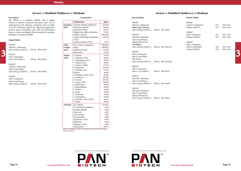**www.pan-biotech.com**

## **Iscove´s Modified Dulbecco´s Medium**

## **Description**

## **Liquid Media**

### $IMDM<sup>(1)</sup>$



| Description                                                |                  | Composition                                                                     |          | <b>Special Media</b>                                 | Powder Media                                                       |                  |          |  |
|------------------------------------------------------------|------------------|---------------------------------------------------------------------------------|----------|------------------------------------------------------|--------------------------------------------------------------------|------------------|----------|--|
| The IMDM is a modified DMEM, with a higher                 |                  | Components                                                                      | mg/L     |                                                      |                                                                    |                  |          |  |
| content of vitamins, selenium and amino acids. As it is    |                  |                                                                                 |          | IMDM <sup>(2)</sup>                                  | IMDM <sup>(1)</sup>                                                |                  |          |  |
| supplemented with albumin, transferrin and soy lipids      |                  | <b>Inorganic</b> Calcium chloride anhydrous                                     | 165.00   | without L-Glutamine                                  | without L-Glutamine                                                | $10\,\mathrm{L}$ | P03-5210 |  |
| it can be excellently applied for culturing lymphocytes,   | Salts            | Potassium chloride                                                              | 330.00   | with 1.0 g/L Glucose                                 | without NaHCO <sub>2</sub>                                         | 50 L             | P03-5250 |  |
| marrow cells or hybridoma cells. Note: for hybridomas      |                  | Potassium nitrate                                                               | 0.076    | with 3.024 g/L NaHCO <sub>3</sub> 500 ml P04-20259   |                                                                    |                  |          |  |
| there is a better and highly efficient protein-free medium |                  | Magnesium sulfate anhydrous                                                     | 97.66    |                                                      | IMDM <sup>(1)</sup>                                                |                  |          |  |
| available: our Panserin H4000.                             |                  | Sodium chloride                                                                 | 5,005.00 | IMDM <sup>(2)</sup>                                  | with L-Glutamine                                                   | 10L              | P03-1310 |  |
|                                                            |                  | Sodium dihydrogen phosphate                                                     | 125.00   | with stab. Glutamine                                 | without NaHCO <sub>2</sub>                                         | 50 L             | P03-1350 |  |
| Liquid Media                                               |                  | x H <sub>2</sub> O                                                              |          | with 25 mM Hepes                                     |                                                                    |                  |          |  |
|                                                            |                  | Sodium selenite x 5H <sub>2</sub> O                                             | 0.01     | without Phenol red<br>315 mOsm                       | $\text{IMDM}^{\scriptscriptstyle{\text{(1)}}}$<br>with L-Glutamine |                  |          |  |
| IMDM <sup>(1)</sup>                                        | Other            | $D(+)$ -Glucose anhydrous                                                       | 4500.00  |                                                      |                                                                    | 10L              | P03-1410 |  |
| without L-Glutamine                                        | Compo-           | Hepes                                                                           | 5958.00  | with 3.024 g/L NaHCO <sub>3</sub> 500 ml P04-20451S1 | with 25 mM Hepes<br>without NaHCO <sub>2</sub>                     | 50 L             | P03-1450 |  |
| with 3.024 g/L NaHCO <sub>2</sub><br>500 ml P04-20250      | nents            | Sodium pyruvate                                                                 | 110.00   | $\text{IMDM}^{\scriptscriptstyle{\mathrm{(2)}}}$     |                                                                    |                  |          |  |
|                                                            |                  | Phenol red                                                                      | 15.00    | with L-Glutamine                                     |                                                                    |                  |          |  |
| $IMDM^{(1)}$                                               | Amino            | L-Alanine                                                                       | 25.00    | with 25 mM Hepes                                     |                                                                    |                  |          |  |
| with L-Glutamine                                           | Acids            | L-Arginine x HCl                                                                | 84.00    | 320 mOsm                                             |                                                                    |                  |          |  |
| with 3.024 NaHCO <sub>2</sub><br>500 ml P04-20350          |                  | L-Asparagine x H <sub>2</sub> O                                                 | 28.40    | with 3.024 g/L NaHCO <sub>3</sub> 500 ml P04-20150S2 |                                                                    |                  |          |  |
| IMDM <sup>(1)</sup>                                        |                  | L-Aspartic acid                                                                 | 30.00    |                                                      |                                                                    |                  |          |  |
| without L-Glutamine                                        |                  | L-Cystine x 2HCl                                                                | 91.24    | IMDM <sup>(2)</sup>                                  |                                                                    |                  |          |  |
| with 25 mM Hepes                                           |                  | L-Glutamine                                                                     | 584.00   | with L-Glutamine                                     |                                                                    |                  |          |  |
| with 3.024 g/L NaHCO, 500 ml P04-20050                     |                  | L-Glutamic acid                                                                 | 75.00    | 500 ml P04-20351<br>with 1.5 g/L NaHCO <sub>3</sub>  |                                                                    |                  |          |  |
|                                                            |                  | Glycine                                                                         | 30.00    |                                                      |                                                                    |                  |          |  |
| IMDM <sup>(1)</sup>                                        |                  | L-Histidine x HCl x H <sub>2</sub> O                                            | 42.00    | IMDM <sup>(2)</sup>                                  |                                                                    |                  |          |  |
| with L-Glutamine                                           |                  | L-Isoleucine                                                                    | 105.00   | with stab. Glutamine                                 |                                                                    |                  |          |  |
| with 25 mM Hepes                                           |                  | L-Leucine                                                                       | 105.00   | with 25 mM Hepes                                     |                                                                    |                  |          |  |
| with 3.024 g/L NaHCO <sub>3</sub> 500 ml P04-20150         |                  | L-Lysine x HCl                                                                  | 146.00   | with 3.024 g/L NaHCO <sub>3</sub> 500 ml P04-20450   |                                                                    |                  |          |  |
|                                                            |                  | L-Methionine                                                                    | 30.00    |                                                      |                                                                    |                  |          |  |
|                                                            |                  | L-Phenylalanine                                                                 | 66.00    | IMDM <sup>(2)</sup>                                  |                                                                    |                  |          |  |
|                                                            |                  | L-Proline                                                                       | 40.00    | with stab. Glutamine                                 |                                                                    |                  |          |  |
|                                                            |                  | L-Serine                                                                        | 42.00    | with 25 mM Hepes                                     |                                                                    |                  |          |  |
|                                                            |                  | L-Threonine                                                                     | 95.00    | without Phenol red                                   |                                                                    |                  |          |  |
|                                                            |                  | L-Tryptophan                                                                    | 16.00    | with 3.024 g/L NaHCO <sub>3</sub> 500 ml P04-20451   |                                                                    |                  |          |  |
|                                                            |                  | L-Tyrosine x 2Na x 2H <sub>2</sub> O<br>L-Valine                                | 104.2    |                                                      |                                                                    |                  |          |  |
|                                                            |                  |                                                                                 | 94.00    |                                                      |                                                                    |                  |          |  |
|                                                            | <b>Vitamins</b>  | $D(+)$ -Biotin                                                                  | 0.0130   |                                                      |                                                                    |                  |          |  |
|                                                            |                  | D-Calcium pantothenate                                                          | 4.00     |                                                      |                                                                    |                  |          |  |
|                                                            |                  | Choline chloride                                                                | $4.00\,$ |                                                      |                                                                    |                  |          |  |
|                                                            |                  | Folic acid                                                                      | $4.00\,$ |                                                      |                                                                    |                  |          |  |
|                                                            |                  | myo-Inositol                                                                    | 7.20     |                                                      |                                                                    |                  |          |  |
|                                                            |                  | Nicotinamide                                                                    | 4.00     |                                                      |                                                                    |                  |          |  |
|                                                            |                  | Pyridoxine x HCl                                                                | 4.00     |                                                      |                                                                    |                  |          |  |
|                                                            |                  | Riboflavin                                                                      | 0.40     |                                                      |                                                                    |                  |          |  |
|                                                            |                  | Thiamine x HCl                                                                  | 4.00     |                                                      |                                                                    |                  |          |  |
|                                                            |                  | Vitamin B12<br>When 5,958.00 mg/L HEPES is included there is only 4,505.00 mg/L | 0.013    |                                                      |                                                                    |                  |          |  |
|                                                            | sodium chloride. |                                                                                 |          |                                                      |                                                                    |                  |          |  |

## **Iscove´s Modified Dulbecco´s Medium**

|                                                                                                                            | <b>Iscove</b> 's Mo |
|----------------------------------------------------------------------------------------------------------------------------|---------------------|
| <b>Special Media</b>                                                                                                       |                     |
| IMDM <sup>(2)</sup><br>without L-Glutamine<br>with 1.0 g/L Glucose<br>with 3.024 g/L NaHCO <sub>3</sub> 500 ml P04-20259   |                     |
| IMDM <sup>(2)</sup><br>with stab. Glutamine<br>with 25 mM Hepes<br>without Phenol red<br>$315 \text{ mOsm}$                |                     |
| with 3.024 g/L NaHCO <sub>3</sub> 500 ml P04-20451S1<br>IMDM <sup>(2)</sup>                                                |                     |
| with L-Glutamine<br>with 25 mM Hepes<br>$320 \text{ mOsm}$<br>with 3.024 g/L NaHCO <sub>3</sub> 500 ml P04-20150S2         |                     |
| IMDM <sup>(2)</sup><br>with L-Glutamine<br>with 1.5 g/L NaHCO <sub>3</sub>                                                 | 500 ml P04-20351    |
| IMDM <sup>(2)</sup><br>with stab. Glutamine<br>with 25 mM Hepes<br>with $3.024$ g/L NaHCO <sub>3</sub>                     | 500 ml P04-20450    |
| IMDM <sup>(2)</sup><br>with stab. Glutamine<br>with 25 mM Hepes<br>without Phenol red<br>with 3.024 g/L NaHCO <sub>3</sub> | 500 ml P04-20451    |

## **Powder Media**

| IMDM <sup>(1)</sup>        |      |                       |
|----------------------------|------|-----------------------|
| without L-Glutamine        | 10 L | P <sub>0</sub> 3-5210 |
| without NaHCO <sub>3</sub> | 50 L | P <sub>0</sub> 3-5250 |
|                            |      |                       |
| IMDM <sup>(1)</sup>        |      |                       |
| with L-Glutamine           | 10L  | P <sub>0</sub> 3-1310 |
| without NaHCO <sub>3</sub> | 50 L | P <sub>0</sub> 3-1350 |
|                            |      |                       |
| IMDM <sup>(1)</sup>        |      |                       |
| with L-Glutamine           |      |                       |
| with 25 mM Hepes           | 10L  | P03-1410              |
| without NaHCO <sub>3</sub> | 50 L | P <sub>0</sub> 3-1450 |
|                            |      |                       |

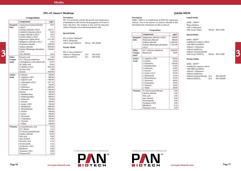## **IPL-41 Insect Medium**

### **Description**

IPL-41 is primarly used for the growth and maintenance of lepidopteran cells and for the propagation of viruses in these cells lines. The medium is also used for long time culture of baculo-virus infected spodotera cells.

## **Composition**

### **Special Media**

| IPL-41 Insect Medium <sup>(2)</sup> |                  |  |
|-------------------------------------|------------------|--|
| with L-Glutamine                    |                  |  |
| with $0.35$ g/L NaHCO <sub>3</sub>  | 500 ml P04-85600 |  |

## **Powder Media**

| IPL-41 Insect Medium <sup>(1)</sup> |      |                       |
|-------------------------------------|------|-----------------------|
| without L-Glutamine                 | 10 L | P03-9210              |
| without NaHCO,                      | 50 L | P <sub>0</sub> 3-9250 |



#### **Description**

|              | Components                                | mg/L     | $\mathbf{r}$ = $\mathbf{r}$ = $\mathbf{r}$ = $\mathbf{r}$ = $\mathbf{r}$ = $\mathbf{r}$ = $\mathbf{r}$ = $\mathbf{r}$ = $\mathbf{r}$ = $\mathbf{r}$ = $\mathbf{r}$ = $\mathbf{r}$ = $\mathbf{r}$ = $\mathbf{r}$ = $\mathbf{r}$ = $\mathbf{r}$ = $\mathbf{r}$ = $\mathbf{r}$ = $\mathbf{r}$ = $\mathbf{r}$ =<br>of lepidopteran cells and for the propagation of viruses in |        | cultures. Due to the absence of calcium chloride in this                |              | Joklik – $MEM^{(1)}$                                |   |
|--------------|-------------------------------------------|----------|----------------------------------------------------------------------------------------------------------------------------------------------------------------------------------------------------------------------------------------------------------------------------------------------------------------------------------------------------------------------------|--------|-------------------------------------------------------------------------|--------------|-----------------------------------------------------|---|
|              | <b>Inorganic</b> Ammonium heptamolybdate  | 0.04     | these cells lines. The medium is also used for long time                                                                                                                                                                                                                                                                                                                   |        | formulation the attachment of cells is reduced.                         | Hepes Medium |                                                     |   |
| <b>Salts</b> | x 4H <sub>2</sub> O                       |          | culture of baculo-virus infected spodotera cells.                                                                                                                                                                                                                                                                                                                          |        |                                                                         |              | with L-Glutamine                                    |   |
|              | Calcium chloride x 2H <sub>2</sub> O      | 662.31   |                                                                                                                                                                                                                                                                                                                                                                            |        | Composition                                                             |              | with 3.6 g/L Hepes<br>500 ml P04-21300              |   |
|              | Cobalt(II) chloride $x$ 6H <sub>2</sub> O | 0.05     |                                                                                                                                                                                                                                                                                                                                                                            |        |                                                                         |              |                                                     |   |
|              | Copper chloride x 2H <sub>2</sub> O       | 0.20     | <b>Special Media</b>                                                                                                                                                                                                                                                                                                                                                       |        | Components                                                              | mg/L         | <b>Special Media</b>                                |   |
|              | Iron(II) sulfate $x$ 7H <sub>2</sub> O    | 0.55     | IPL-41 Insect Medium <sup>(2)</sup>                                                                                                                                                                                                                                                                                                                                        |        | <b>Inorganic</b> Magnesium chloride x $6H2O$                            | 200.00       |                                                     |   |
|              | Magnesium sulfate dried                   | 1311.40  | with L-Glutamine                                                                                                                                                                                                                                                                                                                                                           | Salts  | Potassium chloride                                                      | 400.00       | Joklik - MEM <sup>(2)</sup>                         |   |
|              | Manganese chloride x 4H <sub>2</sub> O    | 0.02     |                                                                                                                                                                                                                                                                                                                                                                            |        | Sodium chloride                                                         | 6,500.00     | modified for spinner culture                        |   |
|              | Potassium chloride                        | 1200.00  | with 0.35 g/L NaHCO <sub>2</sub><br>500 ml P04-85600                                                                                                                                                                                                                                                                                                                       |        | Sodium dihydrogen phosphate                                             | 1,327.00     | with EBSS (modified)                                |   |
|              | Sodium chloride                           | 2850,00  | Powder Media                                                                                                                                                                                                                                                                                                                                                               |        | x H <sub>2</sub> O                                                      |              | without L-Glutamine                                 |   |
|              | Sodium dihydrogen phosphate               | 1160.00  |                                                                                                                                                                                                                                                                                                                                                                            | Other  | $D(+)$ -Glucose anhydrous                                               | 2,000.00     | without Antibiotica                                 |   |
|              | X H <sub>2</sub> O                        |          | IPL-41 Insect Medium <sup>(1)</sup>                                                                                                                                                                                                                                                                                                                                        | Compo- | Phenol red                                                              | 10.00        | without Calciumchloride                             | 3 |
|              | Zinc chloride                             | 0.04     | without L-Glutamine<br>P03-9210<br>$10\ \mathrm{L}$                                                                                                                                                                                                                                                                                                                        | nents  |                                                                         |              | with 2.0 g/L NaHCO <sub>3</sub><br>500 ml P04-21200 |   |
| Other        | Fumaric acid                              | 4.40     | without NaHCO <sub>3</sub><br>50 L<br>P03-9250                                                                                                                                                                                                                                                                                                                             |        |                                                                         |              |                                                     |   |
| Compo-       | $D(+)$ -Glucose anhydrous                 | 2500.00  |                                                                                                                                                                                                                                                                                                                                                                            | Amino  | L-Arginine x HCl                                                        | 126.00       | Powder Media                                        |   |
| nents        | a-Ketoglutaric acid sodium salt           | 34.05    |                                                                                                                                                                                                                                                                                                                                                                            | Acids  | L-Cystine                                                               | 24.00        |                                                     |   |
|              | DL-Malic acid                             | 53.60    |                                                                                                                                                                                                                                                                                                                                                                            |        | L-Glutamine                                                             | 294.00       | Joklik - MEM <sup>(1)</sup>                         |   |
|              | D-Maltose x $H2O$                         | 1052.58  |                                                                                                                                                                                                                                                                                                                                                                            |        | L-Histidine Base                                                        | 31.00        | modified for spinner culture                        |   |
|              | Succinic acid                             | 4.80     |                                                                                                                                                                                                                                                                                                                                                                            |        | L-Isoleucine                                                            | 52.00        | with EBSS (modified)                                |   |
|              | Sucrose                                   | 1650.00  |                                                                                                                                                                                                                                                                                                                                                                            |        | L-Leucine                                                               | 52.00        | without L-Glutamine                                 |   |
| Amino        | $\beta$ -Alanine                          | 300.00   |                                                                                                                                                                                                                                                                                                                                                                            |        | L-Lysine x H <sub>2</sub> O                                             | 65.00        | without Antibiotica                                 |   |
| Acids        | L-Arginine x HCl                          | 800.00   |                                                                                                                                                                                                                                                                                                                                                                            |        | L-Methionine                                                            | 15.00        | without Calciumchloride 10 L<br>P03-02010P          |   |
|              | L-Aspartic acid                           | 1300.00  |                                                                                                                                                                                                                                                                                                                                                                            |        | L-Phenylalanine                                                         | 32.00        | without NaHCO <sub>2</sub><br>50 L<br>P03-02050P    |   |
|              | L-Asparagine x H <sub>2</sub> O           | 1477.14  |                                                                                                                                                                                                                                                                                                                                                                            |        | L-Threonine                                                             | 48.00        |                                                     |   |
|              | L-Cystine                                 | 100.00   |                                                                                                                                                                                                                                                                                                                                                                            |        | L-Tryptophan                                                            | 10.00        |                                                     |   |
|              | L-Glutamine                               | 1000.00  |                                                                                                                                                                                                                                                                                                                                                                            |        | L-Tyrosine                                                              | 32.60        |                                                     |   |
|              | L-Glutamic acid                           | 1500.00  |                                                                                                                                                                                                                                                                                                                                                                            |        | L-Valine                                                                | 46.00        |                                                     |   |
|              | Glycine                                   | 200.00   |                                                                                                                                                                                                                                                                                                                                                                            |        | Vitamins   D-Calcium pantothenate                                       | 1.00         |                                                     |   |
|              | L-Histidine Base                          | 200.00   |                                                                                                                                                                                                                                                                                                                                                                            |        | Choline chloride                                                        | 1.00         |                                                     |   |
|              | L-Hydroxyproline                          | 800.00   |                                                                                                                                                                                                                                                                                                                                                                            |        | Folic acid                                                              | 1.00         |                                                     |   |
|              | L-Isoleucine                              | 750.00   |                                                                                                                                                                                                                                                                                                                                                                            |        | myo-Inositol                                                            | 2.00         |                                                     |   |
|              | L-Leucine                                 | 250.00   |                                                                                                                                                                                                                                                                                                                                                                            |        | Nicotinamide                                                            | 1.00         |                                                     |   |
|              | L-Lysine x HCl                            | 700.00   |                                                                                                                                                                                                                                                                                                                                                                            |        | Pyridoxal x HCl                                                         | 1.00         |                                                     |   |
|              | L-Methionine                              | 1000.00  |                                                                                                                                                                                                                                                                                                                                                                            |        | Riboflavin                                                              | 0.10         |                                                     |   |
|              | L-Phenylalanine                           | 1000.00  |                                                                                                                                                                                                                                                                                                                                                                            |        | Thiamine x HCl                                                          | 1.00         |                                                     |   |
|              | L-Proline                                 | 500.00   |                                                                                                                                                                                                                                                                                                                                                                            |        |                                                                         |              |                                                     |   |
|              | L-Serine                                  | 200.00   |                                                                                                                                                                                                                                                                                                                                                                            |        |                                                                         |              |                                                     |   |
|              | L-Threonine                               | 200.00   |                                                                                                                                                                                                                                                                                                                                                                            |        |                                                                         |              |                                                     |   |
|              | L-Tryptophan                              | 100.00   |                                                                                                                                                                                                                                                                                                                                                                            |        |                                                                         |              |                                                     |   |
|              | L-Tyrosine                                | 250.02   |                                                                                                                                                                                                                                                                                                                                                                            |        |                                                                         |              |                                                     |   |
|              | L-Valine                                  | 500.00   |                                                                                                                                                                                                                                                                                                                                                                            |        |                                                                         |              |                                                     |   |
|              | Vitamins   p-Aminobenzoic acid            | 0.32     |                                                                                                                                                                                                                                                                                                                                                                            |        |                                                                         |              |                                                     |   |
|              | $D(+)$ -Biotin                            | 0.16     |                                                                                                                                                                                                                                                                                                                                                                            |        |                                                                         |              |                                                     |   |
|              | D-Calcium pantothenate                    | 0.008    |                                                                                                                                                                                                                                                                                                                                                                            |        |                                                                         |              |                                                     |   |
|              | Choline chloride                          | 20.00    |                                                                                                                                                                                                                                                                                                                                                                            |        |                                                                         |              |                                                     |   |
|              | Folic acid                                | 0.08     |                                                                                                                                                                                                                                                                                                                                                                            |        |                                                                         |              |                                                     |   |
|              | myo-Inositol                              | 0.40     |                                                                                                                                                                                                                                                                                                                                                                            |        |                                                                         |              |                                                     |   |
|              | Nicotinic acid                            | 0.16     |                                                                                                                                                                                                                                                                                                                                                                            |        |                                                                         |              |                                                     |   |
|              | Nicotinamide                              | 0.16     |                                                                                                                                                                                                                                                                                                                                                                            |        |                                                                         |              |                                                     |   |
|              | Pyridoxine x HCl                          | 0.40     |                                                                                                                                                                                                                                                                                                                                                                            |        |                                                                         |              |                                                     |   |
|              | Riboflavin                                | 0.08     |                                                                                                                                                                                                                                                                                                                                                                            |        |                                                                         |              |                                                     |   |
|              | Thiamine x HCl                            | $0.08\,$ | (1) usually on stock, (2) minimum order 101, (3) available upon request                                                                                                                                                                                                                                                                                                    |        | (1) usually on stock, (2) minimum order 101, (3) available upon request |              |                                                     |   |
|              | Vitamine B12                              | 0.24     | <b>THE REAL PROPERTY AND INCOME.</b>                                                                                                                                                                                                                                                                                                                                       |        | $\blacksquare$ $\blacksquare$ TM                                        |              |                                                     |   |

Joklik´s MEM is a modification of MEM for suspension cultures. Due to the absence of calcium chloride in this formulation the attachment of cells is reduced.

## **Composition**

## **Liquid Media**

### **Special Media**

## **Powder Media**

|                 | Components                                        | mg/L     |
|-----------------|---------------------------------------------------|----------|
| Inorganic       | Magnesium chloride x 6H <sub>2</sub> O            | 200.00   |
| <b>Salts</b>    | Potassium chloride                                | 400.00   |
|                 | Sodium chloride                                   | 6,500.00 |
|                 | Sodium dihydrogen phosphate<br>x H <sub>2</sub> O | 1,327.00 |
| Other           | $D(+)$ -Glucose anhydrous                         | 2,000.00 |
| Compo-          | Phenol red                                        | 10.00    |
| nents           |                                                   |          |
| Amino           | L-Arginine x HCl                                  | 126.00   |
| <b>Acids</b>    | L-Cystine                                         | 24.00    |
|                 | L-Glutamine                                       | 294.00   |
|                 | L-Histidine Base                                  | 31.00    |
|                 | L-Isoleucine                                      | 52.00    |
|                 | L-Leucine                                         | 52.00    |
|                 | L-Lysine $x H2O$                                  | 65.00    |
|                 | L-Methionine                                      | 15.00    |
|                 | L-Phenylalanine                                   | 32.00    |
|                 | L-Threonine                                       | 48.00    |
|                 | L-Tryptophan                                      | 10.00    |
|                 | L-Tyrosine                                        | 32.60    |
|                 | L-Valine                                          | 46.00    |
| <b>Vitamins</b> | D-Calcium pantothenate                            | 1.00     |
|                 | Choline chloride                                  | 1.00     |
|                 | Folic acid                                        | 1.00     |
|                 | myo-Inositol                                      | 2.00     |
|                 | Nicotinamide                                      | 1.00     |
|                 | Pyridoxal x HCl                                   | 1.00     |
|                 | Riboflavin                                        | 0.10     |
|                 | Thiamine x HCl                                    | 1.00     |

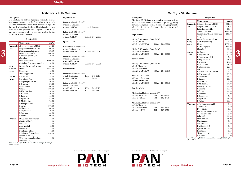## **Leibovitz´s L-15 Medium**

## **Description**

L-15 contains no sodium hydrogen carbonate and no bicarbonate, because it is buffered already by a high concentration of amino acids. The L-15 medium supports the growth of established cells like Hep-2, but also human nerve cells and primary tissue explants. With 10 % tryptose phosphate broth it is also ideally suited for the cultivation of insect cell lines.

Leibovitz's L-15 Medium<sup>(1)</sup> with L-Glutamine without NaHCO<sub>3</sub> 500 ml P04-27500

## **Composition**

### **Liquid Media**

Leibovitz's L-15 Medium<sup>(1)</sup> without L-Glutamine without NaHCO<sub>3</sub> 500 ml P04-27055

## **Special Media**

### **Powder Media**

| Leibovitz's L-15 Medium <sup>(1)</sup> |      |          |
|----------------------------------------|------|----------|
| with L-Glutamine                       | 10L  | P03-1510 |
| without NaHCO <sub>3</sub>             | 50 L | P03-1550 |
| Leibovitz's L-15 Medium <sup>(1)</sup> |      |          |
| with L-Glutamine                       |      |          |
| with 25 mM Hepes                       | 10L  | P03-1610 |
| without NaHCO <sub>3</sub>             | 50 L | P03-1650 |



## $\begin{array}{|l|} \hline \text{chloride X2 H}_2\text{O} & \text{diam} \end{array}$  When 5,958.00 mg/L HEPES is included there is only 7,500.00 mg/L sodium chloride.



## **Mc Coy´s 5A Medium**

## **Description**

Mc Coy's 5A Medium is a complete medium with all amino acids and vitamins. It is used for growing primary cultures. This group contains marrow cells, gingival cells, adrenal cells, spleen cells, lung cells, rat embryos and other cell types.

## **Composition**

### **Powder Media**

| with 2.2 g/L NaHCO <sub>3</sub><br>500 ml P04-05500<br>nents<br>Hepes<br><b>Inorganic</b> Calcium chloride x $2H2O$<br>185.44<br>Leibovitz's L-15 Medium <sup>(2)</sup><br>600.00<br>Bacto - Peptone<br>Magnesium chloride x 6H <sub>2</sub> O<br>200.00<br>with stab. Glutamine<br>Phenol red<br>Mc Coy's 5A Medium (modified) <sup>(1)</sup><br>10.00<br>Magnesium sulfate dried<br>139.53<br>without NaHCO <sub>2</sub><br>with stab. Glutamine<br>500 ml P04-27050<br>L-Alanine<br>13.36<br>Amino<br>Potassium chloride<br>400.00<br>with 2.2 g/L NaHCO <sub>2</sub><br>500 ml P04-06500<br>42.10<br>Acids<br>L-Arginine x HCl<br>Potassium dihydrogen<br>60.00<br>Leibovitz's L-15 Medium <sup>(2)</sup><br>L-Asparagine $x H2O$<br>phosphate<br><b>Special Media</b><br>without L-Glutamine<br>L-Aspartic acid<br>Sodium chloride<br>8,000.00<br>without Phenol red<br>24.24<br>L-Cysteine<br>di-Sodium hydrogen phosphate<br>190.00<br>Mc Coy's 5A Medium (modified) <sup>(2)</sup><br>without NaHCO <sub>3</sub><br>500 ml P04-27054<br>219.20<br>L-Glutamine<br>with L-Glutamine<br>$D(+)$ -Galactose anhydrous<br>900.00<br>Other<br>22.10<br>L-Glutamic acid<br>with 25 mM Hepes<br>Hepes<br>5,958.00<br>Powder Media<br>Compo-<br>7.50<br>Glycine<br>500 ml P04-05050<br>Phenol red<br>10.00<br>with 2.2 $g/L$ NaHCO <sub>3</sub><br>L-Histidine x HCl x H <sub>2</sub> O<br>Leibovitz's L-15 Medium <sup>(1)</sup><br>Sodium pyruvate<br>550.00<br>L-Hydroxyproline<br>Mc Coy's 5A Medium <sup>(2)</sup><br>with L-Glutamine<br>P03-1510<br>10L<br>L-Isoleucine<br>L-Alanine<br>225.00<br>without L-Glutamine<br>P03-1550<br>without NaHCO <sub>3</sub><br>50 L<br>L-Arginine Base<br>500.00<br>L-Leucine<br>39.36<br>without Phenol red<br>L-Asparagine x H <sub>2</sub> O<br>L-Lysine x HCl<br>36.50<br>250.00<br>500 ml P04-05610<br>with 2.2 g/L NaHCO <sub>3</sub><br>Leibovitz's L-15 Medium <sup>(1)</sup><br>L-Methionine<br>120.00<br>14.90<br>L-Cysteine<br>with L-Glutamine<br>L-Glutamine<br>300.00<br>L-Phenylalanine<br>16.50<br>with 25 mM Hepes<br>P03-1610<br>10L<br>Powder Media<br>200.00<br>17.30<br>Glycine<br>L-Proline<br>50 L<br>P03-1650<br>without NaHCO <sub>3</sub><br>250.00<br>L-Serine<br>26.30<br>L-Histidine Base<br>McCoy's 5A Medium (modified) <sup>(1)</sup><br>L-Isoleucine<br>17.90<br>250.00<br>L-Threonine<br>with L-Glutamine<br>10L<br>P03-1710<br>125.00<br>3.10<br>L-Leucine<br>L-Tryptophan<br>50 L<br>without NaHCO <sub>3</sub><br>P03-1750<br>93.75<br>L-Lysine x HCl<br>L-Tyrosine<br>18.10<br>L-Methionine<br>L-Valine<br>75.00<br>17.60<br>McCoy's 5A Medium (modified) <sup>(1)</sup><br>L-Phenylalanine<br>125.00<br>p-Aminobenzoic acid<br>1.00<br>Vitamins<br>with L-Glutamine<br>L-Serine<br>200.00<br>Ascorbic acid<br>0.50<br>P03-1810<br>with 25 mM Hepes<br>10L<br>300.00<br>L-Threonine<br>$D(+)$ -Biotin<br>0.20<br>50 L<br>P03-1850<br>without NaHCO <sub>3</sub><br>20.00<br>L-Tryptophan<br>D-Calcium pantothenate<br>0.20<br>L-Tyrosine<br>300.00<br>Choline chloride<br>5.00<br>L-Valine<br>100.00<br>Folic acid<br>10.00<br>Vitamins   D-Calcium pantothenate<br>myo-Inositol<br>1.00<br>36.00<br>Choline chloride<br>1.00<br>Nicotinamide<br>0.50<br>1.00<br>Nicotinic acid<br>0.50<br>Folic acid<br>2.00<br>Pyridoxal x HCl<br>myo-Inositol<br>0.50<br>1.00<br>Pyridoxine x HCl<br>Nicotinamide<br>0.50<br>1.00<br>Riboflavin<br>Pyridoxine x HCl<br>0.20<br>0.1075<br>Thiamine x HCl<br>Riboflavin-5'-phosphate<br>0.20<br>sodium salt x 2H <sub>2</sub> O<br>Vitamin B12<br>2.00<br>When 5,958.00 mg/L HEPES is included there is only 5,960.00 mg/L |              | Components             | mg/L | Special Media |  |  | with L-Glutamine |  | Compo- | Glutathione (red.) | 0.50     |
|--------------------------------------------------------------------------------------------------------------------------------------------------------------------------------------------------------------------------------------------------------------------------------------------------------------------------------------------------------------------------------------------------------------------------------------------------------------------------------------------------------------------------------------------------------------------------------------------------------------------------------------------------------------------------------------------------------------------------------------------------------------------------------------------------------------------------------------------------------------------------------------------------------------------------------------------------------------------------------------------------------------------------------------------------------------------------------------------------------------------------------------------------------------------------------------------------------------------------------------------------------------------------------------------------------------------------------------------------------------------------------------------------------------------------------------------------------------------------------------------------------------------------------------------------------------------------------------------------------------------------------------------------------------------------------------------------------------------------------------------------------------------------------------------------------------------------------------------------------------------------------------------------------------------------------------------------------------------------------------------------------------------------------------------------------------------------------------------------------------------------------------------------------------------------------------------------------------------------------------------------------------------------------------------------------------------------------------------------------------------------------------------------------------------------------------------------------------------------------------------------------------------------------------------------------------------------------------------------------------------------------------------------------------------------------------------------------------------------------------------------------------------------------------------------------------------------------------------------------------------------------------------------------------------------------------------------------------------------------------------------------------------------------------------------------------------------------------------------------------------------------------------------------------------------------------------------------------------------------------------------------------------------------------------------------------------------------------------------------------------------------------------------------------------------------------------------------------------------------------------------------------------------------------------------------------------------------------------------------------------------------------------|--------------|------------------------|------|---------------|--|--|------------------|--|--------|--------------------|----------|
|                                                                                                                                                                                                                                                                                                                                                                                                                                                                                                                                                                                                                                                                                                                                                                                                                                                                                                                                                                                                                                                                                                                                                                                                                                                                                                                                                                                                                                                                                                                                                                                                                                                                                                                                                                                                                                                                                                                                                                                                                                                                                                                                                                                                                                                                                                                                                                                                                                                                                                                                                                                                                                                                                                                                                                                                                                                                                                                                                                                                                                                                                                                                                                                                                                                                                                                                                                                                                                                                                                                                                                                                                                            |              |                        |      |               |  |  |                  |  |        |                    | 5,958.00 |
|                                                                                                                                                                                                                                                                                                                                                                                                                                                                                                                                                                                                                                                                                                                                                                                                                                                                                                                                                                                                                                                                                                                                                                                                                                                                                                                                                                                                                                                                                                                                                                                                                                                                                                                                                                                                                                                                                                                                                                                                                                                                                                                                                                                                                                                                                                                                                                                                                                                                                                                                                                                                                                                                                                                                                                                                                                                                                                                                                                                                                                                                                                                                                                                                                                                                                                                                                                                                                                                                                                                                                                                                                                            | <b>Salts</b> |                        |      |               |  |  |                  |  |        |                    |          |
|                                                                                                                                                                                                                                                                                                                                                                                                                                                                                                                                                                                                                                                                                                                                                                                                                                                                                                                                                                                                                                                                                                                                                                                                                                                                                                                                                                                                                                                                                                                                                                                                                                                                                                                                                                                                                                                                                                                                                                                                                                                                                                                                                                                                                                                                                                                                                                                                                                                                                                                                                                                                                                                                                                                                                                                                                                                                                                                                                                                                                                                                                                                                                                                                                                                                                                                                                                                                                                                                                                                                                                                                                                            |              |                        |      |               |  |  |                  |  |        |                    |          |
|                                                                                                                                                                                                                                                                                                                                                                                                                                                                                                                                                                                                                                                                                                                                                                                                                                                                                                                                                                                                                                                                                                                                                                                                                                                                                                                                                                                                                                                                                                                                                                                                                                                                                                                                                                                                                                                                                                                                                                                                                                                                                                                                                                                                                                                                                                                                                                                                                                                                                                                                                                                                                                                                                                                                                                                                                                                                                                                                                                                                                                                                                                                                                                                                                                                                                                                                                                                                                                                                                                                                                                                                                                            |              |                        |      |               |  |  |                  |  |        |                    |          |
|                                                                                                                                                                                                                                                                                                                                                                                                                                                                                                                                                                                                                                                                                                                                                                                                                                                                                                                                                                                                                                                                                                                                                                                                                                                                                                                                                                                                                                                                                                                                                                                                                                                                                                                                                                                                                                                                                                                                                                                                                                                                                                                                                                                                                                                                                                                                                                                                                                                                                                                                                                                                                                                                                                                                                                                                                                                                                                                                                                                                                                                                                                                                                                                                                                                                                                                                                                                                                                                                                                                                                                                                                                            |              |                        |      |               |  |  |                  |  |        |                    |          |
|                                                                                                                                                                                                                                                                                                                                                                                                                                                                                                                                                                                                                                                                                                                                                                                                                                                                                                                                                                                                                                                                                                                                                                                                                                                                                                                                                                                                                                                                                                                                                                                                                                                                                                                                                                                                                                                                                                                                                                                                                                                                                                                                                                                                                                                                                                                                                                                                                                                                                                                                                                                                                                                                                                                                                                                                                                                                                                                                                                                                                                                                                                                                                                                                                                                                                                                                                                                                                                                                                                                                                                                                                                            |              |                        |      |               |  |  |                  |  |        |                    | 45.00    |
|                                                                                                                                                                                                                                                                                                                                                                                                                                                                                                                                                                                                                                                                                                                                                                                                                                                                                                                                                                                                                                                                                                                                                                                                                                                                                                                                                                                                                                                                                                                                                                                                                                                                                                                                                                                                                                                                                                                                                                                                                                                                                                                                                                                                                                                                                                                                                                                                                                                                                                                                                                                                                                                                                                                                                                                                                                                                                                                                                                                                                                                                                                                                                                                                                                                                                                                                                                                                                                                                                                                                                                                                                                            |              |                        |      |               |  |  |                  |  |        |                    | 19.97    |
|                                                                                                                                                                                                                                                                                                                                                                                                                                                                                                                                                                                                                                                                                                                                                                                                                                                                                                                                                                                                                                                                                                                                                                                                                                                                                                                                                                                                                                                                                                                                                                                                                                                                                                                                                                                                                                                                                                                                                                                                                                                                                                                                                                                                                                                                                                                                                                                                                                                                                                                                                                                                                                                                                                                                                                                                                                                                                                                                                                                                                                                                                                                                                                                                                                                                                                                                                                                                                                                                                                                                                                                                                                            |              |                        |      |               |  |  |                  |  |        |                    |          |
|                                                                                                                                                                                                                                                                                                                                                                                                                                                                                                                                                                                                                                                                                                                                                                                                                                                                                                                                                                                                                                                                                                                                                                                                                                                                                                                                                                                                                                                                                                                                                                                                                                                                                                                                                                                                                                                                                                                                                                                                                                                                                                                                                                                                                                                                                                                                                                                                                                                                                                                                                                                                                                                                                                                                                                                                                                                                                                                                                                                                                                                                                                                                                                                                                                                                                                                                                                                                                                                                                                                                                                                                                                            |              |                        |      |               |  |  |                  |  |        |                    |          |
|                                                                                                                                                                                                                                                                                                                                                                                                                                                                                                                                                                                                                                                                                                                                                                                                                                                                                                                                                                                                                                                                                                                                                                                                                                                                                                                                                                                                                                                                                                                                                                                                                                                                                                                                                                                                                                                                                                                                                                                                                                                                                                                                                                                                                                                                                                                                                                                                                                                                                                                                                                                                                                                                                                                                                                                                                                                                                                                                                                                                                                                                                                                                                                                                                                                                                                                                                                                                                                                                                                                                                                                                                                            |              |                        |      |               |  |  |                  |  |        |                    |          |
|                                                                                                                                                                                                                                                                                                                                                                                                                                                                                                                                                                                                                                                                                                                                                                                                                                                                                                                                                                                                                                                                                                                                                                                                                                                                                                                                                                                                                                                                                                                                                                                                                                                                                                                                                                                                                                                                                                                                                                                                                                                                                                                                                                                                                                                                                                                                                                                                                                                                                                                                                                                                                                                                                                                                                                                                                                                                                                                                                                                                                                                                                                                                                                                                                                                                                                                                                                                                                                                                                                                                                                                                                                            |              |                        |      |               |  |  |                  |  |        |                    |          |
|                                                                                                                                                                                                                                                                                                                                                                                                                                                                                                                                                                                                                                                                                                                                                                                                                                                                                                                                                                                                                                                                                                                                                                                                                                                                                                                                                                                                                                                                                                                                                                                                                                                                                                                                                                                                                                                                                                                                                                                                                                                                                                                                                                                                                                                                                                                                                                                                                                                                                                                                                                                                                                                                                                                                                                                                                                                                                                                                                                                                                                                                                                                                                                                                                                                                                                                                                                                                                                                                                                                                                                                                                                            | nents        |                        |      |               |  |  |                  |  |        |                    | 20.76    |
|                                                                                                                                                                                                                                                                                                                                                                                                                                                                                                                                                                                                                                                                                                                                                                                                                                                                                                                                                                                                                                                                                                                                                                                                                                                                                                                                                                                                                                                                                                                                                                                                                                                                                                                                                                                                                                                                                                                                                                                                                                                                                                                                                                                                                                                                                                                                                                                                                                                                                                                                                                                                                                                                                                                                                                                                                                                                                                                                                                                                                                                                                                                                                                                                                                                                                                                                                                                                                                                                                                                                                                                                                                            |              |                        |      |               |  |  |                  |  |        |                    | 19.70    |
|                                                                                                                                                                                                                                                                                                                                                                                                                                                                                                                                                                                                                                                                                                                                                                                                                                                                                                                                                                                                                                                                                                                                                                                                                                                                                                                                                                                                                                                                                                                                                                                                                                                                                                                                                                                                                                                                                                                                                                                                                                                                                                                                                                                                                                                                                                                                                                                                                                                                                                                                                                                                                                                                                                                                                                                                                                                                                                                                                                                                                                                                                                                                                                                                                                                                                                                                                                                                                                                                                                                                                                                                                                            | Amino        |                        |      |               |  |  |                  |  |        |                    | 39.36    |
|                                                                                                                                                                                                                                                                                                                                                                                                                                                                                                                                                                                                                                                                                                                                                                                                                                                                                                                                                                                                                                                                                                                                                                                                                                                                                                                                                                                                                                                                                                                                                                                                                                                                                                                                                                                                                                                                                                                                                                                                                                                                                                                                                                                                                                                                                                                                                                                                                                                                                                                                                                                                                                                                                                                                                                                                                                                                                                                                                                                                                                                                                                                                                                                                                                                                                                                                                                                                                                                                                                                                                                                                                                            | Acids        |                        |      |               |  |  |                  |  |        |                    |          |
|                                                                                                                                                                                                                                                                                                                                                                                                                                                                                                                                                                                                                                                                                                                                                                                                                                                                                                                                                                                                                                                                                                                                                                                                                                                                                                                                                                                                                                                                                                                                                                                                                                                                                                                                                                                                                                                                                                                                                                                                                                                                                                                                                                                                                                                                                                                                                                                                                                                                                                                                                                                                                                                                                                                                                                                                                                                                                                                                                                                                                                                                                                                                                                                                                                                                                                                                                                                                                                                                                                                                                                                                                                            |              |                        |      |               |  |  |                  |  |        |                    |          |
|                                                                                                                                                                                                                                                                                                                                                                                                                                                                                                                                                                                                                                                                                                                                                                                                                                                                                                                                                                                                                                                                                                                                                                                                                                                                                                                                                                                                                                                                                                                                                                                                                                                                                                                                                                                                                                                                                                                                                                                                                                                                                                                                                                                                                                                                                                                                                                                                                                                                                                                                                                                                                                                                                                                                                                                                                                                                                                                                                                                                                                                                                                                                                                                                                                                                                                                                                                                                                                                                                                                                                                                                                                            |              |                        |      |               |  |  |                  |  |        |                    |          |
|                                                                                                                                                                                                                                                                                                                                                                                                                                                                                                                                                                                                                                                                                                                                                                                                                                                                                                                                                                                                                                                                                                                                                                                                                                                                                                                                                                                                                                                                                                                                                                                                                                                                                                                                                                                                                                                                                                                                                                                                                                                                                                                                                                                                                                                                                                                                                                                                                                                                                                                                                                                                                                                                                                                                                                                                                                                                                                                                                                                                                                                                                                                                                                                                                                                                                                                                                                                                                                                                                                                                                                                                                                            |              |                        |      |               |  |  |                  |  |        |                    |          |
|                                                                                                                                                                                                                                                                                                                                                                                                                                                                                                                                                                                                                                                                                                                                                                                                                                                                                                                                                                                                                                                                                                                                                                                                                                                                                                                                                                                                                                                                                                                                                                                                                                                                                                                                                                                                                                                                                                                                                                                                                                                                                                                                                                                                                                                                                                                                                                                                                                                                                                                                                                                                                                                                                                                                                                                                                                                                                                                                                                                                                                                                                                                                                                                                                                                                                                                                                                                                                                                                                                                                                                                                                                            |              |                        |      |               |  |  |                  |  |        |                    |          |
|                                                                                                                                                                                                                                                                                                                                                                                                                                                                                                                                                                                                                                                                                                                                                                                                                                                                                                                                                                                                                                                                                                                                                                                                                                                                                                                                                                                                                                                                                                                                                                                                                                                                                                                                                                                                                                                                                                                                                                                                                                                                                                                                                                                                                                                                                                                                                                                                                                                                                                                                                                                                                                                                                                                                                                                                                                                                                                                                                                                                                                                                                                                                                                                                                                                                                                                                                                                                                                                                                                                                                                                                                                            |              |                        |      |               |  |  |                  |  |        |                    |          |
|                                                                                                                                                                                                                                                                                                                                                                                                                                                                                                                                                                                                                                                                                                                                                                                                                                                                                                                                                                                                                                                                                                                                                                                                                                                                                                                                                                                                                                                                                                                                                                                                                                                                                                                                                                                                                                                                                                                                                                                                                                                                                                                                                                                                                                                                                                                                                                                                                                                                                                                                                                                                                                                                                                                                                                                                                                                                                                                                                                                                                                                                                                                                                                                                                                                                                                                                                                                                                                                                                                                                                                                                                                            |              |                        |      |               |  |  |                  |  |        |                    |          |
|                                                                                                                                                                                                                                                                                                                                                                                                                                                                                                                                                                                                                                                                                                                                                                                                                                                                                                                                                                                                                                                                                                                                                                                                                                                                                                                                                                                                                                                                                                                                                                                                                                                                                                                                                                                                                                                                                                                                                                                                                                                                                                                                                                                                                                                                                                                                                                                                                                                                                                                                                                                                                                                                                                                                                                                                                                                                                                                                                                                                                                                                                                                                                                                                                                                                                                                                                                                                                                                                                                                                                                                                                                            |              |                        |      |               |  |  |                  |  |        |                    |          |
|                                                                                                                                                                                                                                                                                                                                                                                                                                                                                                                                                                                                                                                                                                                                                                                                                                                                                                                                                                                                                                                                                                                                                                                                                                                                                                                                                                                                                                                                                                                                                                                                                                                                                                                                                                                                                                                                                                                                                                                                                                                                                                                                                                                                                                                                                                                                                                                                                                                                                                                                                                                                                                                                                                                                                                                                                                                                                                                                                                                                                                                                                                                                                                                                                                                                                                                                                                                                                                                                                                                                                                                                                                            |              |                        |      |               |  |  |                  |  |        |                    |          |
|                                                                                                                                                                                                                                                                                                                                                                                                                                                                                                                                                                                                                                                                                                                                                                                                                                                                                                                                                                                                                                                                                                                                                                                                                                                                                                                                                                                                                                                                                                                                                                                                                                                                                                                                                                                                                                                                                                                                                                                                                                                                                                                                                                                                                                                                                                                                                                                                                                                                                                                                                                                                                                                                                                                                                                                                                                                                                                                                                                                                                                                                                                                                                                                                                                                                                                                                                                                                                                                                                                                                                                                                                                            |              |                        |      |               |  |  |                  |  |        |                    |          |
|                                                                                                                                                                                                                                                                                                                                                                                                                                                                                                                                                                                                                                                                                                                                                                                                                                                                                                                                                                                                                                                                                                                                                                                                                                                                                                                                                                                                                                                                                                                                                                                                                                                                                                                                                                                                                                                                                                                                                                                                                                                                                                                                                                                                                                                                                                                                                                                                                                                                                                                                                                                                                                                                                                                                                                                                                                                                                                                                                                                                                                                                                                                                                                                                                                                                                                                                                                                                                                                                                                                                                                                                                                            |              |                        |      |               |  |  |                  |  |        |                    |          |
|                                                                                                                                                                                                                                                                                                                                                                                                                                                                                                                                                                                                                                                                                                                                                                                                                                                                                                                                                                                                                                                                                                                                                                                                                                                                                                                                                                                                                                                                                                                                                                                                                                                                                                                                                                                                                                                                                                                                                                                                                                                                                                                                                                                                                                                                                                                                                                                                                                                                                                                                                                                                                                                                                                                                                                                                                                                                                                                                                                                                                                                                                                                                                                                                                                                                                                                                                                                                                                                                                                                                                                                                                                            |              |                        |      |               |  |  |                  |  |        |                    |          |
|                                                                                                                                                                                                                                                                                                                                                                                                                                                                                                                                                                                                                                                                                                                                                                                                                                                                                                                                                                                                                                                                                                                                                                                                                                                                                                                                                                                                                                                                                                                                                                                                                                                                                                                                                                                                                                                                                                                                                                                                                                                                                                                                                                                                                                                                                                                                                                                                                                                                                                                                                                                                                                                                                                                                                                                                                                                                                                                                                                                                                                                                                                                                                                                                                                                                                                                                                                                                                                                                                                                                                                                                                                            |              |                        |      |               |  |  |                  |  |        |                    |          |
|                                                                                                                                                                                                                                                                                                                                                                                                                                                                                                                                                                                                                                                                                                                                                                                                                                                                                                                                                                                                                                                                                                                                                                                                                                                                                                                                                                                                                                                                                                                                                                                                                                                                                                                                                                                                                                                                                                                                                                                                                                                                                                                                                                                                                                                                                                                                                                                                                                                                                                                                                                                                                                                                                                                                                                                                                                                                                                                                                                                                                                                                                                                                                                                                                                                                                                                                                                                                                                                                                                                                                                                                                                            |              |                        |      |               |  |  |                  |  |        |                    |          |
|                                                                                                                                                                                                                                                                                                                                                                                                                                                                                                                                                                                                                                                                                                                                                                                                                                                                                                                                                                                                                                                                                                                                                                                                                                                                                                                                                                                                                                                                                                                                                                                                                                                                                                                                                                                                                                                                                                                                                                                                                                                                                                                                                                                                                                                                                                                                                                                                                                                                                                                                                                                                                                                                                                                                                                                                                                                                                                                                                                                                                                                                                                                                                                                                                                                                                                                                                                                                                                                                                                                                                                                                                                            |              |                        |      |               |  |  |                  |  |        |                    |          |
|                                                                                                                                                                                                                                                                                                                                                                                                                                                                                                                                                                                                                                                                                                                                                                                                                                                                                                                                                                                                                                                                                                                                                                                                                                                                                                                                                                                                                                                                                                                                                                                                                                                                                                                                                                                                                                                                                                                                                                                                                                                                                                                                                                                                                                                                                                                                                                                                                                                                                                                                                                                                                                                                                                                                                                                                                                                                                                                                                                                                                                                                                                                                                                                                                                                                                                                                                                                                                                                                                                                                                                                                                                            |              |                        |      |               |  |  |                  |  |        |                    |          |
|                                                                                                                                                                                                                                                                                                                                                                                                                                                                                                                                                                                                                                                                                                                                                                                                                                                                                                                                                                                                                                                                                                                                                                                                                                                                                                                                                                                                                                                                                                                                                                                                                                                                                                                                                                                                                                                                                                                                                                                                                                                                                                                                                                                                                                                                                                                                                                                                                                                                                                                                                                                                                                                                                                                                                                                                                                                                                                                                                                                                                                                                                                                                                                                                                                                                                                                                                                                                                                                                                                                                                                                                                                            |              |                        |      |               |  |  |                  |  |        |                    |          |
|                                                                                                                                                                                                                                                                                                                                                                                                                                                                                                                                                                                                                                                                                                                                                                                                                                                                                                                                                                                                                                                                                                                                                                                                                                                                                                                                                                                                                                                                                                                                                                                                                                                                                                                                                                                                                                                                                                                                                                                                                                                                                                                                                                                                                                                                                                                                                                                                                                                                                                                                                                                                                                                                                                                                                                                                                                                                                                                                                                                                                                                                                                                                                                                                                                                                                                                                                                                                                                                                                                                                                                                                                                            |              |                        |      |               |  |  |                  |  |        |                    |          |
|                                                                                                                                                                                                                                                                                                                                                                                                                                                                                                                                                                                                                                                                                                                                                                                                                                                                                                                                                                                                                                                                                                                                                                                                                                                                                                                                                                                                                                                                                                                                                                                                                                                                                                                                                                                                                                                                                                                                                                                                                                                                                                                                                                                                                                                                                                                                                                                                                                                                                                                                                                                                                                                                                                                                                                                                                                                                                                                                                                                                                                                                                                                                                                                                                                                                                                                                                                                                                                                                                                                                                                                                                                            |              |                        |      |               |  |  |                  |  |        |                    |          |
|                                                                                                                                                                                                                                                                                                                                                                                                                                                                                                                                                                                                                                                                                                                                                                                                                                                                                                                                                                                                                                                                                                                                                                                                                                                                                                                                                                                                                                                                                                                                                                                                                                                                                                                                                                                                                                                                                                                                                                                                                                                                                                                                                                                                                                                                                                                                                                                                                                                                                                                                                                                                                                                                                                                                                                                                                                                                                                                                                                                                                                                                                                                                                                                                                                                                                                                                                                                                                                                                                                                                                                                                                                            |              |                        |      |               |  |  |                  |  |        |                    |          |
|                                                                                                                                                                                                                                                                                                                                                                                                                                                                                                                                                                                                                                                                                                                                                                                                                                                                                                                                                                                                                                                                                                                                                                                                                                                                                                                                                                                                                                                                                                                                                                                                                                                                                                                                                                                                                                                                                                                                                                                                                                                                                                                                                                                                                                                                                                                                                                                                                                                                                                                                                                                                                                                                                                                                                                                                                                                                                                                                                                                                                                                                                                                                                                                                                                                                                                                                                                                                                                                                                                                                                                                                                                            |              |                        |      |               |  |  |                  |  |        |                    |          |
|                                                                                                                                                                                                                                                                                                                                                                                                                                                                                                                                                                                                                                                                                                                                                                                                                                                                                                                                                                                                                                                                                                                                                                                                                                                                                                                                                                                                                                                                                                                                                                                                                                                                                                                                                                                                                                                                                                                                                                                                                                                                                                                                                                                                                                                                                                                                                                                                                                                                                                                                                                                                                                                                                                                                                                                                                                                                                                                                                                                                                                                                                                                                                                                                                                                                                                                                                                                                                                                                                                                                                                                                                                            |              |                        |      |               |  |  |                  |  |        |                    |          |
|                                                                                                                                                                                                                                                                                                                                                                                                                                                                                                                                                                                                                                                                                                                                                                                                                                                                                                                                                                                                                                                                                                                                                                                                                                                                                                                                                                                                                                                                                                                                                                                                                                                                                                                                                                                                                                                                                                                                                                                                                                                                                                                                                                                                                                                                                                                                                                                                                                                                                                                                                                                                                                                                                                                                                                                                                                                                                                                                                                                                                                                                                                                                                                                                                                                                                                                                                                                                                                                                                                                                                                                                                                            |              |                        |      |               |  |  |                  |  |        |                    |          |
|                                                                                                                                                                                                                                                                                                                                                                                                                                                                                                                                                                                                                                                                                                                                                                                                                                                                                                                                                                                                                                                                                                                                                                                                                                                                                                                                                                                                                                                                                                                                                                                                                                                                                                                                                                                                                                                                                                                                                                                                                                                                                                                                                                                                                                                                                                                                                                                                                                                                                                                                                                                                                                                                                                                                                                                                                                                                                                                                                                                                                                                                                                                                                                                                                                                                                                                                                                                                                                                                                                                                                                                                                                            |              |                        |      |               |  |  |                  |  |        |                    |          |
|                                                                                                                                                                                                                                                                                                                                                                                                                                                                                                                                                                                                                                                                                                                                                                                                                                                                                                                                                                                                                                                                                                                                                                                                                                                                                                                                                                                                                                                                                                                                                                                                                                                                                                                                                                                                                                                                                                                                                                                                                                                                                                                                                                                                                                                                                                                                                                                                                                                                                                                                                                                                                                                                                                                                                                                                                                                                                                                                                                                                                                                                                                                                                                                                                                                                                                                                                                                                                                                                                                                                                                                                                                            |              | Thiamine monophosphate | 1.00 |               |  |  |                  |  |        |                    |          |
| sodium chloride.<br>chloride x2 H <sub>2</sub> O                                                                                                                                                                                                                                                                                                                                                                                                                                                                                                                                                                                                                                                                                                                                                                                                                                                                                                                                                                                                                                                                                                                                                                                                                                                                                                                                                                                                                                                                                                                                                                                                                                                                                                                                                                                                                                                                                                                                                                                                                                                                                                                                                                                                                                                                                                                                                                                                                                                                                                                                                                                                                                                                                                                                                                                                                                                                                                                                                                                                                                                                                                                                                                                                                                                                                                                                                                                                                                                                                                                                                                                           |              |                        |      |               |  |  |                  |  |        |                    |          |

### **Liquid Media**

Mc Coy's 5A Medium (modified)<sup>(1)</sup> with L-Glutamine with  $2.2 g/L$  NaHCO<sub>3</sub> 500 ml P04-05500

## **Special Media**

|                 | Components                           | mg/L           |
|-----------------|--------------------------------------|----------------|
| Inorganic       | Calcium chloride x 2H <sub>2</sub> O | 132.46         |
| Salts           | Magnesium sulfate dried              | 139.53         |
|                 | Potassium chloride                   | 400.00         |
|                 | Sodium chloride                      | 6,460.00       |
|                 | Sodium dihydrogen phosphate          | 580.00         |
|                 | x H,O                                |                |
| Other           | $D(+)$ -Glucose anhydrous            | 3,000.00       |
| Compo-          | Glutathione (red.)                   | 0.50           |
| nents           | Hepes                                | 5,958.00       |
|                 | Bacto - Peptone                      | 600.00         |
|                 | Phenol red                           | 10.00          |
| Amino           | L-Alanine                            | 13.36          |
| <b>Acids</b>    | L-Arginine x HCl                     | 42.10          |
|                 | L-Asparagine x H <sub>2</sub> O      | 45.00          |
|                 | L-Aspartic acid                      | 19.97          |
|                 | L-Cysteine                           | 24.24          |
|                 | L-Glutamine                          | 219.20         |
|                 | L-Glutamic acid                      | 22.10          |
|                 | Glycine                              | 7.50           |
|                 | L-Histidine x HCl x H <sub>2</sub> O | 20.76          |
|                 | L-Hydroxyproline                     | 19.70          |
|                 | L-Isoleucine                         | 39.36          |
|                 | L-Leucine                            | 39.36          |
|                 | L-Lysine x HCl                       | 36.50          |
|                 | L-Methionine                         | 14.90          |
|                 | L-Phenylalanine                      | 16.50          |
|                 | L-Proline                            | 17.30          |
|                 | L-Serine                             | 26.30          |
|                 | L-Threonine                          | 17.90          |
|                 | L-Tryptophan                         | 3.10           |
|                 | L-Tyrosine<br>L-Valine               | 18.10<br>17.60 |
| <b>Vitamins</b> |                                      |                |
|                 | p-Aminobenzoic acid<br>Ascorbic acid | 1.00<br>0.50   |
|                 | $D(+)$ -Biotin                       | 0.20           |
|                 | D-Calcium pantothenate               | 0.20           |
|                 | Choline chloride                     | 5.00           |
|                 | Folic acid                           | 10.00          |
|                 | myo-Inositol                         | 36.00          |
|                 | Nicotinamide                         | 0.50           |
|                 | Nicotinic acid                       | 0.50           |
|                 | Pyridoxal x HCl                      | 0.50           |
|                 | Pyridoxine x HCl                     | 0.50           |
|                 | Riboflavin                           | 0.20           |
|                 | Thiamine x HCl                       | 0.20           |
|                 | Vitamin B12                          | 2.00           |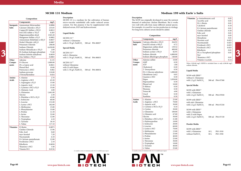

### **Description**

MCDB 131 is a medium for the cultivation of human micro-vascular endothelial cells under reduced serum content. For this purpose it has be supplemented with dialyzed serum, EGF and hydrocortisone.

### **Liquid Media**

## **Special Media**

## **MCDB 131 Medium Medium 199 with Earle´s Salts**

## **Description**

The M199 was originally developed to assay the nutrient demand of embryonic chicken fibroblasts. But it works very well with cells from many different animal species. For example, it is used for vaccine production in virology. For long term cultures serum should be added.

## **Liquid Media**

|              | Components                               | mg/L      | micro-vascular endothelial cells under reduced serum  |        | demand of embryonic chicken fibroblasts. But it works       |          | ASCOLUIC aciu                                                                        | 0.03  |
|--------------|------------------------------------------|-----------|-------------------------------------------------------|--------|-------------------------------------------------------------|----------|--------------------------------------------------------------------------------------|-------|
|              | Inorganic   Ammonium Metavandate         | 0.0006    | content. For this purpose it has be supplemented with |        | very well with cells from many different animal species.    |          | $D(+)$ -Biotin                                                                       | 0.01  |
| <b>Salts</b> | Calcium Chloride x 2H <sub>2</sub> O     | 235.05    | dialyzed serum, EGF and hydrocortisone.               |        | For example, it is used for vaccine production in virology. |          | Calciferol                                                                           | 0.10  |
|              |                                          |           |                                                       |        | For long term cultures serum should be added.               |          | D-Calcium pantothenate                                                               | 0.01  |
|              | Copper(II) Sulfate x 5H <sub>2</sub> O   | 0.0012    |                                                       |        |                                                             |          | Choline chloride                                                                     | 0.50  |
|              | Iron (III) sulfate $x$ 7H <sub>2</sub> O | 0.283     | Liquid Media                                          |        |                                                             |          | Folic acid                                                                           | 0.01  |
|              | Magnesiumsulfate dried                   | 1565.20   |                                                       |        | Composition                                                 |          | myo-Inositol                                                                         | 0.05  |
|              | Manganese Sulfate x H <sub>2</sub> O     | 0.0002    | $MCDB$ 131 <sup>(1)</sup>                             |        | Components                                                  | mg/L     | Menadione                                                                            | 0.01  |
|              | Ammonium Molybdate x 4H <sub>2</sub> O   | 0.0037    | without L-Glutamine                                   |        |                                                             |          | Nicotinic acid                                                                       | 0.025 |
|              | Nickel Chloride x 6H <sub>2</sub> O      | 0.0007    | with 1.176 g/L NaHCO <sub>3</sub> 500 ml P04-80057    |        | <b>Inorganic</b> Calcium chloride x $2H2O$                  | 264.92   | Nicotinamide                                                                         | 0.025 |
|              | Potassium Chloride                       | 298.00    |                                                       | Salts  | Iron(III) nitrate x 9H <sub>2</sub> O                       | 0.72     | Pyridoxal x HCl                                                                      | 0.025 |
|              | Sodium Chloride                          | 6,430.00  | <b>Special Media</b>                                  |        | Magnesium sulfate dried                                     | 139.52   | Pyridoxol x HCl                                                                      | 0.025 |
|              | Sodium Metasilicate x 5H <sub>2</sub> O  | 2.09      |                                                       |        | Potassium chloride                                          | 400.00   | Riboflavin                                                                           | 0.01  |
|              | Di-Sodium hydrogen phosphate             | 71.00     | $MCDB$ 131 <sup>(2)</sup>                             |        | Sodium acetate x 3H <sub>2</sub> O                          | 82.95    | DL-a-Tocopherol phosphate-                                                           | 0.01  |
|              | Sodium Selenite anhydrous                | 0.0039    | with L-Glutamine                                      |        | Sodium chloride                                             | 6,800.00 | Na2                                                                                  |       |
|              | Zinc Sulfate x 7H <sub>2</sub> O         | 0.0003    | with 1.176 g/L NaHCO <sub>3</sub> 500 ml P04-80053    |        | Sodium dihydrogen phosphate                                 | 140.00   | Thiamine x HCl                                                                       | 0.01  |
| Other        | Adenine                                  | 0.135     |                                                       | Other  | Adenine sulfate                                             | 10.00    | Vitamin A acetate                                                                    | 0.14  |
|              | D-Glucose<br>Compo-                      | 1,000.00  | $MCDB$ 131 <sup>(2)</sup>                             | Compo- | AMP                                                         | 0.20     |                                                                                      |       |
| nents        | DL-a-Lipoic acid                         | 0.0021    | without Glutamine                                     | nents  | ATP                                                         | 1.00     | When 5,958.00 mg/L HEPES is included there is only 6,300.00 mg/L<br>sodium chloride. |       |
|              | Phenol Red                               | 10.00     | with 25 mM Hepes                                      |        | Cholesterol                                                 | 0.20     |                                                                                      |       |
|              | Putrescine x 2HCl                        | 0.002     | with 1.176 g/L NaHCO <sub>3</sub> 500 ml P04-80054    |        | 2'-Deoxyribose                                              | 0.50     |                                                                                      |       |
|              | Sodium pyruvate                          | 110.00    |                                                       |        | $D(+)$ -Glucose anhydrous                                   | 1,000.00 | Liquid Media                                                                         |       |
|              | 2'Deoxythymidine                         | 0.024     |                                                       |        | Glutathione (red,)                                          | 0.05     |                                                                                      |       |
|              |                                          |           |                                                       |        | Guanine x HCl                                               | 0.30     | $M199$ with EBSS <sup>(1)</sup>                                                      |       |
|              | L-Alanine<br>Amino                       | 2.70      |                                                       |        | Hepes                                                       | 5,958.00 | without L-Glutamine                                                                  |       |
| Acids        | L-Arginine x HCl                         | 63.20     |                                                       |        | Hypoxanthine                                                | 0.30     | with 2.2 g/L NaHCO <sub>3</sub><br>500 ml P04-07500                                  |       |
|              | L-Asparagine x H <sub>2</sub> O          | 15.00     |                                                       |        | Phenol red                                                  |          |                                                                                      |       |
|              | L-Aspartic Acid                          | 13.30     |                                                       |        | D-Ribose                                                    | 10.00    | <b>Special Media</b>                                                                 |       |
|              | L-Cysteine x HCl x H <sub>2</sub> O      | 35.00     |                                                       |        |                                                             | 0.50     |                                                                                      |       |
|              | L-Glutamic Acid                          | 4.00      |                                                       |        | Thymine                                                     | 0.30     | M199 with $EBS^{(2)}$                                                                |       |
|              | L-Glutamine                              | 1,461.00  |                                                       |        | Tween 80                                                    | 4.90     | with L-Glutamine                                                                     |       |
|              | Glycine                                  | 2.30      |                                                       |        | Uracil                                                      | 0.30     | with 2.2 g/L NaHCO,<br>500 ml P04-07050                                              |       |
|              | L-Histidine x HCl x H <sub>2</sub> O     | 42.00     |                                                       |        | Xanthine                                                    | 0.30     |                                                                                      |       |
|              | L-Isoleucine                             | 66.00     |                                                       | Amino  | L-Alanine                                                   | 25.00    | M199 with EBSS <sup>(2)</sup>                                                        |       |
|              | L-Leucine                                | 131.00    |                                                       | Acids  | L-Arginine x HCl                                            | 70.00    | with stab. Glutamine                                                                 |       |
|              | L-Lysine x HCl                           | 182.00    |                                                       |        | L-Aspartic acid                                             | 30.00    | with 2.2 g/L NaHCO,<br>500 ml P04-07250                                              |       |
|              | L-Methionine                             | 15.00     |                                                       |        | L-Cysteine x HCl x H <sub>2</sub> O                         | 0.10     |                                                                                      |       |
|              | L-Phenylalanine                          | 33.00     |                                                       |        | L-Cystine                                                   | 20.00    | M199 with $EBS^{(2)}$                                                                |       |
|              | L-Proline                                | $11.50\,$ |                                                       |        | L-Glutamine                                                 | 100.00   | with L-Glutamine                                                                     |       |
|              | L-Serine                                 | 32.00     |                                                       |        | L-Glutamic acid                                             | 67.00    | with 25 mM Hepes                                                                     |       |
|              | L-Threonine                              | 12.00     |                                                       |        | Glycine                                                     | 50.00    | with 2.2 g/L NaHCO <sub>3</sub><br>500 ml P04-07150                                  |       |
|              | L-Tryptophan                             | 4.10      |                                                       |        | L-Histidine x HCl x H <sub>2</sub> O                        | 21.88    |                                                                                      |       |
|              | L-Tyrosine                               | 18.10     |                                                       |        | L-Hydroxyproline                                            | 10.00    |                                                                                      |       |
|              | L-Valine                                 | 117.10    |                                                       |        | L-Isoleucine                                                | 20.00    | Powder Media                                                                         |       |
|              | Vitamins D-Biotin                        | 0.0073    |                                                       |        | L-Leucine                                                   | 60.00    |                                                                                      |       |
|              | Choline Chloride                         | 13.96     |                                                       |        | L-Lysine x HCl                                              | 70.00    | $M199$ with EBSS <sup>(1)</sup>                                                      |       |
|              | Folic Acid                               | 0.60      |                                                       |        | L-Methionine                                                | 15.00    | with L-Glutamine<br>P03-1910<br>10L                                                  |       |
|              | myo-Inositol                             | 7.20      |                                                       |        | L-Phenylalanine                                             | 25.00    | without NaHCO <sub>2</sub><br>P03-1950<br>50 L                                       |       |
|              | Niacinamide                              |           |                                                       |        | L-Proline                                                   | 40.00    |                                                                                      |       |
|              |                                          | 6.10      |                                                       |        | L-Serine                                                    | 25.00    |                                                                                      |       |
|              | D-Calcium-pantothenate                   | 12.00     |                                                       |        | L-Threonine                                                 | 30.00    |                                                                                      |       |
|              | Pyridoxine x HCl                         | 2.10      |                                                       |        | L-Tryptophan                                                | 10.00    |                                                                                      |       |
|              | Riboflavin                               | 0.0038    |                                                       |        | L-Tyrosine                                                  | 40.00    |                                                                                      |       |
|              | Thiamine x HCl                           | 3.40      |                                                       |        | L-Valine                                                    | 25.00    |                                                                                      |       |
|              | Vitamin B12                              | 0.0136    |                                                       |        |                                                             |          |                                                                                      |       |

| $M199$ with EBSS <sup>(1)</sup><br>without L-Glutamine<br>with 2.2 $g/L$ NaHCO <sub>3</sub>                |      | 500 ml P04-07500          |
|------------------------------------------------------------------------------------------------------------|------|---------------------------|
| Special Media                                                                                              |      |                           |
| $M199$ with EBSS <sup>(2)</sup><br>with L-Glutamine<br>with 2.2 $g/L$ NaHCO <sub>3</sub>                   |      | 500 ml P04-07050          |
| $M199$ with EBSS <sup>(2)</sup><br>with stab. Glutamine<br>with 2.2 $g/L$ NaHCO <sub>3</sub>               |      | 500 ml P04-07250          |
| $M199$ with EBSS <sup>(2)</sup><br>with L-Glutamine<br>with 25 mM Hepes<br>with 2.2 g/L NaHCO <sub>3</sub> |      | 500 ml P04-07150          |
| Powder Media                                                                                               |      |                           |
| $M199$ with EBSS <sup>(1)</sup><br>with L-Glutamine<br>without NaHCO <sub>3</sub>                          | 50 L | 10 L P03-1910<br>P03-1950 |

|           | Composition                                                             |          |
|-----------|-------------------------------------------------------------------------|----------|
|           | Components                                                              | mg/L     |
| Inorganic | Calcium chloride x 2H <sub>2</sub> O                                    | 264.92   |
| Salts     | Iron(III) nitrate x $9H_2O$                                             | 0.72     |
|           | Magnesium sulfate dried                                                 | 139.52   |
|           | Potassium chloride                                                      | 400.00   |
|           | Sodium acetate x 3H <sub>2</sub> O                                      | 82.95    |
|           | Sodium chloride                                                         | 6,800.00 |
|           | Sodium dihydrogen phosphate                                             | 140.00   |
| Other     | Adenine sulfate                                                         | 10.00    |
| Compo-    | AMP                                                                     | 0.20     |
| nents     | <b>ATP</b>                                                              | 1.00     |
|           | Cholesterol                                                             | 0.20     |
|           | 2'-Deoxyribose                                                          | 0.50     |
|           | $D(+)$ -Glucose anhydrous                                               | 1,000.00 |
|           | Glutathione (red,)                                                      | 0.05     |
|           | Guanine x HCl                                                           | 0.30     |
|           | Hepes                                                                   | 5,958.00 |
|           | Hypoxanthine                                                            | 0.30     |
|           | Phenol red                                                              | 10.00    |
|           | D-Ribose                                                                | 0.50     |
|           | Thymine                                                                 | 0.30     |
|           | Tween 80                                                                | 4.90     |
|           | Uracil                                                                  | 0.30     |
|           | Xanthine                                                                | 0.30     |
| Amino     | L-Alanine                                                               | 25.00    |
| Acids     | L-Arginine x HCl                                                        | 70.00    |
|           | L-Aspartic acid                                                         | 30.00    |
|           | L-Cysteine x HCl x H <sub>2</sub> O                                     | 0.10     |
|           | L-Cystine                                                               | 20.00    |
|           | L-Glutamine                                                             | 100.00   |
|           | L-Glutamic acid                                                         | 67.00    |
|           | Glycine                                                                 | 50.00    |
|           | L-Histidine x HCl x $H2O$                                               | 21.88    |
|           | L-Hydroxyproline                                                        | 10.00    |
|           | L-Isoleucine                                                            | 20.00    |
|           | L-Leucine                                                               | 60.00    |
|           | L-Lysine x HCl                                                          | 70.00    |
|           | L-Methionine                                                            | 15.00    |
|           | L-Phenylalanine                                                         | 25.00    |
|           | L-Proline                                                               | 40.00    |
|           | L-Serine                                                                | 25.00    |
|           | L-Threonine                                                             | 30.00    |
|           | L-Tryptophan                                                            | 10.00    |
|           | L-Tyrosine                                                              | 40.00    |
|           | L-Valine                                                                | 25.00    |
|           | (1) usually on stock, (2) minimum order 101, (3) available upon request |          |

| <b>Vitamins</b> | p-Aminobenzoic acid        | 0.05  |
|-----------------|----------------------------|-------|
|                 | Ascorbic acid              | 0.05  |
|                 | $D(+)$ -Biotin             | 0.01  |
|                 | Calciferol                 | 0.10  |
|                 | D-Calcium pantothenate     | 0.01  |
|                 | Choline chloride           | 0.50  |
|                 | Folic acid                 | 0.01  |
|                 | myo-Inositol               | 0.05  |
|                 | Menadione                  | 0.01  |
|                 | Nicotinic acid             | 0.025 |
|                 | Nicotinamide               | 0.025 |
|                 | Pyridoxal x HCl            | 0.025 |
|                 | Pyridoxol x HCl            | 0.025 |
|                 | Riboflavin                 | 0.01  |
|                 | DL-a-Tocopherol phosphate- | 0.01  |
|                 | Na2                        |       |
|                 | Thiamine x HCl             | 0.01  |
|                 | Vitamin A acetate          | 0.14  |

### **Composition**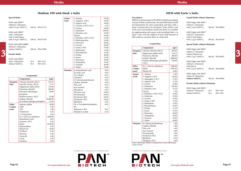## **Medium 199 with Hank´s Salts**

## **Special Media**

M199 with  $HBS^{(2)}$ without L-Glutamine with  $0.35 \text{ g/L}$  NaHCO<sub>3</sub> 500 ml P04-07753

M199 with  $H BSS^{(2)}$ with L-Glutamine with 25 mM Hepes with  $0.35 \text{ g/L} \text{ NaHCO}$  500 ml P04-07450

M199 with HBSS **(10X)**(2) without L-Glutamine without NaHCO $_3$ 500 ml P04-07600

## **Powder Media**

| $M199$ with HBSS <sup>(1)</sup> |      |                       |
|---------------------------------|------|-----------------------|
| with L-Glutamine                | 10 L | P <sub>0</sub> 3-2110 |
| without NaHCO <sub>3</sub>      | 50 L | P <sub>0</sub> 3-2150 |

**www.pan-biotech.com Page 63**

**Media**

## **MEM with Earle´s Salts**

## **Description**

When  $5,958.00$  mg/L HEPES is in sodium chloride.

MEM is an advancement of the BME and the base medium of many further modifications. Because BME did not fulfil all requirements for some mammalian and HeLa cells, a better variation had to be developed. Today, MEM is one of the most used synthetic media and shows its versatility by supplementing with amino acids including Hank´s or Earle´s salts. Even the addition of only small amounts of FBS results in a positive effect on cell growth.

## **Composition**

## **Liquid Media without Glutamine**

| MEM Eagle with EBSS <sup>(1)</sup><br>without L-Glutamine<br>with 2.2 $g/L$ NaHCO <sub>3</sub>                   |  | 500 ml P04-08050 |  |  |  |  |
|------------------------------------------------------------------------------------------------------------------|--|------------------|--|--|--|--|
| MEM Eagle with EBSS <sup>(1)</sup><br>without L-Glutamine<br>with 25 mM Hepes<br>with 2.2 g/L NaHCO <sub>3</sub> |  | 500 ml P04-08150 |  |  |  |  |
| <b>Special Media without Glutamine</b>                                                                           |  |                  |  |  |  |  |

| MEM Eagle with EBSS <sup>(2)</sup><br>without L-Glutamine<br>without Phenol red<br>with 2.2 $g/L$ NaHCO <sub>3</sub> | 500 ml P04-00507 |
|----------------------------------------------------------------------------------------------------------------------|------------------|
| MEM Eagle with EBSS <sup>(2)</sup><br>without L-Glutamine<br>with NEAA<br>with 2.2 $g/L$ NaHCO <sub>3</sub>          | 500 ml P04-08509 |
| MEM Eagle with EBSS <sup>(2)</sup><br>without L-Glutamine<br>without NaHCO <sub>3</sub>                              | 500 ml P04-09050 |

## **Powder Media without Glutamine**

| MEM Eagle with EBSS <sup>(1)</sup> |      |          |
|------------------------------------|------|----------|
| without L-Glutamine                | 10 L | P03-7410 |
| without NaHCO <sub>3</sub>         | 50 L | P03-7450 |

| Composition  |                                         |          |  |  |
|--------------|-----------------------------------------|----------|--|--|
|              | Components                              | mg/L     |  |  |
| Inorganic    | Calcium chloride x2H <sub>2</sub> O     | 185.45   |  |  |
| <b>Salts</b> | Iron(III) nitrate $x$ 9H <sub>2</sub> O | 0.72     |  |  |
|              | Magnesium sulfate dried                 | 139.68   |  |  |
|              | Potassium chloride                      | 400.00   |  |  |
|              | Potassium dihydrogen                    | 60.00    |  |  |
|              | phosphate                               |          |  |  |
|              | Sodium acetate x 3H <sub>2</sub> O      | 83.00    |  |  |
|              | Sodium chloride                         | 8,000.00 |  |  |
|              | di-Sodium hydrogen phosphate            | 47.68    |  |  |
| Other        | Adenine sulfate                         | 10.00    |  |  |
| Compo-       | AMP                                     | 0.20     |  |  |
| nents        | <b>ATP</b>                              | 1.00     |  |  |
|              | Cholesterol                             | 0.20     |  |  |
|              | 2'-Deoxyribose                          | 0.50     |  |  |
|              | $D(+)$ -Glucose anhydrous               | 1,000.00 |  |  |
|              | Glutathione (red.)                      | 0.05     |  |  |
|              | Guanine x HCl                           | 0.30     |  |  |
|              | Hepes                                   | 5,958.00 |  |  |
|              | Hypoxanthine                            | 0.30     |  |  |
|              | Phenol red                              | 10.00    |  |  |
|              | D-Ribose                                | 0.50     |  |  |
|              | Thymine                                 | 0.30     |  |  |
|              | Tween 80                                | 4.90     |  |  |
|              | Uracil                                  | 0.30     |  |  |
|              | Xanthine                                | 0.30     |  |  |

| Amino           | L-Alanine                            | 25.00  |
|-----------------|--------------------------------------|--------|
| Acids           | L-Arginine x HCl                     | 70.00  |
|                 | L-Aspartic acid                      | 30.00  |
|                 | L-Cysteine x HCl x H <sub>2</sub> O  | 0.10   |
|                 | L-Cystine                            | 20.00  |
|                 | L-Glutamine                          | 100.00 |
|                 | L-Glutamic acid                      | 67.00  |
|                 | Glycine                              | 50.00  |
|                 | L-Histidine x HCl x H <sub>2</sub> O | 21.88  |
|                 | L-Hydroxyproline                     | 10.00  |
|                 | L-Isoleucine                         | 20.00  |
|                 | L-Leucine                            | 60.00  |
|                 | L-Lysine x HCl                       | 70.00  |
|                 | L-Methionine                         | 15.00  |
|                 | L-Phenylalanine                      | 25.00  |
|                 | L-Proline                            | 40.00  |
|                 | L-Serine                             | 25.00  |
|                 | L-Threonine                          | 30.00  |
|                 | L-Tryptophan                         | 10.00  |
|                 | L-Tyrosine                           | 40.00  |
|                 | L-Valine                             | 25.00  |
| <b>Vitamins</b> | p-Aminobenzoic acid                  | 0.05   |
|                 | Ascorbic acid                        | 0.05   |
|                 | $D(+)$ -Biotin                       | 0.01   |
|                 | Calciferol                           | 0.10   |
|                 | D-Calcium pantothenate               | 0.01   |
|                 | Choline chloride                     | 0.50   |
|                 | Folic acid                           | 0.01   |
|                 | myo-Inositol                         | 0.05   |
|                 | Menadione                            | 0.01   |
|                 | Nicotinic acid                       | 0.025  |
|                 | Nicotinamide                         | 0.025  |
|                 | Pyridoxal x HCl                      | 0.025  |
|                 | Pyridoxol x HCl                      | 0.025  |
|                 | Riboflavin                           | 0.01   |
|                 | DL-a-Tocopherol phosphate-           | 0.01   |
|                 | Na,                                  |        |
|                 | Thiamine x HCl                       | 0.01   |
|                 | Vitamin A acetate                    | 0.14   |

BIOTECH

|                               |                                         |          | п псисите                      |                            | vv.vc         |              |                                                                                                        |          |                                                           |   |
|-------------------------------|-----------------------------------------|----------|--------------------------------|----------------------------|---------------|--------------|--------------------------------------------------------------------------------------------------------|----------|-----------------------------------------------------------|---|
| without L-Glutamine           |                                         |          | L-Lysine x HCl                 |                            | 70.00         |              | Components                                                                                             | mg/L     |                                                           |   |
| without NaHCO <sub>3</sub>    | 500 ml P04-07600                        |          | L-Methionine                   |                            | 15.00         |              | Inorganic Calcium chloride x2H <sub>2</sub> O                                                          | 264.92   | MEM Eagle with EBSS <sup>(2)</sup><br>without L-Glutamine |   |
| Powder Media                  |                                         |          | L-Phenylalanine                |                            | 25.00         | <b>Salts</b> | Magnesium sulfate dried                                                                                | 139.53   | without Phenol red                                        | 3 |
|                               |                                         |          | L-Proline                      |                            | 40.00         |              | Potassium chloride                                                                                     | 400.00   | with 2.2 g/L NaHCO <sub>3</sub><br>500 ml P04-00507       |   |
| M199 with HBSS <sup>(1)</sup> |                                         |          | L-Serine                       |                            | 25.00         |              | Sodium chloride                                                                                        | 6800.00  |                                                           |   |
| with L-Glutamine              | 10L<br>P03-2110                         |          | L-Threonine                    |                            | 30.00         |              | Sodium dihydrogen phosphate                                                                            | 140.00   | MEM Eagle with EBSS <sup>(2)</sup>                        |   |
| without NaHCO <sub>2</sub>    | P03-2150<br>50 L                        |          | L-Tryptophan                   |                            | 10.00         |              | x H <sub>2</sub> O                                                                                     |          | without L-Glutamine                                       |   |
|                               |                                         |          | L-Tyrosine                     |                            | 40.00         | Other        | $D(+)$ -Glucose anhydrous                                                                              | 1000.00  | with NEAA                                                 |   |
|                               |                                         |          | L-Valine                       |                            | 25.00         | Compo-       | Hepes                                                                                                  | 5958.00  | with 2.2 g/L NaHCO <sub>3</sub><br>500 ml P04-08509       |   |
|                               |                                         |          | Vitamins   p-Aminobenzoic acid |                            | 0.05          | nents        | Phenol red                                                                                             | 10.00    |                                                           |   |
|                               |                                         |          | Ascorbic acid                  |                            | 0.05          | Amino        | L-Alanine                                                                                              | 8.90     | MEM Eagle with EBSS <sup>(2)</sup>                        |   |
|                               | Composition                             |          | $D(+)$ -Biotin                 |                            | 0.01          | Acids        | L-Arginine x HCl                                                                                       | 126.00   | without L-Glutamine                                       |   |
|                               | Components                              | mg/L     | Calciferol                     |                            | 0.10          |              | L-Asparagine x H <sub>2</sub> O                                                                        | 13.20    | without NaHCO <sub>2</sub><br>500 ml P04-09050            |   |
|                               | Inorganic   Calcium chloride x2H,O      | 185.45   | D-Calcium pantothenate         |                            | 0.01          |              | L-Aspartic acid                                                                                        | 13.30    |                                                           |   |
| <b>Salts</b>                  | Iron(III) nitrate $x$ 9H <sub>2</sub> O | 0.72     | Choline chloride               |                            | 0.50          |              | L-Cystine                                                                                              | 24.00    | Powder Media without Glutamine                            |   |
|                               | Magnesium sulfate dried                 | 139.68   | Folic acid                     |                            | 0.01          |              | L-Glutamine                                                                                            | 292.00   |                                                           |   |
|                               | Potassium chloride                      | 400.00   | myo-Inositol<br>Menadione      |                            | 0.05          |              | L-Glutamic acid                                                                                        | 14.70    | MEM Eagle with EBSS(1)                                    |   |
|                               | Potassium dihydrogen                    | 60.00    | Nicotinic acid                 |                            | 0.01<br>0.025 |              | Glycine                                                                                                | 7.50     | without L-Glutamine<br>P03-7410<br>10L                    |   |
|                               | phosphate                               |          | Nicotinamide                   |                            | 0.025         |              | L-Histidine x HCl x H <sub>2</sub> O                                                                   | 42.00    | without NaHCO <sub>2</sub><br>50 L<br>P03-7450            |   |
|                               | Sodium acetate x 3H <sub>2</sub> O      | 83.00    | Pyridoxal x HCl                |                            | 0.025         |              | L-Isoleucine                                                                                           | 52.00    |                                                           |   |
|                               | Sodium chloride                         | 8,000.00 | Pyridoxol x HCl                |                            | 0.025         |              | L-Leucine                                                                                              | 52.00    |                                                           |   |
|                               | di-Sodium hydrogen phosphate            | 47.68    | Riboflavin                     |                            | 0.01          |              | L-Lysine x HCl                                                                                         | 72.50    |                                                           |   |
| Other                         | Adenine sulfate                         | 10.00    |                                | DL-a-Tocopherol phosphate- | 0.01          |              | L-Methionine                                                                                           | 15.00    |                                                           |   |
| Compo-                        | AMP                                     | 0.20     | Na                             |                            |               |              | L-Phenylalanine                                                                                        | 32.00    |                                                           |   |
| nents                         | ATP                                     | 1.00     | Thiamine x HCl                 |                            | 0.01          |              | L-Proline                                                                                              | 11.50    |                                                           |   |
|                               | Cholesterol                             | 0.20     | Vitamin A acetate              |                            | 0.14          |              | L-Serine                                                                                               | 10.50    |                                                           |   |
|                               | 2'-Deoxyribose                          | 0.50     |                                |                            |               |              | L-Threonine                                                                                            | 48.00    |                                                           |   |
|                               | $D(+)$ -Glucose anhydrous               | 1,000.00 |                                |                            |               |              | L-Tryptophan                                                                                           | 10.00    |                                                           |   |
|                               | Glutathione (red.)                      | 0.05     |                                |                            |               |              | L-Tyrosine                                                                                             | 36.00    |                                                           |   |
|                               | Guanine x HCl                           | 0.30     |                                |                            |               |              | L-Valine                                                                                               | 46.00    |                                                           |   |
|                               | Hepes                                   | 5,958.00 |                                |                            |               |              | Vitamins D-Calcium pantothenate                                                                        | 1.00     |                                                           |   |
|                               | Hypoxanthine                            | 0.30     |                                |                            |               |              | Choline chloride                                                                                       | $1.00\,$ |                                                           |   |
|                               | Phenol red                              | 10.00    |                                |                            |               |              | Folic acid                                                                                             | 1.00     |                                                           |   |
|                               | D-Ribose                                | 0.50     |                                |                            |               |              | myo-Inositol                                                                                           | 2.00     |                                                           |   |
|                               | Thymine                                 | 0.30     |                                |                            |               |              | Nicotinamide                                                                                           | 1.00     |                                                           |   |
|                               | Tween 80                                | 4.90     |                                |                            |               |              | Pyridoxal x HCl                                                                                        | 1.00     |                                                           |   |
|                               | Uracil                                  | 0.30     |                                |                            |               |              | Riboflavin                                                                                             | 0.10     |                                                           |   |
|                               | Xanthine                                | 0.30     |                                |                            |               |              | Thiamine x HCl<br>When $5.058.00 \text{ m}g/L$ HEDES is included there is only $6.200.00 \text{ m}g/L$ | 1.00     |                                                           |   |
|                               |                                         |          |                                |                            |               |              |                                                                                                        |          |                                                           |   |

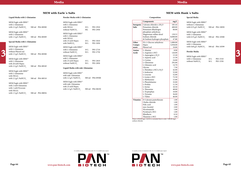## **Media**

## **MEM with Earle´s Salts**

## **Liquid Media with L-Glutamine**

## **Special Media with L-Glutamine**

## **MEM with Hank´s Salts**

## **Composition**

When 5,958.00 mg/L HEPES is included there is only 7,500.00 mg/L sodium chloride.



## **Special Media**

| MEM Eagle with HBSS <sup>(2)</sup><br>without L-Glutamine<br>with 0.35 g/L NaHCO <sub>2</sub> |              | 500 ml P04-10050     |
|-----------------------------------------------------------------------------------------------|--------------|----------------------|
| MEM Eagle with HBSS <sup>(2)</sup><br>with L-Glutamine<br>with 0.35 g/L NaHCO <sub>2</sub>    |              | 500 ml P04-10500     |
| MEM Eagle with HBSS <sup>(2)</sup><br>with L-Glutamine<br>with $0.60$ g/L NaHCO <sub>3</sub>  |              | 500 ml P04-10599     |
| Powder Media                                                                                  |              |                      |
| MEM Eagle with HBSS <sup>(1)</sup><br>with L-Glutamine<br>without NaHCO <sub>3</sub>          | 10 L<br>50 L | P03-3310<br>P03-3350 |

| MEM Eagle with EBSS <sup>(1)</sup><br>with L-Glutamine<br>with NEAA<br>without NaHCO <sub>3</sub> | 10L<br>50L  | P <sub>0</sub> 3-2910<br>P <sub>0</sub> 3-2950 |
|---------------------------------------------------------------------------------------------------|-------------|------------------------------------------------|
| MEM Eagle with EBSS <sup>(1)</sup><br>with L-Glutamine<br>with NEAA                               |             |                                                |
| with 25 mM Hepes                                                                                  | 10L         | P03-3010                                       |
| with NaHCO <sub>3</sub>                                                                           | 50 L        | P <sub>0</sub> 3-3050                          |
| MEM Eagle with EBSS <sup>(1)</sup><br>with L-Glutamine<br>without NaHCO <sub>3</sub>              | 10L<br>50 L | P <sub>0</sub> 3-2710<br>P <sub>0</sub> 3-2750 |
| MEM Eagle with EBSS <sup>(1)</sup><br>with L-Glutamine<br>with 25 mM Hepes                        | 10 L        | P <sub>0</sub> 3-2810                          |
| without NaHCO <sub>3</sub>                                                                        | 50 L        | P03-2850                                       |
|                                                                                                   |             |                                                |

## **Liquid Media with stab. Glutamine**

| MEM Eagle with EBSS <sup>(1)</sup> |                  | MEM Eagle with EBSS <sup>(1)</sup> |               |                  |                 | Components                                 | mg/L     | MEM Eagle with HBSS <sup>(2)</sup> |               |                  |   |
|------------------------------------|------------------|------------------------------------|---------------|------------------|-----------------|--------------------------------------------|----------|------------------------------------|---------------|------------------|---|
| with L-Glutamine                   |                  | with L-Glutamine                   |               |                  |                 | <b>Inorganic</b> Calcium chloride x $2H2O$ | 185.44   | without L-Glutamine                |               |                  |   |
| with 2.2 g/L NaHCO <sub>3</sub>    | 500 ml P04-08500 | with NEAA                          | $10\ {\rm L}$ | P03-2910         | Salts           | Potassium chloride                         | 400.00   | with 0.35 g/L NaHCO <sub>3</sub>   |               | 500 ml P04-10050 |   |
|                                    |                  | without NaHCO <sub>3</sub>         | 50L           | P03-2950         |                 | Potassium dihydrogen                       | 60.00    |                                    |               |                  |   |
| MEM Eagle with EBSS <sup>(1)</sup> |                  |                                    |               |                  |                 | phosphate anhydrous                        |          | MEM Eagle with HBSS <sup>(2)</sup> |               |                  |   |
| with L-Glutamine                   |                  | MEM Eagle with EBSS <sup>(1)</sup> |               |                  |                 | Magnesium sulfate dried                    | 139.53   | with L-Glutamine                   |               |                  |   |
| with 1.5 g/L NaHCO <sub>3</sub>    | 500 ml P04-00509 | with L-Glutamine                   |               |                  |                 | Sodium chloride                            | 8,000.00 | with 0.35 g/L NaHCO <sub>3</sub>   |               | 500 ml P04-10500 |   |
|                                    |                  | with NEAA                          |               |                  |                 | di-Sodium hydrogen phosphate               | 47.88    |                                    |               |                  |   |
| Special Media with L-Glutamine     |                  | with 25 mM Hepes                   | 10L           | P03-3010         |                 | $D(+)$ -Glucose anhydrous                  |          | MEM Eagle with HBSS <sup>(2)</sup> |               |                  |   |
|                                    |                  | with NaHCO <sub>3</sub>            | 50 L          | P03-3050         | Other           |                                            | 1,000.00 | with L-Glutamine                   |               |                  |   |
| MEM Eagle with EBSS <sup>(2)</sup> |                  | MEM Eagle with EBSS <sup>(1)</sup> |               |                  | Compo-          | Hepes<br>Phenol red                        | 5,958.00 | with 0.60 g/L NaHCO <sub>3</sub>   |               | 500 ml P04-10599 |   |
| with L-Glutamine                   |                  | with L-Glutamine                   | 10L           | P03-2710         | nents           |                                            | 10.00    |                                    |               |                  |   |
| without Phenol red                 |                  |                                    | 50 L          | P03-2750         | Amino           | L-Alanine                                  | 8.90     | Powder Media                       |               |                  |   |
| with 1.5 g/L NaHCO <sub>3</sub>    | 500 ml P04-00508 | without NaHCO <sub>3</sub>         |               |                  | Acids           | L-Arginine x HCl                           | 126.00   |                                    |               |                  | 3 |
|                                    |                  | MEM Eagle with EBSS <sup>(1)</sup> |               |                  |                 | L-Asparagine x H <sub>2</sub> O            | 13.20    | MEM Eagle with HBSS <sup>(1)</sup> |               |                  |   |
| MEM Eagle with EBSS <sup>(2)</sup> |                  | with L-Glutamine                   |               |                  |                 | L-Aspartic acid                            | 13.30    | with L-Glutamine                   | $10\ {\rm L}$ | P03-3310         |   |
| with L-Glutamine                   |                  | with 25 mM Hepes                   | 10L           | P03-2810         |                 | L-Cystine                                  | 24.00    | without NaHCO <sub>2</sub>         | $50\ {\rm L}$ | P03-3350         |   |
| with 20 mM Hepes                   |                  | without NaHCO <sub>3</sub>         | 50 L          | P03-2850         |                 | L-Glutamine                                | 292.00   |                                    |               |                  |   |
| with 2.2 g/L NaHCO <sub>3</sub>    | 500 ml P04-08549 |                                    |               |                  |                 | L-Glutamic acid                            | 14.70    |                                    |               |                  |   |
|                                    |                  | Liquid Media with stab. Glutamine  |               |                  |                 | Glycine                                    | 7.50     |                                    |               |                  |   |
| MEM Eagle with EBSS <sup>(2)</sup> |                  |                                    |               |                  |                 | L-Histidine x HCl x H <sub>2</sub> O       | 42.00    |                                    |               |                  |   |
| with L-Glutamine                   |                  | MEM Eagle with EBSS <sup>(1)</sup> |               |                  |                 | L-Isoleucine                               | 52.00    |                                    |               |                  |   |
| with NEAA                          |                  | with stab. Glutamine               |               |                  |                 | L-Leucine                                  | 52.00    |                                    |               |                  |   |
| with 2.2 g/L NaHCO <sub>3</sub>    | 500 ml P04-08510 | with 2.2 g/L NaHCO <sub>3</sub>    |               | 500 ml P04-09500 |                 | L-Lysine x HCl                             | 72.50    |                                    |               |                  |   |
|                                    |                  |                                    |               |                  |                 | L-Methionine                               | 15.00    |                                    |               |                  |   |
| MEM Eagle with EBSS <sup>(2)</sup> |                  | MEM Eagle with EBSS <sup>(1)</sup> |               |                  |                 | L-Phenylalanine                            | 32.00    |                                    |               |                  |   |
| with 2 mM Glutamine                |                  | with stab. Glutamine               |               |                  |                 | L-Proline                                  | 11.50    |                                    |               |                  |   |
| with 1 mM Pyruvate                 |                  | with 25 mM Hepes                   |               |                  |                 | L-Serine                                   | 10.50    |                                    |               |                  |   |
| with NEAA                          |                  | with 2.2 g/L NaHCO <sub>3</sub>    |               | 500 ml P04-08250 |                 | L-Threonine                                | 48.00    |                                    |               |                  |   |
| with 1.5 g/L NaHCO <sub>3</sub>    | 500 ml P04-08056 |                                    |               |                  |                 | L-Tryptophan                               | 10.00    |                                    |               |                  |   |
|                                    |                  |                                    |               |                  |                 | L-Tyrosine                                 | 36.00    |                                    |               |                  |   |
|                                    |                  |                                    |               |                  |                 | L-Valine                                   | 46.00    |                                    |               |                  |   |
|                                    |                  |                                    |               |                  | <b>Vitamins</b> | D-Calcium pantothenate                     | 1.00     |                                    |               |                  |   |
|                                    |                  |                                    |               |                  |                 | Cholin chloride                            | 1.00     |                                    |               |                  |   |
|                                    |                  |                                    |               |                  |                 | Folic acid                                 | 1.00     |                                    |               |                  |   |
|                                    |                  |                                    |               |                  |                 | myo-Inositol                               | 2.00     |                                    |               |                  |   |
|                                    |                  |                                    |               |                  |                 | Nicotinamide                               | 1.00     |                                    |               |                  |   |
|                                    |                  |                                    |               |                  |                 | Pyridoxal x HCl                            | 1.00     |                                    |               |                  |   |
|                                    |                  |                                    |               |                  |                 | Riboflavin                                 | 0.10     |                                    |               |                  |   |
|                                    |                  |                                    |               |                  |                 | Thiamine x HCl                             | 1.00     |                                    |               |                  |   |

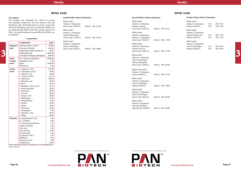## **Media**

**Page 66**

**RPMI 1640**

### **Description**

The medium was developed for culture of normal and neoplastic leukocytes, but also marrow cells and hybridoma cells. Meanwhile there are better, serum-free media for hybridoma cells such our Panserin H4000. Just by supplementing RPMI 1640 with varying amounts of FBS, a very good medium for many different cell lines can be obtained.

**Composition**

#### When 5,958.00 mg/L HEPES is included there is only 5,000.00 mg/L sodium chloride.

 $RPMI$  1640<sup>(1)</sup> without L-Glutamine with 2.0 g/L NaHCO<sub>3</sub> 500 ml P04-17500 RPMI 1640<sup>(1)</sup> without L-Glutamine without Phenol red with  $2.0 \text{ g/L}$  NaHCO<sub>3</sub> 500 ml P04-16516  $RPMI$  1640<sup>(1)</sup>

## **RPMI 1640**

**Special Media without Glutamine**



| RPMI 1640 <sup>(2)</sup><br>without L-Glutamine<br>without Calcium<br>with 2.0 g/L NaHCO <sub>3</sub>                       |        | 500 ml P04-16151 |
|-----------------------------------------------------------------------------------------------------------------------------|--------|------------------|
| RPMI 1640 <sup>(2)</sup><br>without L-Glutamine<br>without L-Tryptophan<br>with 2.0 g/L NaHCO <sub>3</sub>                  | 500 ml | P04-17599        |
| RPMI 1640 <sup>(2)</sup><br>without L-Glutamine<br>without Glucose<br>with 2.0 g/L NaHCO <sub>3</sub>                       | 500 ml | P04-17550        |
| RPMI 1640 <sup>(2)</sup><br>without L-Glutamine<br>with 15 mM Hepes<br>without Phosphate<br>with 2.0 g/L NaHCO <sub>3</sub> | 500 ml | P04-21049        |
| RPMI 1640 (10X) <sup>(2)</sup><br>without L-Glutamine<br>without NaHCO <sub>3</sub>                                         | 500 ml | P04-17510        |
| RPMI 1640 <sup>(2)</sup><br>without L-Glutamine<br>with 25 mM Hepes<br>without NaHCO <sub>3</sub>                           | 500 ml | P04-17850        |
| RPMI 1640 <sup>(2)</sup><br>without L-Glutamine<br>with 25 mM Hepes<br>with 2.2 g/L NaHCO <sub>3</sub>                      | 500 ml | P04-22500        |
| RPMI 1640 <sup>(2)</sup><br>without L-Glutamine<br>with 20 mM Hepes<br>with $0.85$ g/L NaHCO <sub>3</sub>                   | 500 ml | P04-19500        |

## **Powder Media without Glutamine**

| RPMI 1640 <sup>(1)</sup><br>without L-Glutamine<br>without NaHCO <sub>3</sub> | 10L<br>50 L | P <sub>0</sub> 3-7210<br>P <sub>0</sub> 3-7250 |
|-------------------------------------------------------------------------------|-------------|------------------------------------------------|
| RPMI 1640 <sup>(1)</sup>                                                      |             |                                                |
| without L-Glutamine                                                           |             |                                                |
| without Phenol red                                                            | 10L         | P <sub>0</sub> 3-7710                          |
| without NaHCO <sub>3</sub>                                                    | 50 L        | P <sub>0</sub> 3-7750                          |
| RPMI $1640^{(1)}$                                                             |             |                                                |
| without L-Glutamine                                                           |             |                                                |
| with 25 mM Hepes                                                              | 10L         | P <sub>0</sub> 3-4410                          |
| without NaHCO <sub>3</sub>                                                    | 50 L        | P <sub>0</sub> 3-4450                          |

|                 | Components                                                                                                                   | mg/L                                 | $RPMI$ 1640 <sup>(1)</sup><br>without L-Glutamine   |                  | RPMI 1640 <sup>(2)</sup>                                                    |                  | $RPMI$ 1640 $^{(1)}$<br>without L-Glutamine    |                              |                      |   |
|-----------------|------------------------------------------------------------------------------------------------------------------------------|--------------------------------------|-----------------------------------------------------|------------------|-----------------------------------------------------------------------------|------------------|------------------------------------------------|------------------------------|----------------------|---|
| <b>Salts</b>    | Inorganic $\vert$ Calcium nitrate x 4H <sub>2</sub> O<br>Potassium chloride<br>Magnesium sulfate anhydrous<br>Sodiumchloride | 100.00<br>400.00<br>48.83<br>6000.00 | with 25 mM Hepes<br>with 2.0 g/L NaHCO <sub>3</sub> | 500 ml P04-18000 | without L-Glutamine<br>without Glucose<br>with 2.0 $g/L$ NaHCO <sub>3</sub> | 500 ml P04-17550 | with 25 mM Hepes<br>without NaHCO <sub>3</sub> | $10\ {\rm L}$<br>$50\:\rm L$ | P03-4410<br>P03-4450 | 3 |
|                 | di-Sodium hydrogen phosphate                                                                                                 | 800.49                               |                                                     |                  | RPMI 1640 <sup>(2)</sup><br>without L-Glutamine                             |                  |                                                |                              |                      |   |
| Other<br>Compo- | $D(+)$ -Glucose anhydrous<br>Glutathion (red.)                                                                               | $2000.00\,$<br>1.00                  |                                                     |                  | with 15 mM Hepes                                                            |                  |                                                |                              |                      |   |
| nents           | Hepes                                                                                                                        | 5958.00                              |                                                     |                  | without Phosphate                                                           |                  |                                                |                              |                      |   |
|                 | Phenol red                                                                                                                   | 5.00                                 |                                                     |                  | with 2.0 g/L NaHCO <sub>3</sub>                                             | 500 ml P04-21049 |                                                |                              |                      |   |
| Amino           | L-Arginine x HCl                                                                                                             | 241.86                               |                                                     |                  | RPMI 1640 (10X) <sup>(2)</sup>                                              |                  |                                                |                              |                      |   |
| Acids           | L-Asparagine x H <sub>2</sub> O                                                                                              | 50.00                                |                                                     |                  | without L-Glutamine                                                         |                  |                                                |                              |                      |   |
|                 | L-Aspartic acid                                                                                                              | 20.00                                |                                                     |                  | without NaHCO <sub>3</sub>                                                  | 500 ml P04-17510 |                                                |                              |                      |   |
|                 | L-Cystine x 2HCl                                                                                                             | 65.19                                |                                                     |                  |                                                                             |                  |                                                |                              |                      |   |
|                 | L-Glutamine                                                                                                                  | 300.00                               |                                                     |                  | RPMI 1640 <sup>(2)</sup>                                                    |                  |                                                |                              |                      |   |
|                 | L-Glutamic acid                                                                                                              | 20.00                                |                                                     |                  | without L-Glutamine                                                         |                  |                                                |                              |                      |   |
|                 | Glycine                                                                                                                      | 10.00                                |                                                     |                  | with 25 mM Hepes                                                            |                  |                                                |                              |                      |   |
|                 | L-Histidine x HCl x H <sub>2</sub> O                                                                                         | 20.27                                |                                                     |                  | without NaHCO <sub>3</sub>                                                  | 500 ml P04-17850 |                                                |                              |                      |   |
|                 | L-Hydroxyproline                                                                                                             | 20.00                                |                                                     |                  | RPMI 1640 <sup>(2)</sup>                                                    |                  |                                                |                              |                      |   |
|                 | L-Isoleucine                                                                                                                 | 50.00                                |                                                     |                  | without L-Glutamine                                                         |                  |                                                |                              |                      |   |
|                 | L-Leucine                                                                                                                    | 50.00                                |                                                     |                  | with 25 mM Hepes                                                            |                  |                                                |                              |                      |   |
|                 | L-Lysine x HCl                                                                                                               | 40.00                                |                                                     |                  |                                                                             | 500 ml P04-22500 |                                                |                              |                      |   |
|                 | L-Methionine                                                                                                                 | 15.00                                |                                                     |                  | with 2.2 g/L NaHCO <sub>3</sub>                                             |                  |                                                |                              |                      |   |
|                 | L-Phenylalanine                                                                                                              | 15.00                                |                                                     |                  | RPMI 1640 <sup>(2)</sup>                                                    |                  |                                                |                              |                      |   |
|                 | L-Proline                                                                                                                    | 20.00                                |                                                     |                  | without L-Glutamine                                                         |                  |                                                |                              |                      |   |
|                 | L-Serine                                                                                                                     | 30.00                                |                                                     |                  | with 20 mM Hepes                                                            |                  |                                                |                              |                      |   |
|                 | L-Threonine                                                                                                                  | 20.00                                |                                                     |                  | with 0.85 g/L NaHCO <sub>3</sub>                                            | 500 ml P04-19500 |                                                |                              |                      |   |
|                 | L-Tryptophan                                                                                                                 | 5.00                                 |                                                     |                  |                                                                             |                  |                                                |                              |                      |   |
|                 | L-Tyrosine x 2Na                                                                                                             | 28.83                                |                                                     |                  |                                                                             |                  |                                                |                              |                      |   |
|                 | L-Valine                                                                                                                     | 20.00                                |                                                     |                  |                                                                             |                  |                                                |                              |                      |   |
| <b>Vitamins</b> | p-Aminobenzoic acid                                                                                                          | 1.00                                 |                                                     |                  |                                                                             |                  |                                                |                              |                      |   |
|                 | $D-(+)$ -Biotin                                                                                                              | 0.20                                 |                                                     |                  |                                                                             |                  |                                                |                              |                      |   |
|                 | D-Calcium pantothenate                                                                                                       | 0.25                                 |                                                     |                  |                                                                             |                  |                                                |                              |                      |   |
|                 | Choline chloride                                                                                                             | 3.00                                 |                                                     |                  |                                                                             |                  |                                                |                              |                      |   |
|                 | Folic acid                                                                                                                   | 1.00                                 |                                                     |                  |                                                                             |                  |                                                |                              |                      |   |
|                 | myo-Inositol                                                                                                                 | 35.00                                |                                                     |                  |                                                                             |                  |                                                |                              |                      |   |
|                 | Nicotinamide                                                                                                                 | 1.00                                 |                                                     |                  |                                                                             |                  |                                                |                              |                      |   |
|                 | Pyridoxine x HCl                                                                                                             | 1.00                                 |                                                     |                  |                                                                             |                  |                                                |                              |                      |   |
|                 | Riboflavin                                                                                                                   | 0.20                                 |                                                     |                  |                                                                             |                  |                                                |                              |                      |   |
|                 | Thiamine x HCl                                                                                                               | 1.00                                 |                                                     |                  |                                                                             |                  |                                                |                              |                      |   |
|                 | Vitamin B12                                                                                                                  | 0.005                                |                                                     |                  |                                                                             |                  |                                                |                              |                      |   |
|                 |                                                                                                                              |                                      |                                                     |                  |                                                                             |                  |                                                |                              |                      |   |

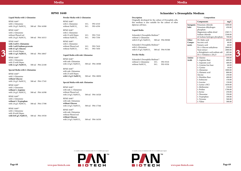## **Media**

**Page 68**

## **RPMI 1640**

**www.pan-biotech.com Page 69**

## **Schneider´s Drosophila Medium**

## **Description**

Originally developed for the culture of Drosophila cells, this medium is also suitable for the culture of other dipteran cell lines.

## **Composition**

### **Liquid Media**

### **Powder Media**

| Schneider's Drosophila Medium <sup>(1)</sup> |      |                       |
|----------------------------------------------|------|-----------------------|
| without L-Glutamine                          | 10 L | P <sub>0</sub> 3-9310 |
| without NaHCO <sub>3</sub>                   | 50 L | P <sub>0</sub> 3-9350 |

RPMI 1640(2) with L-Glutamine with 20 mM Hepes **with 0.85 g/L NaHCO**<sub>3</sub> 500 ml P04-19550

## **Liquid Media with L-Glutamine**

## **Powder Media with L-Glutamine** RPMI 1640<sup>(1)</sup> with L-Glutamine 10 L P03-4310 without NaHCO<sub>3</sub> 50 L P03-4350

| RPMI 1640 <sup>(1)</sup>                                                                                                                                                                             |                                      | RPMI 1640 <sup>(1)</sup>                                                                                                                                            |             |                      | Originally developed for the culture of Drosophila cells,<br>this medium is also suitable for the culture of other                                                                                        |                          | Components                                                                                                                                                               | mg/L                                                                |  |
|------------------------------------------------------------------------------------------------------------------------------------------------------------------------------------------------------|--------------------------------------|---------------------------------------------------------------------------------------------------------------------------------------------------------------------|-------------|----------------------|-----------------------------------------------------------------------------------------------------------------------------------------------------------------------------------------------------------|--------------------------|--------------------------------------------------------------------------------------------------------------------------------------------------------------------------|---------------------------------------------------------------------|--|
| with L-Glutamine                                                                                                                                                                                     | 500 ml P04-16500                     | with L-Glutamine                                                                                                                                                    | 10L<br>50 L | P03-4310<br>P03-4350 | dipteran cell lines.                                                                                                                                                                                      |                          | Inorganic   Potassium chloride                                                                                                                                           | 1600.00                                                             |  |
| with $2.0$ g/L NaHCO <sub>3</sub><br>RPMI 1640 <sup>(1)</sup><br>with L-Glutamine<br>without Phenol red                                                                                              |                                      | without NaHCO <sub>3</sub><br>RPMI 1640 <sup>(1)</sup><br>with L-Glutamine<br>with 25 mM Hepes                                                                      | 10L<br>50 L | P03-7310<br>P03-7350 | Liquid Media<br>Schneider's Drosophila Medium <sup>(1)</sup><br>without L-Glutamine                                                                                                                       | <b>Salts</b>             | Potassium dihydrogen<br>phosphate<br>Magnesium sulfate dried<br>Sodium chloride<br>di-Sodium hydrogen phosphate                                                          | 450.00<br>2585.71<br>2100.00<br>700.00                              |  |
| with 2.0 $g/L$ NaHCO <sub>3</sub><br>RPMI 1640 <sup>(1)</sup><br>with 2 mM L-Glutamine<br>with 1 mM Sodium pyruvate<br>with 4.5 g/L Glucose<br>with 10 mM Hepes<br>with $1.5$ g/L NaHCO <sub>2</sub> | 500 ml P04-16515<br>500 ml P04-18047 | without NaHCO <sub>2</sub><br>RPMI 1640 <sup>(1)</sup><br>with L-Glutamine<br>without Phenol red<br>without NaHCO <sub>2</sub><br>Liquid Media with stab. Glutamine | 10L<br>50 L | P03-7610<br>P03-7650 | 500 ml P04-90500<br>with 0.35 g/L NaHCO <sub>2</sub><br>Schneider's Drosophila Medium <sup>(1)</sup><br>with L-Glutamine<br>500 ml P04-91500<br>with $0.35$ g/L NaHCO <sub>3</sub><br><b>Powder Media</b> | Other<br>Compo-<br>nents | DL-Malic acid<br>Succinic acid<br>Fumaric acid<br>$D(+)$ -Glucose anhydrous<br>Yeast extract<br>a-Ketoglutaric acid sodium salt<br>$D(+)$ -Trehalose x 2H <sub>2</sub> O | 600.00<br>60.00<br>60.00<br>2000.00<br>2000.00<br>402.66<br>2210.00 |  |
| RPMI 1640 <sup>(1)</sup><br>with L-Glutamine<br>with 25 mM Hepes<br>with 2.2 $g/L$ NaHCO <sub>2</sub>                                                                                                | 500 ml P04-22100                     | RPMI 1640 <sup>(1)</sup><br>with stab. Glutamine<br>with 2.0 g/L NaHCO <sub>3</sub>                                                                                 |             | 500 ml P04-18500     | Schneider's Drosophila Medium <sup>(1)</sup><br>without L-Glutamine<br>10L<br>P03-9310<br>50 L<br>P03-9350<br>without NaHCO <sub>3</sub>                                                                  | Amino<br>Acids           | $\beta$ -Alanine<br>L-Arginine Base<br>L-Asparatic acid<br>L-Cysteine free base                                                                                          | 500.00<br>600.00<br>400.00<br>60.00                                 |  |
| Special Media with L-Glutamine<br>RPMI 1640 <sup>(2)</sup><br>with L-Glutamine<br>without Glucose<br>with 2.0 g/L NaHCO <sub>3</sub>                                                                 | 500 ml P04-17545                     | RPMI 1640 <sup>(1)</sup><br>with stab. Glutamine<br>with 25 mM Hepes<br>with 2.2 $g/L$ NaHCO <sub>3</sub><br>Special Media with stab. Glutamine                     |             | 500 ml P04-18050     |                                                                                                                                                                                                           |                          | L-Cystine<br>L-Glutamine<br>L-Glutamic acid<br>Glycine<br>L-Histidine Base<br>L-Isoleucine<br>L-Leucine                                                                  | 16.60<br>1800.00<br>800.00<br>250.00<br>400.00<br>150.00<br>150.00  |  |
| RPMI 1640 <sup>(2)</sup><br>with L-Glutamine<br>without L-Arginine<br>with 2.0 g/L NaHCO <sub>3</sub><br>RPMI 1640 <sup>(2)</sup>                                                                    | 500 ml P04-16598                     | RPMI 1640 <sup>(2)</sup><br>with stab. L-Glutamine<br>without Phenol red<br>with 2.0 g/L NaHCO <sub>3</sub>                                                         |             | 500 ml P04-16520     |                                                                                                                                                                                                           |                          | L-Lysine x HCl<br>L-Methionine<br>L-Proline<br>L-Serine<br>L-Threonine<br>L-Tryptophan                                                                                   | 1650.00<br>150.00<br>1700.00<br>250.00<br>350.00<br>100.00          |  |
| with L-Glutamine<br>without L-Tryptophan<br>with $2.0 \sigma / I$ No $100$                                                                                                                           | $500 \text{ m}$ D04 17508            | RPMI 1640 <sup>(2)</sup><br>with stab. Glutamine<br>without Glucose                                                                                                 |             |                      |                                                                                                                                                                                                           |                          | L-Tyrosine<br>L-Valine                                                                                                                                                   | 500.00<br>300.00                                                    |  |

### **Special Media with L-Glutamine**

RPMI 1640<sup>(2)</sup> with L-Glutamine **without L-Tryptophan** with 2.0 g/L NaHCO<sub>3</sub> 500 ml P04-17598

## **Liquid Media with stab. Glutamine**

### **Special Media with stab. Glutamine**

RPMI 1640<sup>(2)</sup> with stab. Glutamine **without Glucose** with  $2.0 \text{ g/L}$  NaHCO<sub>3</sub> 500 ml P04-17546

RPMI 1640<sup>(2)</sup> with stab. Glutamine without Phenol red **without Glucose** with 2.0 g/L NaHCO<sub>3</sub> 500 ml P04-16530



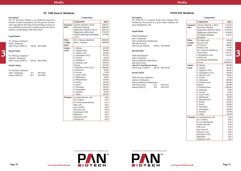

## **TC 100 Insect Medium**

## **Description**

| Composition |
|-------------|
|             |

## **Liquid Media**

| TC 100 Insect Medium <sup>(1)</sup> |                  |
|-------------------------------------|------------------|
| with L-Glutamine                    |                  |
| with $0.35$ g/L NaHCO <sub>3</sub>  | 500 ml P04-92500 |

## **Special Media**

| TC 100 Insect Medium $^{(2)}$      |                  |
|------------------------------------|------------------|
| without L-Glutamine                |                  |
| with 0.35 $g/L$ NaHCO <sub>3</sub> | 500 ml P04-93500 |

## **Powder Media**

| 10 L | P <sub>0</sub> 3-9610 |
|------|-----------------------|
| 50 L | P <sub>0</sub> 3-9650 |
|      |                       |

|                 | Components                             | mg/L         |
|-----------------|----------------------------------------|--------------|
| Inorganic       | Calcium chloride x 2H <sub>2</sub> O   | 1298.13      |
| <b>Salts</b>    | Potassium chloride                     | 2900.00      |
|                 | Magnesium chloride x 6H <sub>2</sub> O | 2282.59      |
|                 | Magnesium sulfate dried                | 1781.00      |
|                 | Sodium dihydrogen phosphate            | 970.00       |
|                 | x H,O                                  |              |
| Other           | $D(+)$ -Glucose anhydrous              | 1000.00      |
| Compo-          | Bacto - Tryptose                       | 2600.00      |
| nents           |                                        |              |
| Amino           | L-Alanine                              | 225.00       |
| Acids           | L-Arginine Base                        | 550.00       |
|                 | L-Aspartic acid                        | 350.00       |
|                 | L-Asparagine x H <sub>2</sub> O        | 391.97       |
|                 | L-Cystine                              | 20.00        |
|                 | L-Glutamine                            | 600.00       |
|                 | L-Glutamic acid                        | 600.00       |
|                 | Glycine                                | 650.00       |
|                 | L-Histidine x HCl x H <sub>2</sub> O   | 3400.00      |
|                 | L-Isoleucine                           | 50.00        |
|                 | L-Leucine                              | 75.00        |
|                 | L-Lysine x HCl                         | 630.00       |
|                 | L-Methionine                           | 50.00        |
|                 | L-Phenylalanine                        | 150.00       |
|                 | L-Proline                              | 350.00       |
|                 | L-Serine                               | 550.00       |
|                 | L-Threonine                            | 180.00       |
|                 | L-Tryptophan                           | 100.00       |
|                 | L-Tyrosine<br>L-Valine                 | 55.00        |
|                 |                                        | 100.00       |
| <b>Vitamins</b> | p-Amino benzoic acid                   | $0.02\,$     |
|                 | $D-(+)$ -Biotin                        | 0.01         |
|                 | D-Calcium pantothenate                 | 0.11         |
|                 | Folic acid                             | 0.02         |
|                 | myo-Inositol<br>Nicotinic acid         | 0.02         |
|                 |                                        | 0.02         |
|                 | Pyridoxine x HCl<br>Riboflavin         | 0.02<br>0.02 |
|                 | Thiamine x HCl                         | 0.02         |
|                 | Vitamin B12                            | 0.01         |
|                 |                                        |              |

## **TNM-FH Medium**

### **Description**

### **Liquid Media**

### **Special Media**

## **Powder Media**

| TNM-FH Insect Medium <sup>(1)</sup> |      |          |
|-------------------------------------|------|----------|
| without L-Glutamine                 |      |          |
| with Lactalbumine-Hydrolysate       |      |          |
| with Yeast extract                  | 10 L | P03-9710 |
| without NaHCO <sub>3</sub>          | 50 L | P03-9750 |
|                                     |      |          |

| The TC 100 Insect Medium is an absolutely serum-free            |                  |                                        |         | The TNM-FH is a variation of the Grace medium. This  |        |                                            |           |  |
|-----------------------------------------------------------------|------------------|----------------------------------------|---------|------------------------------------------------------|--------|--------------------------------------------|-----------|--|
| formula (Oxford formulation) for the growth of insect           |                  | Components                             | mg/L    | modification has proved as a good culture medium for |        | Components                                 | mg/L      |  |
| cells, especially for SF9 cells and the breeding of viruses. If | <b>Inorganic</b> | Calcium chloride x 2H <sub>2</sub> O   | 1298.13 | many lepidopteran cells.                             |        | <b>Inorganic</b> Calcium chloride $x 2H2O$ | 1,324.62  |  |
| you would like to work with a modern protein-free insect        | Salts            | Potassium chloride                     | 2900.00 |                                                      | Salts  | Potassium chloride                         | 2,240.00  |  |
| medium, our Spodopan is the ideal choice.                       |                  | Magnesium chloride x 6H <sub>2</sub> O | 2282.59 |                                                      |        | Magnesium chloride x 6H <sub>2</sub> O     | 2,278.86  |  |
|                                                                 |                  | Magnesium sulfate dried                | 1781.00 | Liquid Media                                         |        | Magnesium sulfate dried                    | 1,939.80  |  |
|                                                                 |                  | Sodium dihydrogen phosphate            | 970.00  |                                                      |        | di-Sodium hydrogen                         | 876.92    |  |
| Liquid Media                                                    |                  | X H <sub>2</sub> O                     |         | TNM-FH Medium <sup>(1)</sup>                         |        | phosphate                                  |           |  |
|                                                                 | Other            | $D(+)$ -Glucose anhydrous              | 1000.00 | with L-Glutamine                                     | Other  | DL-Malic acid                              | 670.00    |  |
| TC 100 Insect Medium <sup>(1)</sup>                             | Compo-           | Bacto - Tryptose                       | 2600.00 | with Lactalbumine-Hydrolysate                        | Compo- | Succinic acid                              | 60.00     |  |
| with L-Glutamine                                                | nents            |                                        |         | with Yeast extract                                   | nents  | D-Fructose                                 | 400.00    |  |
| with 0.35 g/L NaHCO <sub>3</sub><br>500 ml P04-92500            |                  |                                        |         | with 0.35 g/L NaHC0 <sub>3</sub><br>500 ml P04-80500 |        | Fumaric acid                               | 55.00     |  |
|                                                                 | Amino            | L-Alanine                              | 225.00  |                                                      |        | $D(+)$ -Glucose anhydrous                  | 700.00    |  |
| <b>Special Media</b>                                            | Acids            | L-Arginine Base                        | 550.00  | Special Media                                        |        | Yeast extract                              | 3,333.33  |  |
|                                                                 |                  | L-Aspartic acid                        | 350.00  |                                                      |        | a-Ketoglutaric acid                        | 425.66    |  |
| TC 100 Insect Medium <sup>(2)</sup>                             |                  | L-Asparagine x H <sub>2</sub> O        | 391.97  | TNM-FH Medium <sup>(2)</sup>                         |        | sodium salt                                |           |  |
| without L-Glutamine                                             |                  | L-Cystine                              | 20.00   | with L-Glutamine                                     |        | Lactalbumin Hydrolysate                    | 3,333.33  |  |
| with $0.35$ g/L NaHCO <sub>3</sub><br>500 ml P04-93500          |                  | L-Glutamine                            | 600.00  | with Lactalbumin-Hydrolysate                         |        | Sucrose                                    | 26,680.00 |  |
|                                                                 |                  | L-Glutamic acid                        | 600.00  | with Yeast extract                                   |        |                                            |           |  |
| <b>Powder Media</b>                                             |                  | Glycine                                | 650.00  | with 10 % Fetal Bovine Serum                         | Amino  | $\beta$ -Alanine                           | 200.00    |  |
|                                                                 |                  | L-Histidine x HCl x $H2O$              | 3400.00 | 500 ml P04-83500<br>with 0.35 g/L NaHCO <sub>3</sub> | Acids  | L-Alanine                                  | 225.00    |  |
| TC 100 Insect Medium <sup>(1)</sup>                             |                  | L-Isoleucine                           | 50.00   |                                                      |        | L-Arginine x HCl                           | 700.00    |  |
| with L-Glutamine<br>10L<br>P03-9610                             |                  | L-Leucine                              | 75.00   | <b>Powder Media</b>                                  |        | L-Asparagine $x H2O$                       | 350.00    |  |
| without NaHCO <sub>3</sub><br>50 L<br>P03-9650                  |                  | L-Lysine x HCl                         | 630.00  |                                                      |        | L-Aspartic acid                            | 350.00    |  |
|                                                                 |                  | L-Methionine                           | 50.00   | TNM-FH Insect Medium <sup>(1)</sup>                  |        | L-Cystine                                  | 19.18     |  |
|                                                                 |                  | L-Phenylalanine                        | 150.00  | without L-Glutamine                                  |        | L-Glutamine                                | 600.00    |  |
|                                                                 |                  | L-Proline                              | 350.00  | with Lactalbumine-Hydrolysate                        |        | L-Glutamic acid                            | 600.00    |  |
|                                                                 |                  | L-Serine                               | 550.00  | P03-9710<br>with Yeast extract<br>10L                |        | Glycine                                    | 650.00    |  |
|                                                                 |                  | L-Threonine                            | 180.00  | 50 L<br>without NaHCO <sub>3</sub><br>P03-9750       |        | L-Histidine Base                           | 2,500.00  |  |
|                                                                 |                  | L-Tryptophan                           | 100.00  |                                                      |        | L-Isoleucine                               | 50.00     |  |
|                                                                 |                  | L-Tyrosine                             | 55.00   |                                                      |        | L-Leucine                                  | 75.00     |  |
|                                                                 |                  | L-Valine                               | 100.00  |                                                      |        | L-Lysine x HCl                             | 625.00    |  |
|                                                                 | <b>Vitamins</b>  | p-Amino benzoic acid                   | 0.02    |                                                      |        | L-Methionine                               | 50.00     |  |
|                                                                 |                  | $D-(+)$ -Biotin                        | 0.01    |                                                      |        | L-Phenylalanine                            | 150.00    |  |
|                                                                 |                  | D-Calcium pantothenate                 | 0.11    |                                                      |        | L-Proline                                  | 350.00    |  |
|                                                                 |                  | Folic acid                             | 0.02    |                                                      |        | L-Serine                                   | 550.00    |  |
|                                                                 |                  | myo-Inositol                           | 0.02    |                                                      |        | L-Threonine                                | 175.00    |  |
|                                                                 |                  | Nicotinic acid                         | 0.02    |                                                      |        | L-Tryptophan                               | 100.00    |  |
|                                                                 |                  | Pyridoxine x HCl                       | 0.02    |                                                      |        | L-Tyrosine                                 | 50.00     |  |
|                                                                 |                  | Riboflavin                             | 0.02    |                                                      |        | L-Valine                                   | 100.00    |  |
|                                                                 |                  | Thiamine x HCl                         | 0.02    |                                                      |        | Vitamins   p-Aminobenzoic acid             | 0.02      |  |
|                                                                 |                  | Vitamin B12                            | 0.01    |                                                      |        | $D-(+)$ -Biotin                            | 0.01      |  |
|                                                                 |                  |                                        |         |                                                      |        | D-Ca-Pantothenate                          | 0.02      |  |
|                                                                 |                  |                                        |         |                                                      |        | Cholin chloride                            | 0.20      |  |
|                                                                 |                  |                                        |         |                                                      |        | Folic acid                                 | 0.02      |  |
|                                                                 |                  |                                        |         |                                                      |        | myo-Inositol                               | 0.02      |  |
|                                                                 |                  |                                        |         |                                                      |        | Nicotinic acid                             | 0.02      |  |
|                                                                 |                  |                                        |         |                                                      |        | Pyridoxol x HCl                            | 0.02      |  |
|                                                                 |                  |                                        |         |                                                      |        | Riboflavin                                 | 0.02      |  |
|                                                                 |                  |                                        |         |                                                      |        | Thiamine x HCl                             | 0.02      |  |

## **Composition**

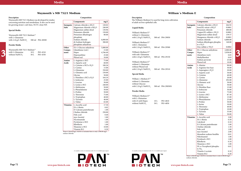

## **Waymouth´s MB 752/1 Medium**

## **Description**

Waymouth's MB 752/1 Medium was developed for studies concerning nutrition and metabolism. It also can be used for growing strain L sub-lines, NCTC clone 929.

**Composition**

When 4,766.40 mg/L HEPES is included there is only 5,500.00 mg/L sodium chloride.

## **Special Media**

| Waymouth's MB 752/1 Medium <sup>(2)</sup> |  |                  |  |
|-------------------------------------------|--|------------------|--|
| with L-Glutamine                          |  |                  |  |
| with 2.24 $g/L$ NaHCO <sub>3</sub>        |  | 500 ml P04-28500 |  |

### **Powder Media**

Waymouth's MB 752/1 Medium<sup>(1)</sup> with L-Glutamine 10 L P03-4510 without NaHCO<sub>3</sub>  $50 L$  P03-4550

|                 | Components                             | mg/L     |
|-----------------|----------------------------------------|----------|
| Inorganic       | Calcium chloride x 2H <sub>2</sub> O   | 120.02   |
| <b>Salts</b>    | Magnesium chloride x 6H <sub>2</sub> O | 240.00   |
|                 | Magnesium sulfate dried                | 130.96   |
|                 | Potassium chloride                     | 150.00   |
|                 | Potassium dihydrogen                   | 80.00    |
|                 | phosphate                              |          |
|                 | Sodium chloride                        | 6,000.00 |
|                 | di-Sodium hydrogen                     | 300.00   |
|                 | phosphate anhydrous                    |          |
| Other           | $D(+)$ -Glucose anhydrous              | 5,000.00 |
| Compo-          | Glutathione (red.)                     | 15.00    |
| nents           | Hepes                                  | 4,766.40 |
|                 | Hypoxanthine                           | 25.00    |
|                 | Phenol red                             | 10.00    |
| Amino           | L-Arginine x HCl                       | 75.00    |
| Acids           | L-Aspartic acid                        | 60.00    |
|                 | L-Cysteine x HCl x H <sub>2</sub> O    | 100.26   |
|                 | L-Cystine                              | 15.00    |
|                 | L-Glutamine                            | 350.00   |
|                 | L-Glutamic acid                        | 150.00   |
|                 | Glycine                                | 50.00    |
|                 | L-Histidine x HCl x H <sub>2</sub> O   | 164.10   |
|                 | L-Isoleucine                           | 25.00    |
|                 | L-Leucine                              | 50.00    |
|                 | L-Lysine x HCl                         | 240.00   |
|                 | L-Methionine                           | 50.00    |
|                 | L-Phenylalanine                        | 50.00    |
|                 | L-Proline                              | 50.00    |
|                 | L-Threonine                            | 75.00    |
|                 | L-Tryptophan                           | 40.00    |
|                 | L-Tyrosine                             | 40.00    |
|                 | L-Valine                               | 65.00    |
| <b>Vitamins</b> | L-Ascorbic acid                        | 17.50    |
|                 | $D(+)$ -Biotin                         | 0.02     |
|                 | D-Calcium pantothenate                 | 1.00     |
|                 | Choline chloride                       | 250.00   |
|                 | Folic acid                             | 0.40     |
|                 | myo-Inositol                           | 1.00     |
|                 | Nicotinamide                           | 1.00     |
|                 | Pyridoxine x HCl                       | 1.00     |
|                 | Riboflavin                             | 1.00     |
|                 | Thiamine x HCl                         | 10.00    |
|                 | Vitamin B12                            | 0.20     |

## **Description** The William's Medium E is used for long-term cultivation of adult rat liver epithelial cells. **Liquid Media** William's Medium  $\mathbf{E}^{(1)}$ without L-Glutamine with 2.24 g/L NaHCO<sub>3</sub> 500 ml P04-29050 William's Medium  $\mathbf{E}^{(1)}$ with L-Glutamine with 2.24 g/L NaHCO<sub>3</sub> 500 ml P04-29500 William's Medium  $\mathbf{E}^{(1)}$ with stab. Glutamine with 2.24 g/L NaHCO<sub>3</sub> 500 ml P04-29150 William's Medium  $\mathbf{E}^{(1)}$ without L-Glutamine without Phenol red with 2.24 g/L NaHCO<sub>3</sub> 500 ml P04-29510 **Special Media**  William´s Medium $\mathbf{E}^{(2)}$ without L-Glutamine without Glucose with 2.24 g/L NaHCO<sub>3</sub> 500 ml P04-29050S1 **Powder Media** William's Medium E<sup>(1)</sup> with L-Glutamine with 25 mM Hepes 10 L P03-4810<br>without NaHCO, 50 L P03-4850 without NaHCO<sub>3</sub>  $50 L$ Waymouth's MB 752/1 Medium<sup>(1)</sup><br>
with L-Glutamine 10 P03-4510<br>
without NaHCO<sub>3</sub> 50 P03-4550 P03-4550<br>
Methyllinoleat 10.00<br>
Methyllinoleat 10.00<br>
Methyllinoleat 10.00<br>
Methyllinoleat 10.00<br>
Methyllinoleat 10.00<br>
Methyllino

**Composition**

When 5,958.00 mg/L HEPES is included there is only 6,300.00 mg/L sodium chloride.

|                 | Components                                                    | mg/L     |
|-----------------|---------------------------------------------------------------|----------|
| Inorganic       | Calcium chloride x 2H <sub>2</sub> O                          | 264.92   |
| Salts           | Iron(III)-nitrat x 9H <sub>2</sub> O                          | 0.0001   |
|                 | Potassium chloride                                            | 400.00   |
|                 | Copper(II)-sulfate x 5H <sub>2</sub> O                        | 0.0001   |
|                 | Magnesium sulfate dried                                       | 139.57   |
|                 | Manganese chloride x 4H <sub>2</sub> O                        | 0.0001   |
|                 | Sodium chloride                                               | 6,800.00 |
|                 | Sodium dihydrogen phospha-                                    | 140.00   |
|                 | te x $H2O$                                                    |          |
|                 | Zinc sulfate x 7H <sub>2</sub> O                              | 0.0002   |
| Other           | $D(+)$ -Glucose anhydrous                                     | 2,000.00 |
| Compo-          | Hepes                                                         | 5,958.00 |
| nents           | Glutathion (red.)                                             | 0.05     |
|                 | Methyllinoleat                                                | 0.03     |
|                 | Sodium pyruvate                                               | 25.00    |
|                 | Phenol red                                                    | 10.00    |
| Amino           | L-Alanine                                                     | 90.00    |
| Acids           | L-Arginine free base                                          | 50.00    |
|                 |                                                               | 20.00    |
|                 | L-Asparagine x H <sub>2</sub> O                               | 30.00    |
|                 | L-Aspartic acid                                               |          |
|                 | L-Cysteine                                                    | 40.00    |
|                 | L-Cystine                                                     | 20.00    |
|                 | L-Glutamine                                                   | 292.00   |
|                 | L-Glutamic acid                                               | 50.00    |
|                 | Glycine                                                       | 50.00    |
|                 | L-Histidine Base                                              | 15.00    |
|                 | L-Isoleucine                                                  | 50.00    |
|                 | L-Leucine                                                     | 75.00    |
|                 | L-Lysine x HCl                                                | 87.50    |
|                 | L-Methionine                                                  | 15.00    |
|                 | L-Phenylalanine                                               | 25.00    |
|                 | L-Proline                                                     | 30.00    |
|                 | L-Serine                                                      | 10.00    |
|                 | L-Threonine                                                   | 40.00    |
|                 | L-Tryptophan                                                  | 10.00    |
|                 | L-Tyrosine<br>L-Valine                                        | 35.00    |
|                 |                                                               | 50.00    |
| <b>Vitamins</b> | L-Ascorbic acid                                               | 2.00     |
|                 | $D(+)$ -Biotin                                                | 0.50     |
|                 | Calciferol                                                    | 0.10     |
|                 | D-Calcium pantothenate                                        | 1.00     |
|                 | Choline chloride                                              | 1.50     |
|                 | Folic acid                                                    | 1.00     |
|                 | myo-Inositol                                                  | 2.00     |
|                 | Menadion sodium bisulfite                                     | 0.01     |
|                 | Nikotinamid                                                   | 1.00     |
|                 | Pyridoxal x HCl                                               | 1.00     |
|                 | Riboflavin                                                    | 0.10     |
|                 | Thiamine x HCl                                                | 1.00     |
|                 | DL-a-Tocopherol phospha-                                      | 0.01     |
|                 | te-Na,                                                        |          |
|                 | Vitamin A acetate                                             | 0.10     |
|                 | Vitamin B12<br>$\overline{HEDDC}$ is included there is only 6 | 0.20     |

## **William´s Medium E**

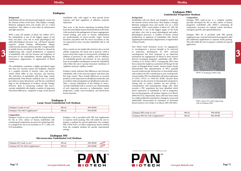## **Endopan 3 Large Vessel Endothelial Cell Medium**

## **Background**

Endothelial cells line the blood and lymphatic vessels and the internal cavities of the heart. They display a strongly flattened, polygonal form and mostly rest on a basal membrane. They adhere to each other by desmosomes and tight-junctions.

With a total cell number of about one trillion  $(10^{12})$ , the endothelium is one of the biggest organs of the body and plays a key role in many physiological and patho-physiological processes (e.g. cell-based immune response, wound healing, inflammation, allergy, cardiovascular diseases, tumour growth). A huge number of soluble factors circulating in the blood or released by neighbouring cells, control proliferation or apoptosis of endothelial cells and the invasion and migration of leucocytes to the endothelium, thereby regulating the maintenance, degeneration, or regeneration of blood vessels. of solution actions criculating in the blood of released by<br>
neighbouring cells, control proliferation or apoptosis<br>
of endothelial cells and the invasion and migration of<br>
leucocytes to the endothelium, thereby regulating

The endothelium constitutes a highly specialized organ that lines the vascular system and lymphatic channels in a complex network of arteries, veins, and microvessels which differ in size, structure, and function. The cultivation of endothelial cells from large vessels, predominantly from human umbilical vein, is a routine procedure in many laboratories, and this has contributed huge to the development of modern vascular biology. However, there is convincing evidence that microvascular endothelial cells display a number of important functional differences, compared to large vessel-derived

### **Composition**

Endopan 3 ready-to-use is a specially developed medium for the in vitro culture of human endothelial cells containing all components necessary for optimal growth. It is designed for use in an incubator at 37° C with a 5% CO2 atmosphere.

| Endopan 3 ready-to-use $\mathfrak{g}$           | P04-00100 |
|-------------------------------------------------|-----------|
| Endopan 3 kit with 9 supplements <sup>(1)</sup> | P04-0010K |

## **Endopan PRO Endothelial Progenitor Medium**

#### **Background**

Endothelial cells line blood and lymphatic vessels and the internal cavities of the heart. They display a strongly flattened, polygonal form and mostly rest on a basal membrane. With a total number of about  $10^{12}$  cells, the endothelium is one of the biggest organs of the body and plays a key role in many physiological and pathophysiological processes. A number of factors control proliferation or apoptosis of endothelial cells, thereby regulating the maintenance, degeneration, or regeneration of blood vessels.

New blood vessel formation occurs via angiogenesis or vasculogenesis, a process thought to be restricted to embryonic development. In 1997, postnatal vasculogenesis has been proposed as an important mechanism for angiogenesis via blood or bone marrow derived circulating progenitor endothelial cells (PEC) (Asahara et al, Science 1997). Consequently, PECs have been extensively studied as a potential cell therapy for the repair of damaged blood vessels. Animal studies clearly demonstrated that administration of PECs partially rescued cardiovascular dysfunction or myocardial injury with evidence for PEC contribution to new vessel growth. In most studies, PECs are defined by cell surface expression of CD34, CD133, or VEGF-R2 (KDR). Because these molecules are also present on hematopoietic progenitors, relying only on surface markers can not exclude a contamination with hematopoietic linage cells. More recently, a PEC population has been identified which shows expression of endothelial as well as progenitor, but not hematopoietic cell markers (Ingram et al, Blood. 2004;104:2752). Importantly, these cells have been tested for a high proliferative potential in clonogenic assays and additionally characterized by formation of functional blood vessels in vivo (Yoder et al, Blood. 2007;109:1801).

## **Composition**

Endopan PRO ready-to-use is a complete medium specially developed for the in vitro culture of human progenitor endothelial cells (hPEC) containing all components necessary for optimal colony formation, clonogenic growth, and rapid proliferation.

**Endopan MV Microvascular Endothelial Cell Medium**

| Endopan MV ready-to-use $(3)$                    | $500 \,\mathrm{m}$ | P04-00200 |
|--------------------------------------------------|--------------------|-----------|
| Endopan MV kit with 8 supplements <sup>(3)</sup> | $500 \text{ m}$    | P04-0020K |

(1) usually on stock (2) minimum order 10 l (3) available upon request (1)  $\frac{1}{2}$  (1) usually on stock (2) minimum order 10 l, (3) available upon request



Endopan PRO kit is provided with FBS growth supplement (pre-screened and tested for progenitor cells) and additional supplements in separate sterile packing. This will enable the user to prepare a medium for special application.

| Endopan PRO ready-to-use $^{(3)}$                 | $500 \text{ ml}$ | P04-00700 |
|---------------------------------------------------|------------------|-----------|
| Endopan PRO kit with 6 supplements <sup>(3)</sup> | 500 m            | P04-0070K |



endothelial cells, with regard to their growth factor response and their regulation of adhesion molecule expression.

They serve as the barrier separating circulating blood from the extracellular matrix and interstitium in the body. Cells involved in the pathogenesis of tumor angiogenesis, wound healing, and acute or chronic inflammation are predominantly of micro-vascular origin. Several functions associated with the micro-vasculature in situ are expressed by micro-vascular endothelial cells in cell culture.

Micro-vessels are not simply tubes but have also a second cellular component, the mural cell or pericyte. Little is known about later stages of vessel growth, including the addition of pericytes to the capillary and its influence on endothelial growth and function. In vivo, pericytes form an incomplete envelopment around the endothelial cells within the micro-vascular basement membrane of capillaries and post-capillary venules.

Evidence clearly indicates that differences exist between endothelial cells of the microvasculature and those that line large vessels. These include differences in secreted products, in the expression of cell adhesion molecules, and in cytokine-induced regulation of cell adhesion molecules. Thus, a precise delineation of the biology of microvascular endothelial cells is crucial to our understanding of such important processes as inflammation, tumor progression, cardiac microcirculation, and blood-brain barrier function.

**Endopan**

Endopan 3 kit is provided with FBS and supplements in separate sterile packing. This will enable the user to prepare a medium for special application. For example, FBS, VEGF, FGF-2, or other components may be omitted from the complete medium for specific experimental settings.



hPEC colony (P1) with outgrowing cells in Endopan PRO



hPEC in Endopan PRO (P6)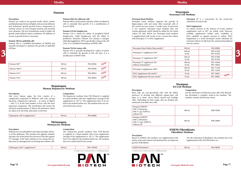## **Hepatopan Human Hepatocyte Medium**

#### **Descriptiom**

Like every human organ, the liver consists of a complicated compound of different cells with varying functions. Hepatocytes represent – in terms of figures – with 75 % of the total number of liver cells the most important component. The metabolism, this means the chemical transformation of almost all substances which are taken in by the body, takes place in the liver.

### **Composition**

The hepatocyte medium from PAN-Biotech is supplied as a basal medium with four supplements (storage of the supplements at -20° C). The supplements have to be added to the medium before use. The medium does not contain fetal bovine serum.

| $-\alpha$<br>DA.<br>ำเแ.<br>,,,<br>$M_{\rm{A}}$<br>71 C<br>DЯ<br>. п.<br>.<br>. | 0050c<br>700. |
|---------------------------------------------------------------------------------|---------------|
|---------------------------------------------------------------------------------|---------------|

**www.pan-biotech.com Page 77**

## **Melanopan Melanocyte Medium**

#### **Description**

Melanocytes are embedded in the basal and spike cell layer of the epidermis. They produce the pigment melanin and take care of the protective function of the skin against UV damages. If the solar radiation is too strong, the melanocytes are damaged and can develop into tumour cells.

#### **Composition**

The melanocyte growth medium from PAN-Biotech is supplied as a basal medium with seven supplements (storage of the supplements at -20° C). The supplements have to be added to the medium before use. The medium does not contain fetal bovine serum.

| $ \sim$<br>шт | つい.<br>. |
|---------------|----------|
|               |          |

IOTECH

# **Stempan**

## **Description**

Stem cells are non-specialized cells with the ability (potency) to develop into different organo-typic cell types (e. g. heart, nerve, blood, muscle and cartilage cells). Depending on their origin, they are divided into embryonic and adult stem cells.

## **Composition**

For the cultivation of embryonic stem cells, PAN-Biotech has developed a complete ready-to-use medium. The medium contains fetal bovine serum.

| Stempan DMEM <sup>(2)</sup><br>with L-Glutamine<br>with 3.7 $g/L$ NaHCO <sub>3</sub><br>without LIF | 500 ml | P08-50500 |
|-----------------------------------------------------------------------------------------------------|--------|-----------|
| Stempan GMEM <sup>(2)</sup><br>with L-Glutamine<br>with 2.75 g/L NaHCO <sub>3</sub><br>without LIF  | 500 ml | P08-50600 |

## **EMEM Fibroblasts Fibroblast Medium**

## **Description**

Based on EMEM, this medium was supplemented with amino acids and vitamins and optimized for an improved growth of fibroblasts.

| EMEM Fibroblasts $(1)$ |  |
|------------------------|--|
|------------------------|--|

 $(1)$  usually on stock,  $(2)$  minimum order 10 l,  $(3)$  available upon request



| EМ  | - ^ ^ | ∩∩ |
|-----|-------|----|
| IV. | וו ור | ∩ר |
|     |       | .  |

## **Neuropan Neuronal Cell Medium**

**Neuropan 27** is a concentrate for the serum-free cultivation of neural cells.

## **NS21 Supplement**

To culture neurons in the absence of serum, defined supplements such as B27 are widely used. However, available supplements exhibit some variability in their capability to support neurons in culture. NS21 Supplement is a newly developed serum substitute for neuronal cultures of cells from the central and peripheral nervous system.



Neuropan basal medium supports the growth of hippocampus cells and many other neuronal cells of the central nervous system. A feeder layer of astrocytes is not required. Neuropan basal medium does not contain glutamate which should be added for the initial culture (25 µM). Before use, Neuropan basal medium is supplemented with serum or for a serum-free culture with Neuropan 27 or NS21 Supplement.

| specially developed to optimize the growth of epithelial |                                                                                                                    |           |                                    |                                                                  |                             |                        |
|----------------------------------------------------------|--------------------------------------------------------------------------------------------------------------------|-----------|------------------------------------|------------------------------------------------------------------|-----------------------------|------------------------|
| cell lines.                                              | Pantum T64 for tumor cells                                                                                         |           |                                    | Neuropan-Basal Media (Basicmedia) <sup>(2)</sup>                 | 500 ml                      | P04-00900              |
|                                                          | Pantum T64 is specially developed for culture of tumor<br>cells to stimulate the growth of this cell type. It is a |           | Neuropan 27 supplement $20x^{(2)}$ | $100$ ml<br>$10 \text{ ml}$                                      | P07-07100<br>P07-07010      |                        |
|                                                          | modification of RPMI 1640.                                                                                         |           |                                    | Neuropan 27 supplement $50x^{(2)}$                               | $100$ ml<br>$10 \text{ ml}$ | P07-07200<br>P07-07210 |
| Pantum $386^{(3)}$                                       | 500 ml                                                                                                             | P04-00386 | NEW                                | Neuropan 27 supplement 20x<br>without Antioxidant <sup>(2)</sup> | $100$ ml<br>$10 \text{ ml}$ | P07-10100<br>P07-10010 |
| Pantum $586A^{(3)}$                                      | 500 ml                                                                                                             | P04-00586 | NEW                                | Neuropan 2 supplement $100x^{(2)}$                               | $100$ ml<br>$10 \text{ ml}$ | P07-11100<br>P07-11010 |
| Pantum $L24^{(3)}$                                       | 500 ml                                                                                                             | P04-00024 | NEW                                | NS21 Supplement 50x sterile <sup>(3)</sup>                       | 10 <sub>ml</sub>            | P07-20021<br>NEW       |
| Pantum $T64^{(3)}$                                       | 500 ml                                                                                                             | P04-00064 | NEW                                | NS21 Supplement 50x non-sterile <sup>(3)</sup>                   | 10 <sub>ml</sub>            | P07-20001              |

**Pantum**

## **Description**

Pantum are ready-to-use growth media which contain purified plasma proteins and lipids, such as serum albumin and cholesterol, specific growth factors, components of soybean extract, an iron transport protein and enriched trace elements. The new formulations result in stable cell growth under defined culture conditions. No addition of serum or growth factors is necessary.

## **Pantum 386 for epithelial cells**

Pantum 386 is a modified formulation of DMEM and specially developed to optimize the growth of epithelial cell lines.

## **Pantum 586A for adherent cells**

| Pantum $386^{(3)}$ | 500 ml | P04-00386 | NEV |
|--------------------|--------|-----------|-----|
| Pantum 586A(3)     | 500 ml | P04-00586 | NEV |
| Pantum $L24^{(3)}$ | 500 ml | P04-00024 | NEV |
| Pantum T64(3)      | 500 ml | P04-00064 | NEV |

Pantum 586A is particularly suited for culture of adherent cells to stimulate their growth. It is a modification of Iscove's MEM.

## **Pantum L24 for lymphocytes**

Pantum L24 is suited for culture of peripheral blood lymphocytes. Adult lymphocytes lack the ability to proliferate. Therefore, Pantum L24 contains a mitogen (phytohemagglutinin, PHA) specifically acting on the cell cycle. It is a modified formulation of RPMI 1640.

### **Pantum T64 for tumor cells**

> For the cultivation of fibroblasts, this medium has to be supplemented with 10% FBS before use.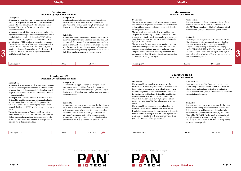## **Media**

## **Amniopan Prenatal Cytogenetics Medium**

### **Description**

Amniopan is a complete ready-to-use medium intended for in vitro diagnostic use with a short term culture of human fetal cells from amniotic fluid or chorion villi biopsy (CVS) material for a standardized application in cytogenetic studies.

Amniopan is intended for in vitro use and has been designed for establishing cultures of human fetal cells from amniotic fluid or chorion villi biopsies (CVS), which then can be used in karyotyping, fluorescence in-situ hybridisation (FISH) or other cytogenetic procedures. The media formulation of Amniopan was optimized on human fetal cells from amniotic fluid and CVS, with special emphasis on fast attachment of cells to the cell culture substrate and efficient cell growth to facilitate rapid diagnostic findings.

#### **Composition**

Amniopan is supplied frozen as a complete medium, ready-to-use in a 100 ml format. It is based on alpha-MEM and contains antibiotics, L-glutamine, foetal bovine serum (FBS), hormones and growth factors.

### **Suitability**

Amniopan is a complete medium (ready-to-use) for the cultivation of human fetal cells from amniotic fluid and chorion villi biopsy samples. It is suitable for a rapid expansion of amniotic cells in order to investigate chromosomal disorders. The number and quality of metaphases in Amniopan are significantly higher and independent of individual batches as compared to other media.

## **Amniopan S2 Prenatal Cytogenetics Medium**

#### **Description**

Amniopan S2 is a complete ready-to-use medium intended for in vitro diagnostic use with a short term culture of human fetal cells from amniotic fluid or chorion villi biopsy (CVS) material for a standardized application in cytogenetic studies.

Marrowpan can be used as a neutral medium to culture different haematopoietic cells (myeloid and lymphoid lineages) present in bone marrow or leukemic blood samples. Marrowpan is also used together with a mitogen specific for B or T lymphocytes where these particular lineages are being investigated. Special emphass on last atachment of cells to the cell<br>
culture substrate and efficient cell growth to facilitate<br>
rapid diagnostic findings.<br>
and individual batches as compared to other media.<br>
and independent of the medi

Marrowpan<sup>(1)</sup> 100 ml P04-70200

Amniopan S2 is intended for in vitro use and has been designed for establishing cultures of human fetal cells from amniotic fluid or chorion villi biopsies (CVS), which then can be used in karyotyping, fluorescence in-situ hybridisation (FISH) or other cytogenetic procedures.

The media formulation of Amniopan S2 was further optimized on human fetal cells from amniotic fluid and CVS, with special emphasis on fast attachment of cells to the cell culture substrate and efficient cell growth to facilitate rapid diagnostic findings.

#### **Composition**

Amniopan S2 is supplied frozen as a complete medium, ready-to-use in a 100 ml format. It is based on alpha-MEM and contains antibiotics, L-glutamine, fetal bovine serum (FBS), hormones and an increased amount of growth factors.

#### **Suitability**

Amniopan S2 is a ready-to-use medium for the cultivation of human fetal cells from amniotic fluid and chorion villi biopsy samples. It is suitable for a rapid expansion of amniotic cells in order to investigate chromosomal disorders. The number and quality of metaphases in Amniopan S2 are significantly higher and independent of individual batches as compared to other media.

**www.pan-biotech.com Page 79**

## **Marrowpan Marrow Cell Medium**

## **Description**

Marrowpan is a complete ready-to-use medium intended for in vitro diagnostic procedures with a short term culture of bone marrow and other hematopoietic cells for cytogenetic studies.

Marrowpan is intended for in vitro use and has been designed for establishing cultures of bone marrow and leukemic blood cells, which then can be used in karyotyping, fluorescence in-situ hybridisation (FISH) or other cytogenetic procedures.

## **Composition**

Marrowpan is supplied frozen as a complete medium, ready-to-use in a 100 ml format. It is based on alpha-MEM and contains antibiotics, L-glutamine, fetal bovine serum (FBS), hormones and growth factors.

## **Suitability**

Marrowpan is a complete medium (ready-to-use) for the cultivation of cells from peripheral blood or bone marrow. It is suitable for a rapid expansion of blood cells in order to investigate leukemic diseases (e.g. ALL, AML, CLL, CML, MPN, MDS). The number and quality of metaphases in Marrowpan are significantly higher and independent of individual batches as compared to serum-containing media.

| ĸ<br>٠ | r<br>ı<br>ı<br>г |
|--------|------------------|
|--------|------------------|

## **Marrowpan S2 Marrow Cell Medium**

### **Description**

| ົີ ໄ ⊥.<br>mnior)،<br>าลr | $100 \text{ m}$ | 701<br>P(04 | . Marri |
|---------------------------|-----------------|-------------|---------|
|                           |                 |             |         |

Marrowpan S2 is a complete ready-to-use medium intended for in vitro diagnostic procedures with a short term culture of bone marrow and other hematopoietic cells for cytogenetic studies. Marrowpan S2 is intended for in vitro use and has been designed for establishing cultures of bone marrow and leukemic blood cells, which then can be used in karyotyping, fluorescence in-situ hybridisation (FISH) or other cytogenetic procedures.

Marrowpan S2 can be used as a neutral medium to culture different haematopoietic cells (myeloid and lymphoid lineages) present in bone marrow or leukemic blood samples. Marrowpan S2 is also used together with a mitogen specific for B or T lymphocytes where these particular lineages are being investigated.

Marrowpan S2<sup>(1)</sup> 100 ml P04-70201

## **Composition**

Marrowpan S2 is supplied frozen as a complete medium, ready-to-use in a 100 ml format. It is based on alpha-MEM and contains antibiotics, L-glutamine, Foetal Bovine Serum (FBS), hormones and an increased amount of growth factors.

## **Suitability**

Marrowpan S2 is a ready-to-use medium for the cultivation of cells from peripheral blood or bone marrow. It is suitable for a rapid expansion of blood cells in order to investigate leukemic diseases (e.g. ALL, AML, CLL, CML, MPN, MDS). The number and quality of metaphases in Marrowpan S2 are significantly higher and independent of individual batches as compared to serum-containing media.

(1) usually on stock, (2) minimum order 10 l, (3) available upon request (1) usually on stock, (2) minimum order 10 l, (3) available upon request

 $\blacksquare$  T E C F

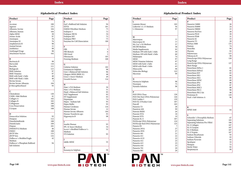## **Alphabetical Product Index Alphabetical Product Index**

| Product                       | Page |
|-------------------------------|------|
| A                             |      |
| Accutase                      | 100  |
| Agarose                       | 131  |
| Albumin, bovine               | 104  |
| Albumin, human                | 104  |
| Alpha MEM                     | 38   |
| Amino Acids                   | 97   |
| Amniopan                      | 76   |
| Amniopan S2                   | 76   |
| Amphotericin B                | 98   |
| Animal Serum                  | 11   |
| Antibiotics                   | 98   |
| <b>Antifungal Drugs</b>       | 98   |
| <b>Attachment Factors</b>     | 102  |
|                               |      |
| B                             |      |
| Bacitracin B                  | 98   |
| Barrycidal                    | 110  |
| Barrydin                      | 111  |
| Biologicals                   | 115  |
| <b>BME</b> Solution           | 97   |
| <b>BME</b> Vitamins           | 97   |
| <b>BME</b> with Earle's Salts | 40   |
| <b>BME</b> with Hank's Salts  | 40   |
| <b>Bovine Serum</b>           | 5    |
| Bovine Serum Albumin          | 104  |
| β-Mercapthoethanol            | 93   |
| C                             |      |
| Chemokines                    | 120  |
| CMRL-1066 Medium              | 41   |
| Collagen A                    | 102  |
| Collagen R                    | 102  |
| Collagenase                   | 100  |
| Cryo Preservation             | 108  |
| Cryopan                       | 108  |
|                               |      |
| D                             |      |
| Demecolcin Solution           | 93   |
| Desipure                      | 112  |
| Dimethylsulfoxide             | 108  |
| Disinfectants                 | 109  |
| Dispase                       | 101  |
| DMEM/F12 Medium               | 46   |
| <b>DMSO</b>                   | 108  |
| dNTP Mix                      | 133  |
| dNTP Sets                     | 132  |
| Dulbecco's Modified Eagle     | 42   |
| Medium                        |      |
| Dulbecco's Phosphate Buffered | 94   |
| Salt Solution                 |      |
|                               |      |
|                               |      |

| Product                       | Page |
|-------------------------------|------|
| E                             |      |
| Earl's Buffered Salt Solution | 94   |
| <b>EDTA</b>                   | 101  |
| <b>EMEM Fibroblast Medium</b> | 75   |
| Endopan 3                     | 72   |
| Endopan 300 SL                | 34   |
| Endopan MV                    | 72   |
| Endopan PRO                   | 73   |
| Enzymes for Cell Dissociation | 100  |
| F                             |      |
| <b>FBS</b>                    | 5    |
| FBS Biotech                   | 6    |
| FBS Good                      | 5    |
| Fibronectin                   | 103  |
| Freezing Medium               | 108  |
| G                             |      |
| Gelatine Solution             | 102  |
| Gentamycin Sulphate           | 98   |
| Grey's Balanced Salt Solution | 96   |
| Glasgow MEM (BHK 21)          | 48   |
| Grace's Insect Medium         | 49   |
| <b>Growth Factors</b>         | 116  |
| H                             |      |
| Ham's F10 Medium              | 50   |
| Ham's F12 Medium              | 51   |
| Hank's Balanced Salt Solution | 95   |
| HAT Supplement                | 93   |
| HT Supplement                 | 93   |
| Hepatopan                     | 74   |
| Hepes - Sodium Salt           | 93   |
| Hepes Buffer                  | 93   |
| Human Cytokines               | 116  |
| Human Serum                   | 12   |
| Human Serum Albumin           | 104  |
| Human Transferrin apo         | 93   |
| Hygromycin B                  | 98   |
| T                             |      |
| Insulin Human                 | 93   |
| IPL-41 Insect Medium          | 54   |
| Iscove's Modified Dulbecco's  | 52   |
| Medium                        |      |
| <b>ITS</b> Solution           | 93   |
| J<br>Joklik-MEM               | 55   |
|                               |      |
|                               |      |
| K<br>Kanamycin Sulphate       | 98   |



| Product                                      | Page     |
|----------------------------------------------|----------|
| L<br>Laminin Mouse                           | 103      |
| Leibovitz's L-15 Medium                      | 56       |
| L-Glutamine                                  | 97       |
|                                              |          |
| M                                            |          |
| Marrowpan                                    | 77       |
| Marrowpan S2                                 | 77       |
| Mc Coy's 5A Medium                           | 57       |
| <b>MCDB</b> Medium                           | 58       |
| Media Supplements                            | 93       |
| Medium 199 with Earle's Salts                | 59       |
| Medium 199 with Hank's Salts                 | 60       |
| Melanopan                                    | 74       |
| MEM<br><b>MEM Vitamine Solution</b>          | 97       |
| MEM with Earle's Salts                       | 97<br>61 |
| MEM with Hank's Salts                        | 63       |
| Minocyclin                                   | 98       |
| Molecular Biology                            | 123      |
| Mycorase                                     | 99       |
|                                              |          |
| N<br>Neomycin Sulphate                       | 98       |
| Neuropan                                     | 75       |
| <b>Nystatin Solution</b>                     | 98       |
|                                              |          |
| P<br>PAN DNA Clean                           | 130      |
| PAN Hot Start DNA-Polymerase                 | 126      |
| PAN Ladder I                                 | 129      |
| PAN SL-S Product Line                        | 107      |
| Pancoll                                      | 105      |
| Panserin T3                                  | 28       |
| Paneticin 420                                | 99       |
| Panexin BMM                                  | 20       |
| Panexin NTA                                  | 18       |
| Panexin NTS                                  | 19       |
| Panexin SL-S                                 | 107      |
| PANScript DNA-Polymerase                     | 124      |
| PANScript Red DNA-Polymerase                 | 125      |
| Pansera ES                                   | 7        |
| Panserin 293A                                | 27       |
| Panserin 293S                                | 27       |
| Panserin 401                                 | 21       |
| Panserin 411                                 | 22       |
| Panserin 411S                                | 22       |
| Panserin 412                                 | 23       |
|                                              |          |
|                                              | 23       |
| Panserin 413<br>Panserin 416<br>Panserin 701 | 23<br>29 |



| Product                                     | Page      |
|---------------------------------------------|-----------|
| P                                           |           |
| Panserin C6000                              | 26        |
| Panserin H4000                              | 24        |
| Panserin H8000                              | 25        |
| Panserin ProVero                            | 28        |
| Panserin PX10                               | 30        |
| Panserin PX40                               | 31        |
| Panserin S2                                 | 33        |
| Panserin T3                                 | 28        |
| PANsys 3000                                 | 135       |
| Pantum                                      | 74        |
| Penicillin                                  | 99        |
| Pluronic                                    | 93        |
| Polymerases                                 | 123       |
| Polymycin B                                 | 99        |
| PowerScript DNA-Polymerase                  | 128       |
| Long Range                                  |           |
| PowerScript DNA-Polymerase                  | 127       |
| Short Range                                 |           |
| PowerStem ESPro 1                           | 81        |
| PowerStem ESPro2                            | 82        |
| PowerStem EST                               | 83        |
| PowerStem HE1                               | 84        |
| PowerStem HE2                               | 85        |
| PowerStem HPSC                              | 89        |
| PowerStem iPS1                              | 86        |
| PowerStem iPS2                              | 87        |
| PowerStem MSC1                              | 88        |
| PowerStem PEC1                              | 90        |
| PowerStem PEC1 kit                          | 90        |
| Proteinase K                                | 129       |
| Puck's Salt Solution A                      | 96        |
|                                             |           |
| $\overline{\mathbf{R}}$<br><b>RPMI 1640</b> | 64        |
|                                             |           |
| S                                           |           |
| Schneider's Drosophila Medium               | 67        |
| Separating Solutions                        | 105       |
| Separating Solutions Pre-Filled             | 106       |
| SL-S Collagen                               | 107       |
| SL-S Cryopan<br>SL-S Medium                 | 107       |
|                                             | 107       |
| SL-S Trypsin<br>Sodium Bicarbonate          | 107<br>93 |
| Sodium Chloride                             | 93        |
| Sodium Pyruvate                             | 93        |
| Spodopan                                    | 32        |
| Stempan                                     | 75        |
| Sterile Water                               | 93        |
| Streptomycin                                | 99        |
|                                             |           |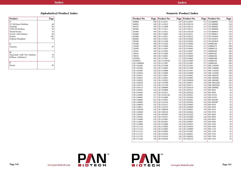PANT

**BIOTECH** 

## **Alphabetical Product Index**

| Product                    | Page |
|----------------------------|------|
| T                          |      |
| TC 100 Insect Medium       | 68   |
| Tiamulin                   | 99   |
| TNM-FH Medium              | 69   |
| <b>Treated Serum</b>       | 10   |
| Tryode's Salt Solution     | 96   |
| Trypsin                    | 101  |
| Tryptose Phosphate         | 93   |
|                            |      |
| V                          |      |
| Vitamins                   | 97   |
|                            |      |
| W                          |      |
| Waymouth's MB 752/1 Medium | 70   |
| William's Medium E         | 71   |
|                            |      |
| Z.                         |      |
| Zeocin                     | 99   |
|                            |      |

## **Numeric Product Index**

| Product No. | Page | Product No.    | Page | Product No. | Page | Product No. | Page   |
|-------------|------|----------------|------|-------------|------|-------------|--------|
| 360000      | 109  | CB-1112011     | 118  | CB-2120101  | 117  | CB-2800001  | 116    |
| 360050      | 109  | CB-1112012     | 118  | CB-2120110  | 117  | CB-2800002  | 116    |
| 360101      | 109  | CB-1113008     | 116  | CB-2120112  | 117  | CB-2800007  | 116    |
| 360400      | 109  | CB-1113011     | 116  | CB-2120121  | 117  | CB-2800008  | 116    |
| 361000      | 109  | CB-1113012     | 116  | CB-2130120  | 117  | CB-2800010  | 116    |
| 365000      | 109  | CB-1114002     | 118  | CB-2130121  | 117  | CB-2800011  | 116    |
| 465000      | 109  | CB-1114011     | 118  | CB-2130123  | 117  | CB-3410010  | 118    |
| 660000      | 109  | CB-1114013     | 118  | CB-2130202  | 117  | CB-3410011  | 118    |
| 700500      | 109  | CB-1114100     | 118  | CB-2130203  | 117  | CB-4070010  | 117    |
| 701000      | 109  | CB-1114102     | 118  | CB-2130300  | 117  | LS0002100   | 101    |
| 710500      | 109  | CB-1115000     | 116  | CB-2130301  | 117  | LS0004174   | 100    |
| 720500      | 109  | CB-1115001     | 116  | CB-2130405  | 117  | LS0004176   | 100    |
| 720501      | 109  | CB-1115002     | 116  | CB-2130407  | 117  | LS0004180   | 100    |
| 730010      | 109  | CB-1115006     | 116  | CB-2130501  | 117  | LS0004182   | 100    |
| 740010      | 109  | CB-1116001     | 116  | CB-2130600  | 117  | LS0004186   | 100    |
| 2705005     | 103  | CB-1117001     | 117  | CB-2130603  | 117  | LS0004188   | 100    |
| 2705001S    | 103  | CB-1117001M    | 117  | CB-2131000  | 117  | LS0004194   | 100    |
| CB-11000050 | 119  | CB-1117007     | 119  | CB-2131001  | 117  | LS0004196   | 100    |
| CB-1101001  | 116  | CB-1117008     | 119  | CB-2131201  | 117  | MB-1100500  | 124    |
| CB-1101002  | 116  | CB-1118005     | 120  | CB-2131500  | 117  | MB-1100600  | 125    |
| CB-1101003  | 116  | CB-1118008     | 120  | CB-2131501  | 117  | MB-1120250  | 128    |
| CB-1102010  | 116  | CB-1119000     | 116  | CB-2210000  | 119  | MB-1120500  | 128    |
| CB-1102011  | 116  | CB-1119001     | 116  | CB-2210001  | 119  | MB-1860250  | 126    |
| CB-1102021  | 116  | CB-1122001     | 120  | CB-2210002  | 119  | MB-1860500  | 126    |
| CB-1102023  | 116  | CB-1125032     | 117  | CB-2230030  | 119  | MB-1865000  | 126    |
| CB-1102024  | 116  | CB-1127000     | 118  | CB-2230031  | 119  | MB-30010250 | 123    |
| CB-1104112  | 116  | CB-1127100     | 118  | CB-2230111  | 119  | MB-30020250 | 123    |
| CB-1104113  | 116  | CB-1200000     | 119  | CB-2230120  | 119  | MB-4300002  | 129    |
| CB-1104201  | 116  | CB-1210000     | 119  | CB-2230121  | 119  | P03-0010    | $42\,$ |
| CB-1104202  | 116  | CB-1212011     | 119  | CB-2230220  | 119  | P03-0050    | $42\,$ |
| CB-1105001  | 117  | CB-1212011M    | 119  | CB-2230221  | 119  | P03-01510   | 42     |
| CB-1106001  | 117  | CB-1214000     | 119  | CB-2230300  | 119  | P03-01550   | $42\,$ |
| CB-1108002  | 116  | CB-1214001     | 119  | CB-2230301  | 119  | P03-02010P  | 55     |
| CB-1108003  | 116  | CB-1214120     | 119  | CB-2230302  | 119  | P03-02050P  | 55     |
| CB-1108010  | 116  | CB-1214121     | 119  | CB-2230403  | 119  | P03-0510    | 42     |
| CB-1108011  |      | 116 CB-1232701 | 120  | CB-2230600  | 119  | P03-0550    | 42     |
| CB-1108100  | 116  | CB-1300058     | 117  | CB-2230601  | 119  | P03-0710    | 45     |
| CB-1109200  | 118  | CB-1300118     | 118  | CB-2230602  | 119  | P03-0750    | 45     |
| CB-1109201  | 118  | CB-1407003     | 120  | CB-2231202  | 119  | P03-0810    | 45     |
| CB-1109301  | 118  | CB-1412011     | 119  | CB-2232000  | 120  | P03-0850    | 45     |
| CB-1110000  | 118  | CB-1515001     | 116  | CB-2232002  | 120  | P03-0910    | 45     |
| CB-1110001  |      |                |      |             |      | P03-0950    | 45     |
|             | 118  | CB-2015001     | 116  | CB-2250001  | 119  |             |        |
| CB-1110002  | 118  | CB-2110000     | 116  | CB-2310015  | 119  | P03-1010    | 45     |
| CB-1111122  | 118  | CB-2110002     | 116  | CB-2310016  | 119  | P03-1050    | 45     |
| CB-1111123  | 118  | CB-2110003     | 116  | CB-2330000  | 119  | P03-1110    | 47     |
| CB-1111131  | 118  | CB-2110005     | 116  | CB-2331001  | 119  | P03-1150    | 47     |
| CB-1111151  | 118  | CB-2110100     | 116  | CB-2420031  | 119  | P03-1210    | 47     |
| CB-1111153  | 118  | CB-2110101     | 116  | CB-2420032  | 119  | P03-1250    | 47     |
| CB-1111162  | 118  | CB-2120100     | 117  | CB-2430122  | 119  | P03-1310    | 53     |

**PAN BIOTECH**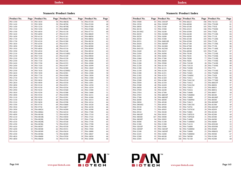N

P

**BIOTECH** 

**www.pan-biotech.com Page 145**

## **Numeric Product Index**

| Product No.          | Page | Product No.            | Page     | Product No.            | Page     | Product No.            | Page |
|----------------------|------|------------------------|----------|------------------------|----------|------------------------|------|
| P03-1350             | 53   | P03-5010               | 50       | P04-0065K              | 34       | P04-07250              | 59   |
| P03-1410             | 53   | P03-5050               | 50       | P04-00700              | 73       | P04-07450              | 60   |
| P03-1450             | 53   | P03-5210               | 53       | P04-0070K              | 73       | P04-07500              | 59   |
| P03-1510             | 56   | P03-5250               | 53       | P04-00900              | 75       | P04-07600              | 60   |
| P03-1550             | 56   | P03-6010               | 47       | P04-01158              | 43       | P04-07753              | 60   |
| P03-1610             | 56   | P03-6050               | 47       | P04-01159              | 43       | P04-08049              | 75   |
| P03-1650             | 56   | P03-6110               | 47       | P04-01161              | 43       | P04-08050              | 61   |
| P03-1710             | 57   | P03-6150               | 47       | P04-01163              | 44       | P04-08056              | 62   |
| P03-1750             | 57   | P03-6510               | 45       | P04-01500              | 42       | P04-08150              | 61   |
| P03-1810             | 57   | P03-6550               | 45       | P04-01501              | 43       | P04-08250              | 62   |
| P03-1850             | 57   | P03-6810               | 48       | P04-01515              | 42       | P04-08500              | 62   |
| P03-1910             | 59   | P03-6850               | 48       | P04-01516              | 43       | P04-08509              | 61   |
| P03-1950             | 59   | P03-6910               | 48       | P04-01548              | 42       | P04-08510              | 62   |
| P03-2110             | 60   | P03-6950               | 48       | P04-01548S1            | 42       | P04-08549              | 62   |
| P03-2150             | 60   | P03-7210               | 65       | P04-01549              | 42       | P04-09050              | 61   |
| P03-2310             | 39   | P03-7250               | 65       | P04-01550              | 42       | P04-09500              | 62   |
| P03-2350             | 39   | P03-7310               | 66       | P04-01551              | 42       | P04-10050              | 63   |
| P03-2410             | 39   | P03-7350               | 66       | P04-01555              | 43       | P04-10500              | 63   |
| P03-2450             | 39   | P03-7410               | 61       | P04-01597              | 44       | P04-10599              | 63   |
| P03-2510             | 39   | P03-7450               | 61       | P04-02500              | 42       | P04-12049              | 50   |
| P03-2550             | 39   | P03-7610               | 66       | P04-02500S1            | 43       | P04-12050              | 50   |
| P03-2610             | 39   | P03-7650               | 66       | P04-02501              | 43       | P04-12500              | 50   |
| P03-2650             | 39   | P03-7710               | 65       | P04-03500              | 43       | P04-13050              | 50   |
| P03-2710             | 62   | P03-7750               | 65       | P04-03503              | 44       | P04-13500              | 50   |
| P03-2750             | 62   | P03-9010               | 49       | P04-03510              | 44       | P04-14500              | 51   |
| P03-2810             | 62   | P03-9050               | 49       | P04-03550              | 43       | P04-14501              | 51   |
| P03-2850             | 62   | P03-9110               | 49       | P04-03551              | 44       | P04-14550              | 51   |
| P03-2910             | 62   | P03-9150               | 49       | P04-03556              | 43       | P04-14559              | 51   |
| P03-2950             | 62   | P03-9210               | 54       | P04-03560              | 44       | P04-15500              | 51   |
| P03-3010             | 62   | P03-9250               | 54       | P04-03588              | 44       | P04-15600              | 51   |
| P03-3050             | 62   | P03-9310               | 67       | P04-03590              | 43       | P04-16151              | 65   |
| P03-3110             | 48   | P03-9350               | 67       | P04-03591              | 43       | P04-16500              | 66   |
| P03-3150             | 48   | P03-9610               | 68       | P04-03596              | 43       | P04-16515              | 66   |
| P03-3310             | 63   | P03-9650               | 68       | P04-03598              | 44       | P04-16516              | 64   |
| P03-3350             | 63   | P03-9710               | 69       | P04-03600              | 43       | P04-16520              | 66   |
| P03-3910             | 50   | P03-9750               | 69       | P04-04057              | 44       | P04-16530              | 66   |
| P03-3950             | 50   | P04-00024              | 74       | P04-04500              | 43       | P04-16598              | 66   |
| P03-4010             | 50   | P04-00064              | 74       | P04-04510              | 43       | P04-17500              | 64   |
| P03-4050             | 50   | P04-00100              | 72       | P04-04550              | 44       | P04-17510              | 65   |
| P03-4110             | 51   | P04-0010K              | 72       | P04-05050              | 57       | P04-17545              | 66   |
| P03-4150             | 51   | P04-00200              | 72       | P04-05500              | 57       | P04-17546              | 66   |
| P03-4310             | 66   | P04-0020K              | 72       | P04-05540              | 44       | P04-17550              | 65   |
|                      |      |                        | 74       |                        |          | P04-17598              |      |
| P03-4350<br>P03-4410 | 66   | P04-00386<br>P04-00507 |          | P04-05545              | 44       |                        | 66   |
| P03-4450             | 65   |                        | 61<br>62 | P04-05550              | 44<br>42 | P04-17599              | 65   |
| P03-4510             | 65   | P04-00508<br>P04-00509 | 62       | P04-05551              | 57       | P04-17850              | 65   |
| P03-4550             | 70   |                        |          | P04-05610              |          | P04-18000              | 64   |
|                      | 70   | P04-00586              | 74       | P04-06500              | 57       | P04-18047              | 66   |
| P03-4810<br>P03-4850 | 71   | P04-00600<br>P04-00650 | 74       | P04-07050<br>P04-07150 | 59<br>59 | P04-18050<br>P04-18500 | 66   |
|                      | 71   |                        | 34       |                        |          |                        | 66   |

## **Numeric Product Index**

| Product No.            | Page | Product No.             | Page       | Product No.               | Page     | Product No.             | Page      |
|------------------------|------|-------------------------|------------|---------------------------|----------|-------------------------|-----------|
| P04-19500              | 65   | P04-33010P              | 95         | P04-60225                 | 106      | P04-7411S1              | 22        |
| P04-19550              | 66   | P04-33050P              | 95         | P04-60500                 | 105      | P04-77010K              | $81\,$    |
| P04-20050              | 52   | P04-33100               | 95         | P04-63100                 | 105      | P04-7701K               | $81\,$    |
| P04-20150              | 52   | P04-33500               | 95         | P04-63225                 | 106      | P04-77020K              | 82        |
| P04-20150S2            | 53   | P04-34100               | 95         | P04-63500                 | 105      | P04-7702K               | 82        |
| P04-20250              | 52   | P04-341000              | 95         | P04-64100                 | 105      | P04-77110K              | 84        |
| P04-20259              | 53   | P04-34500               | 94         | P04-64500                 | 105      | P04-7711K               | 84        |
| P04-20350              | 52   | P04-35500               | 94         | P04-65100                 | 105      | P04-77120K              | 85        |
| P04-20351              | 53   | P04-360010B             | 94         | P04-65500                 | 105      | P04-7712K               | 85        |
| P04-20450              | 53   | P04-36050P              | 94         | P04-67100                 | 105      | P04-77130K              | 86        |
| P04-20451              | 53   | P04-361000              | 94         | P04-67500                 | 105      | P04-7713K               | 86        |
| P04-20451S1            | 53   | P04-362500              | 94         | P04-68100                 | 105      | P04-77140K              | 87        |
| P04-21049              | 65   | P04-3625C               | 94         | P04-68500                 | 105      | P04-7714K               | 87        |
| P04-21050              | 38   | P04-36500               | 94         | P04-70100                 | 76       | P04-77210K              | 83        |
| P04-21051              | 38   | P04-3650C               | 94         | P04-70101                 | 76       | P04-77250K              | 83        |
| P04-21060              | 38   | P04-37500               | 94         | P04-70200                 | 77       | P04-77310K              | 88        |
| P04-21150              | 38   | P04-38500               | 94         | P04-70201                 | 77       | P04-77350K              | 88        |
| P04-21200              | 55   | P04-39500               | 47         | P04-710100                | 28       | P04-77410K              | 89        |
| P04-21250              | 38   | P04-41150               | 47         | P04-710110                | 28       | P04-77450K              | 89        |
| P04-21300              | 55   | P04-41151               | 47         | P04-710200                | 33       | P04-7751                | 81        |
| P04-21350              | 38   | P04-41250               | 47         | P04-710210                | 33       | P04-77510K              | $81\,$    |
| P04-21500              | 38   | P04-41251               | 47         | P04-710401                | 21       | P04-77620K              | 82        |
| P04-21502              | 38   | P04-41252               | 47         | P04-71040M                | 21       | P04-7762K               | 82        |
| P04-22100              | 66   | P04-41450               | 47         | P04-710411                | 22       | P04-777500              | 90        |
| P04-22500              | 65   | P04-41500               | 47         | P04-710411M               | 22       | P04-77750K              | 90        |
| P04-25050              | 40   | P04-41550               | 47         | P04-710412                | 23       | P04-80025P              | 97        |
| P04-25500              | 40   | P04-41650               | 93         | P04-710412M               | 23       | P04-80050               | 97        |
| P04-26050              | 40   | P04-43100               | 93         | P04-710413                | 23       | P04-80053               | 58        |
| P04-27050              | 56   | P04-44100               | 94         | P04-710416                | 23       | P04-80054               | 58        |
| P04-27054              | 56   | P04-47500               | 96         | P04-710608                | 27       | P04-80057               | 58        |
| P04-27055              | 56   | P04-48010P              | 96         | P04-710608M               | 27       | P04-80100               | 97        |
| P04-27500              | 56   | P04-48050P              | 96         | P04-710609                | 27       | P04-80100P              | 97        |
| P04-28500              | 70   | P04-48500               | 96         | P04-710609M               | 27       | P04-80500               | 69        |
| P04-29050              | 71   | P04-49100               | 95         | P04-710613                | 28       | P04-80500P              | 97        |
| P04-29050S1            | 71   | P04-49105               | 95         | P04-710613M               | 28       | P04-81500               | 49        |
| P04-29150              | 71   | P04-49500               | 95         | P04-710701                | 29       | P04-82010P              | 97        |
| P04-29500              | 71   | P04-49505               | 95         | P04-710701M               | 29       | P04-82050               | 97        |
| P04-29510              | 71   | P04-50100               | 95         | P04-710801                | 29       | P04-82100               | 97        |
| P04-30010P             | 94   | P04-50105               | 95         | P04-710PX10               | 30       | P04-82500               | 49        |
| P04-300500             | 107  | P04-50500               | 95         | P04-710PX40               | 31       | P04-83500               | 69        |
| P04-30050P             | 94   | P04-50505               | 95         | P04-714000                | 24       | P04-84500               | 41        |
| P04-30500              | 94   | P04-51100               | 96         | P04-714000M               | 24       | P04-84600               | 41        |
| P04-31500              | 94   | P04-51500               | 96         | P04-71411S                | 22       | P04-850100              | 32        |
| P04-32010P             | 95   | P04-53500               | 94         | P04-716000                | 26       | P04-850500              | 32        |
| P04-32050P             | 95   | P04-54010P              | 96         | P04-716000M               | 26       | P04-85600               | 54        |
|                        | 95   |                         | 96         |                           | 25       |                         |           |
| P04-32100<br>P04-32105 | 95   | P04-54050P<br>P04-54500 | 96         | P04-718000<br>P04-718000M | 25       | P04-90065S<br>P04-90500 | 107<br>67 |
|                        | 95   |                         |            |                           |          |                         | 67        |
| P04-32500<br>P04-32505 | 95   | P04-60100<br>P04-60125  | 105<br>106 | P04-740500<br>P04-7411S0  | 74<br>22 | P04-91500<br>P04-92500  | 68        |

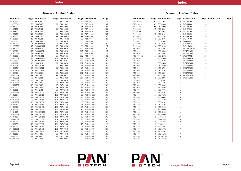**PAN** 

**BIOTECH** 

## **Numeric Product Index**

| Product No.             | Page | Product No. | Page | Product No. | Page | Product No. | Page    |
|-------------------------|------|-------------|------|-------------|------|-------------|---------|
| P04-93500               | 68   | P06-07001   | 99   | P06-14100   | 98   | P07-20021   | 75      |
| P04-951SA2              | 20   | P06-07005   | 99   | P06-15001   | 98   | P07-90050   | 108     |
| P04-95700               | 18   | P06-07050   | 99   | P06-15005   | 98   | P07-91010   | 93      |
| P04-95750               | 18   | P06-07100   | 99   | P06-15050   | 98   | P07-92010   | 108     |
| P04-95800               | 19   | P06-07300   | 99   | P06-15100   | 98   | P07-92050   | 108     |
| P04-95850               | 19   | P06-07301   | 99   | P06-16001P  | 99   | P07-94050   | 107     |
| P04-96500               | 48   | P06-07305   | 99   | P06-16005P  | 99   | P08-02100   | 93      |
| P04-97500               | 48   | P06-07350   | 99   | P06-16010P  | 99   | P08-2000    | 97      |
| P04-98500               | 48   | P06-07800   | 98   | P06-16020   | 99   | P08-30100   | 97      |
| P04-991000              | 93   | P06-080050P | 98   | P06-16100   | 99   | P08-31100   | 97      |
| P04-991500              | 93   | P06-080100P | 98   | P06-16220   | 99   | P08-32100   | 97      |
| P04-992000              | 93   | P06-08020   | 98   | P06-20020   | 102  | P08-40100   | 97      |
| P05-01100               | 93   | P06-08025P  | 99   | P06-20030   | 102  | P08-41100   | 97      |
| P05-01100P              | 93   | P06-08100   | 98   | P06-20100   | 102  | P08-50500   | 75      |
| P05-01500               | 93   | P06-08100P  | 99   | P06-20166   | 102  | P08-50600   | 75      |
| P05-01500P              | 93   | P06-0849010 | 104  | P06-20410   | 102  | P10-019100  | 101     |
| P05-39500               | 93   | P06-0849050 | 104  | P06-20501   | 103  | P10-019500  | 101     |
| P06-01001               | 98   | P06-09050   | 99   | P06-20650   | 107  | P10-020100  | 101     |
| P06-01005               | 98   | P06-11025P  | 99   | P06-21000   | 93   | P10-020500  | 101     |
| P06-01050               | 98   | P06-11050P  | 99   | P06-21100   | 93   | P10-021100  | 101     |
| P06-01050P              | 98   | P06-11100P  | 99   | P06-21500   | 93   | P10-021500  | 101     |
| P06-01100               | 98   | P06-12001   | 99   | P06-25200   | 102  | P10-022100  | 101     |
| P06-01100P              | 98   | P06-12005   | 99   | P06-26025   | 104  | P10-022500  | 101     |
| P06-01225P              | 98   | P06-12050   | 99   | P06-26050   | 104  | P10-023100  | 101     |
| P06-01250P              | 98   | P06-12100   | 99   | P06-28010   | 99   | P10-0231SF  | 107     |
| P06-02010P              | 98   | P06-13001   | 98   | P07-01100   | 93   | P10-0231SP  | 101     |
| P06-02025P              | 98   | P06-13005   | 98   | P07-02100   | 93   | P10-023500  | 101     |
| P06-02100               | 98   | P06-13050   | 98   | P07-03100   | 93   | P10-0235SP  | 101     |
| P06-03001               | 98   | P06-13100   | 98   | P07-03110   | 93   | P10-024100  | 101     |
| P06-03001P              | 98   | P06-138110  | 104  | P07-03200   | 93   | P10-024500  | 101     |
| P06-03004               | 98   | P06-138150  | 104  | P07-03210   | 93   | P10-025025P | 101     |
| P06-03005               | 98   | P06-138210  | 104  | P07-03300   | 93   | P10-025100  | 101     |
| P06-03010P              | 98   | P06-138250  | 104  | P07-03310   | 93   | P10-025100P | 101     |
| P06-03025P              | 98   | P06-138310  | 104  | P07-03400   | 93   | P10-025500  | 101     |
| P06-03050               | 98   | P06-138350  | 104  | P07-03410   | 93   | P10-025500P | 101     |
| P06-03100               |      | P06-138410  | 104  | P07-04100   |      | P10-026100  | $101\,$ |
| P06-04001               | 98   | P06-138450  |      |             | 93   |             |         |
|                         | 98   |             | 104  | P07-04200   | 93   | P10-026500  | 101     |
| P06-04005<br>P06-04010P | 98   | P06-1391050 | 104  | P07-04300   | 93   | P10-027100  | 101     |
|                         | 98   | P06-1391100 | 104  | P07-05020   | 93   | P10-027500  | 101     |
| P06-04050               | 98   | P06-1391500 | 104  | P07-05100   | 93   | P10-028100  | 101     |
| P06-04050P              | 98   | P06-139210  | 104  | P07-07010   | 75   | P10-029100  | 101     |
| P06-04100               | 98   | P06-139250  | 104  | P07-07100   | 75   | P10-029500  | 101     |
| P06-05050               | 98   | P06-139310  | 104  | P07-07200   | 75   | P10-031100  | 93      |
| P06-05100               | 98   | P06-139350  | 104  | P07-07210   | 75   | P10-032100  | 101     |
| P06-06010P              | 98   | P06-139410  | 104  | P07-10010   | 75   | P10-033100  | 101     |
| P06-06025P              | 98   | P06-139450  | 104  | P07-10100   | 75   | P10-0331SF  | 107     |
| P06-06050               | 98   | P06-14001   | 98   | P07-11010   | 75   | P10-038100  | 101     |
| P06-06100               | 98   | P06-14005   | 98   | P07-11100   | 75   | P10-038500  | 101     |
| P06-06100P              | 98   | P06-14050   | 98   | P07-20001   | 75   | P10-040100  | 101     |

## **Numeric Product Index**

| Product No. | Page | Product No. | Page | Product No.  | Page | Product No. | Page |
|-------------|------|-------------|------|--------------|------|-------------|------|
| P10-040500  | 101  | P30-1985    | 10   | P40-38100    | 6    |             |      |
| P10-100100  | 101  | P30-2008    | 10   | P40-38500    | 6    |             |      |
| P10-21100   | 100  | P30-2009    | 10   | P40-39100    | 6    |             |      |
| P-2060020   | 117  | P30-2081    | 10   | P40-39500    | 6    |             |      |
| P-2060100   | 117  | P30-2085    | 10   | P40-58100    | 6    |             |      |
| P-2061000   | 117  | P30-2101    | 10   | P40-58500    | 6    |             |      |
| P-2360011   | 117  | P30-2102    | 10   | P40-59100    | 6    |             |      |
| P-2360012   | 117  | P30-2301    | 10   | P40-59500    | 6    |             |      |
| P-2360013   | 117  | P30-2302    | 10   | P-4390002    | 119  |             |      |
| P-2701001   | 116  | P30-2401    | 12   | P-4390010    | 119  |             |      |
| P-2701002   | 116  | P30-2402    | 12   | P60-15840100 | 108  |             |      |
| P30-0101    | 11   | P30-2501    | 12   | P60-36720100 | 108  |             |      |
| P30-0102    | 11   | P30-2502    | 12   | PAN721064    | 127  |             |      |
| P30-01901   | 11   | P30-2601    | 7    | PAN721065    | 127  |             |      |
| P30-01901E  | 11   | P30-2602    | 7    | PAN733025    | 129  |             |      |
| P30-0200    | 11   | P30-2605    | 7    | PAN733026    | 129  |             |      |
| P30-0201    | 11   | P30-2606    | 7    | PAN737042    | 130  |             |      |
| P30-0210    | 11   | P30-2608    | 7    | PAN737046    | 130  |             |      |
| P30-0301    | 11   | P30-2609    | 7    | PAN739025    | 132  |             |      |
| P30-0302    | 11   | P30-2701    | 12   | PAN739026    | 132  |             |      |
| P30-0401    | 5    | P30-2702    | 12   | PAN739028    | 133  |             |      |
| P30-0402    | 5    | P30-2801    | 10   | PAN739043    | 133  |             |      |
| P30-0601    | 5    | P30-2802    | 10   | PAN741025    | 131  |             |      |
| P30-0602    | 5    | P30-2901    | 12   | PANsys3000   | 135  |             |      |
| P30-0701    | 11   | P30-2902    | 12   |              |      |             |      |
| P30-0702    | 11   | P30-3301    | 5    |              |      |             |      |
| P30-0801    | 11   | P30-3302    | 5    |              |      |             |      |
| P30-0802    | 11   | P30-3305    | 5    |              |      |             |      |
| P30-0901    | 11   | P30-3306    | 5    |              |      |             |      |
| P30-0902    | 11   | P30-3401    | 10   |              |      |             |      |
| P30-1001    | 11   | P30-3402    | 10   |              |      |             |      |
| P30-1002    | 11   | P30-3601    | 10   |              |      |             |      |
| P30-1101    | 11   | P30-3602    | 10   |              |      |             |      |
| P30-1102    | 11   | P30-4101    | 11   |              |      |             |      |
| P30-1301    | 5    | P30-4102    | 11   |              |      |             |      |
| P30-1302    | 5    | P30-5100    | 5    |              |      |             |      |
| P30-1401    | 5    | P30-5500    | 5    |              |      |             |      |
| P30-1402    | 5    | P30-8100    | 5    |              |      |             |      |
| P30-1501    | 5    | P30-8500    | 5    |              |      |             |      |
| P30-1502    | 5    | P-3340002   | 120  |              |      |             |      |
| P30-1505    | 5    | P-3610002   | 116  |              |      |             |      |
| P30-1506    | 5    | P-3860001   | 119  |              |      |             |      |
| P30-1701    | 5    | P-3860002   | 119  |              |      |             |      |
| P30-1702    | 5    | P40-1301    | 7    |              |      |             |      |
| P30-1905    | 10   | P40-1302    | 7    |              |      |             |      |
| P30-1906    | 10   | P40-1401    | 7    |              |      |             |      |
| P30-1908    | 10   | P40-1402    | 7    |              |      |             |      |
| P30-1909    | 10   | P40-37100   | 6    |              |      |             |      |
| P30-1981    | 10   | P40-37500   | 6    |              |      |             |      |
|             |      |             |      |              |      |             |      |